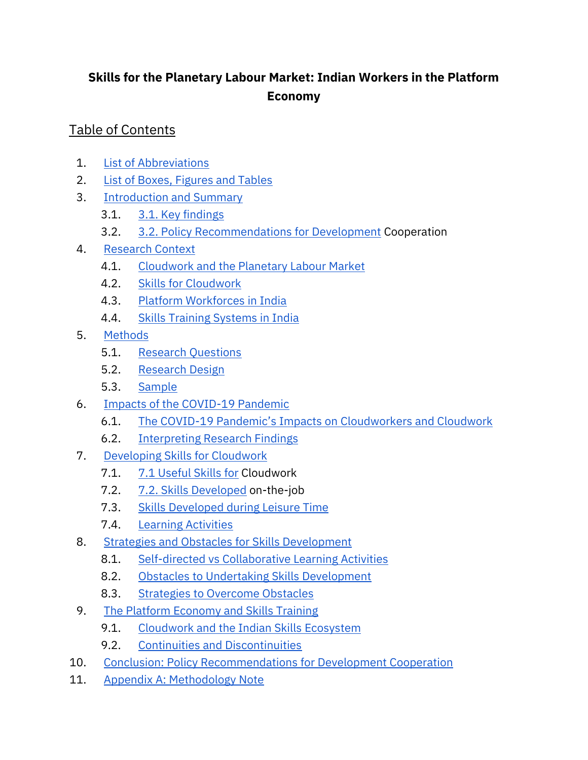# **Skills for the Planetary Labour Market: Indian Workers in the Platform Economy**

## Table of Contents

- 1. [List of Abbreviations](#page-2-0)
- 2. [List of Boxes, Figures and Tables](#page-3-0)
- 3. [Introduction and Summary](#page-4-0)
	- 3.1. [3.1. Key findings](#page-5-0)
	- 3.2. [3.2. Policy Recommendations for Development](#page-9-0) Cooperation
- 4. [Research Context](#page-10-0)
	- 4.1. [Cloudwork and the Planetary Labour Market](#page-10-1)
	- 4.2. [Skills for Cloudwork](#page-13-0)
	- 4.3. [Platform Workforces in India](#page-15-0)
	- 4.4. [Skills Training Systems in India](#page-17-0)
- 5. [Methods](#page-24-0)
	- 5.1. [Research Questions](#page-24-1)
	- 5.2. [Research Design](#page-25-0)
	- 5.3. [Sample](#page-27-0)
- 6. Impacts of the COVID-19 Pandemic
	- 6.1. The COVID-19 Pandemic['s Impacts on Cloudworkers and Cloudwork](#page-28-0)
	- 6.2. [Interpreting Research Findings](#page-33-0)
- 7. [Developing Skills for Cloudwork](#page-34-0) 
	- 7.1. [7.1 Useful Skills for](#page-35-0) Cloudwork
	- 7.2. [7.2. Skills Developed](#page-36-0) on-the-job
	- 7.3. [Skills Developed during Leisure Time](#page-38-0)
	- 7.4. [Learning Activities](#page-40-0)
- 8. [Strategies and Obstacles for Skills Development](#page-45-0)
	- 8.1. [Self-directed vs Collaborative Learning Activities](#page-45-1)
	- 8.2. [Obstacles to Undertaking Skills Development](#page-46-0)
	- 8.3. [Strategies to Overcome Obstacles](#page-49-0)
- 9. The Platform Economy and Skills Training
	- 9.1. Cloudwork and the Indian Skills Ecosystem
	- 9.2. [Continuities and Discontinuities](#page-59-0)
- 10. Conclusion: Policy Recommendations for Development Cooperation
- 11. [Appendix A: Methodology Note](#page-78-0)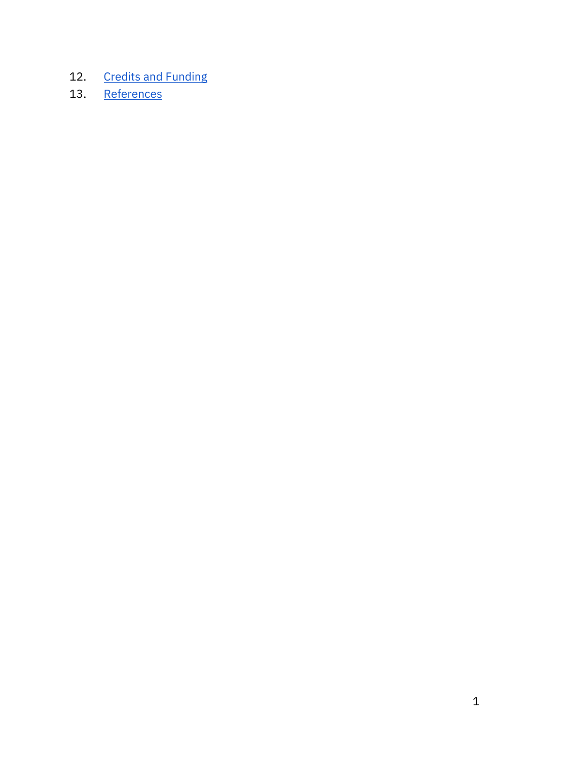- 12. [Credits and Funding](#page-92-0)
- 13. [References](#page-94-0)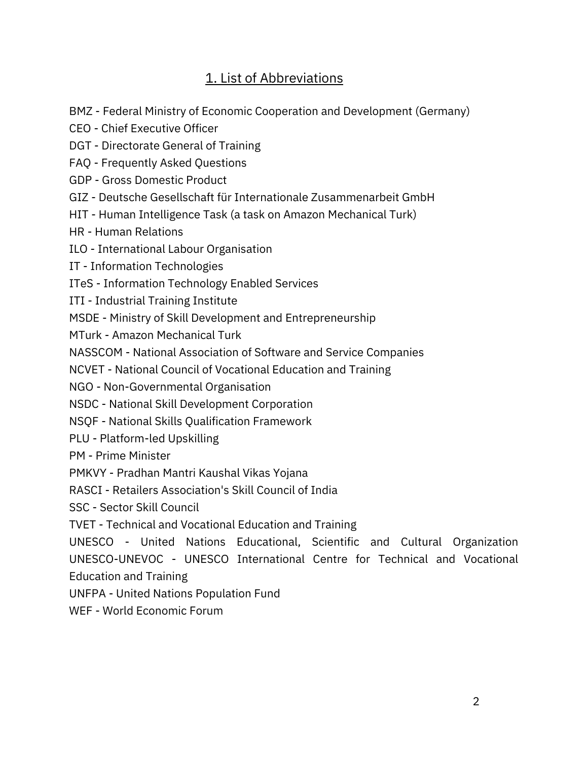## 1. List of Abbreviations

- <span id="page-2-0"></span>BMZ - Federal Ministry of Economic Cooperation and Development (Germany)
- CEO Chief Executive Officer
- DGT Directorate General of Training
- FAQ Frequently Asked Questions
- GDP Gross Domestic Product
- GIZ Deutsche Gesellschaft für Internationale Zusammenarbeit GmbH
- HIT Human Intelligence Task (a task on Amazon Mechanical Turk)

HR - Human Relations

ILO - International Labour Organisation

IT - Information Technologies

- ITeS Information Technology Enabled Services
- ITI Industrial Training Institute
- MSDE Ministry of Skill Development and Entrepreneurship

MTurk - Amazon Mechanical Turk

NASSCOM - National Association of Software and Service Companies

NCVET - National Council of Vocational Education and Training

NGO - Non-Governmental Organisation

NSDC - National Skill Development Corporation

NSQF - National Skills Qualification Framework

PLU - Platform-led Upskilling

PM - Prime Minister

PMKVY - Pradhan Mantri Kaushal Vikas Yojana

RASCI - Retailers Association's Skill Council of India

SSC - Sector Skill Council

TVET - Technical and Vocational Education and Training

UNESCO - United Nations Educational, Scientific and Cultural Organization UNESCO-UNEVOC - UNESCO International Centre for Technical and Vocational Education and Training

UNFPA - United Nations Population Fund

WEF - World Economic Forum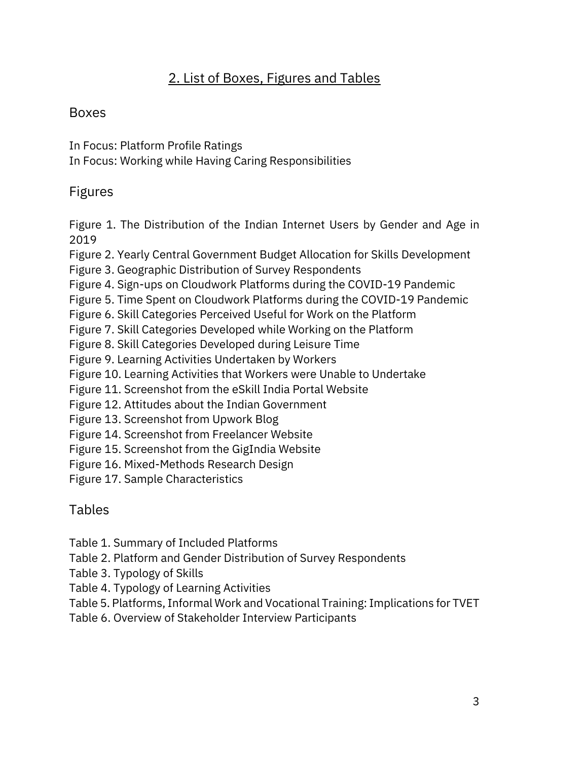# 2. List of Boxes, Figures and Tables

### <span id="page-3-0"></span>Boxes

In Focus: Platform Profile Ratings

In Focus: Working while Having Caring Responsibilities

## Figures

Figure 1. The Distribution of the Indian Internet Users by Gender and Age in 2019

Figure 2. Yearly Central Government Budget Allocation for Skills Development

Figure 3. Geographic Distribution of Survey Respondents

Figure 4. Sign-ups on Cloudwork Platforms during the COVID-19 Pandemic

Figure 5. Time Spent on Cloudwork Platforms during the COVID-19 Pandemic

Figure 6. Skill Categories Perceived Useful for Work on the Platform

Figure 7. Skill Categories Developed while Working on the Platform

Figure 8. Skill Categories Developed during Leisure Time

Figure 9. Learning Activities Undertaken by Workers

Figure 10. Learning Activities that Workers were Unable to Undertake

Figure 11. Screenshot from the eSkill India Portal Website

Figure 12. Attitudes about the Indian Government

Figure 13. Screenshot from Upwork Blog

Figure 14. Screenshot from Freelancer Website

Figure 15. Screenshot from the GigIndia Website

Figure 16. Mixed-Methods Research Design

Figure 17. Sample Characteristics

## Tables

Table 1. Summary of Included Platforms

Table 2. Platform and Gender Distribution of Survey Respondents

Table 3. Typology of Skills

Table 4. Typology of Learning Activities

Table 5. Platforms, Informal Work and Vocational Training: Implications for TVET

Table 6. Overview of Stakeholder Interview Participants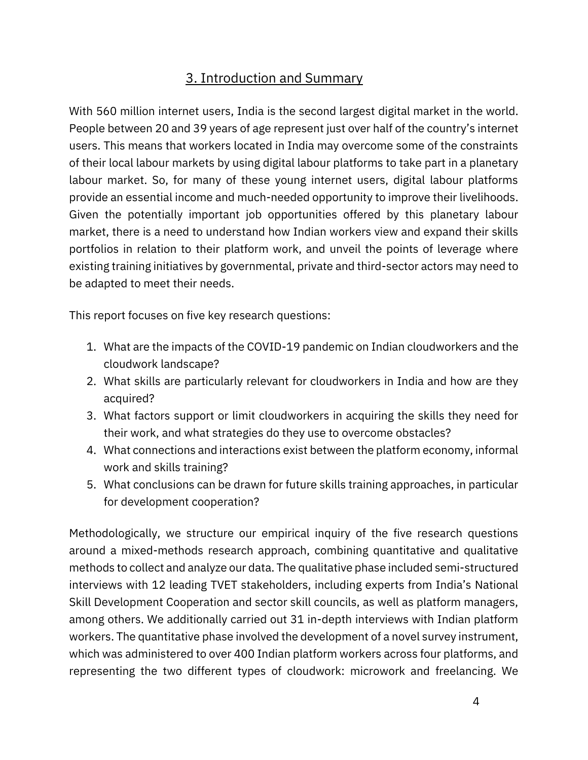# 3. Introduction and Summary

<span id="page-4-0"></span>With 560 million internet users, India is the second largest digital market in the world. People between 20 and 39 years of age represent just over half of the country's internet users. This means that workers located in India may overcome some of the constraints of their local labour markets by using digital labour platforms to take part in a planetary labour market. So, for many of these young internet users, digital labour platforms provide an essential income and much-needed opportunity to improve their livelihoods. Given the potentially important job opportunities offered by this planetary labour market, there is a need to understand how Indian workers view and expand their skills portfolios in relation to their platform work, and unveil the points of leverage where existing training initiatives by governmental, private and third-sector actors may need to be adapted to meet their needs.

This report focuses on five key research questions:

- 1. What are the impacts of the COVID-19 pandemic on Indian cloudworkers and the cloudwork landscape?
- 2. What skills are particularly relevant for cloudworkers in India and how are they acquired?
- 3. What factors support or limit cloudworkers in acquiring the skills they need for their work, and what strategies do they use to overcome obstacles?
- 4. What connections and interactions exist between the platform economy, informal work and skills training?
- 5. What conclusions can be drawn for future skills training approaches, in particular for development cooperation?

Methodologically, we structure our empirical inquiry of the five research questions around a mixed-methods research approach, combining quantitative and qualitative methods to collect and analyze our data. The qualitative phase included semi-structured interviews with 12 leading TVET stakeholders, including experts from India's National Skill Development Cooperation and sector skill councils, as well as platform managers, among others. We additionally carried out 31 in-depth interviews with Indian platform workers. The quantitative phase involved the development of a novel survey instrument, which was administered to over 400 Indian platform workers across four platforms, and representing the two different types of cloudwork: microwork and freelancing. We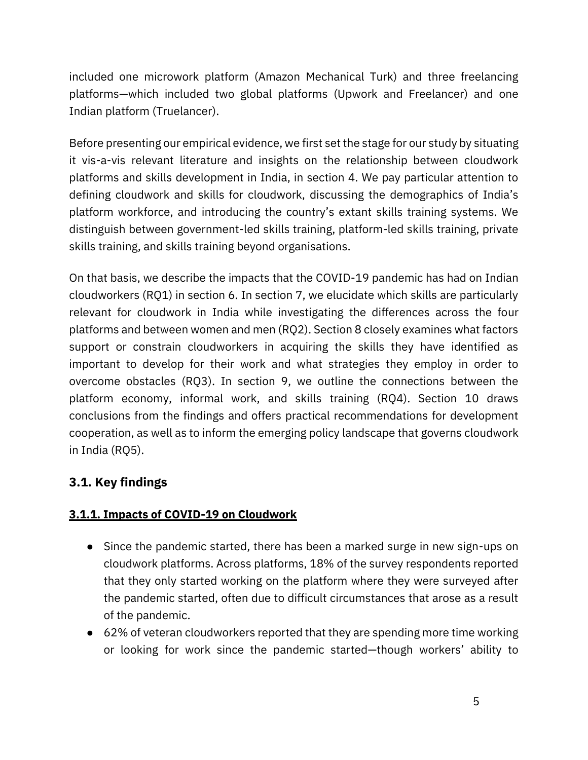included one microwork platform (Amazon Mechanical Turk) and three freelancing platforms—which included two global platforms (Upwork and Freelancer) and one Indian platform (Truelancer).

Before presenting our empirical evidence, we first set the stage for our study by situating it vis-a-vis relevant literature and insights on the relationship between cloudwork platforms and skills development in India, in section 4. We pay particular attention to defining cloudwork and skills for cloudwork, discussing the demographics of India's platform workforce, and introducing the country's extant skills training systems. We distinguish between government-led skills training, platform-led skills training, private skills training, and skills training beyond organisations.

On that basis, we describe the impacts that the COVID-19 pandemic has had on Indian cloudworkers (RQ1) in section 6. In section 7, we elucidate which skills are particularly relevant for cloudwork in India while investigating the differences across the four platforms and between women and men (RQ2). Section 8 closely examines what factors support or constrain cloudworkers in acquiring the skills they have identified as important to develop for their work and what strategies they employ in order to overcome obstacles (RQ3). In section 9, we outline the connections between the platform economy, informal work, and skills training (RQ4). Section 10 draws conclusions from the findings and offers practical recommendations for development cooperation, as well as to inform the emerging policy landscape that governs cloudwork in India (RQ5).

## <span id="page-5-0"></span>**3.1. Key findings**

### **3.1.1. Impacts of COVID-19 on Cloudwork**

- Since the pandemic started, there has been a marked surge in new sign-ups on cloudwork platforms. Across platforms, 18% of the survey respondents reported that they only started working on the platform where they were surveyed after the pandemic started, often due to difficult circumstances that arose as a result of the pandemic.
- 62% of veteran cloudworkers reported that they are spending more time working or looking for work since the pandemic started—though workers' ability to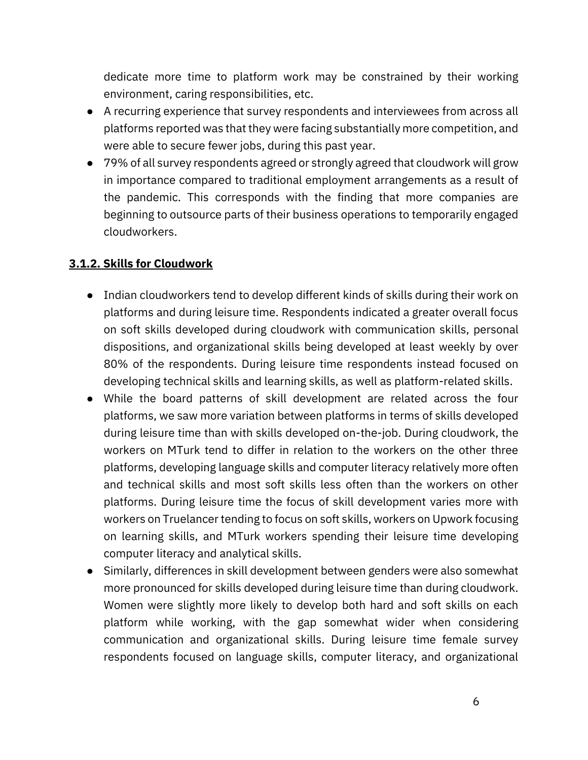dedicate more time to platform work may be constrained by their working environment, caring responsibilities, etc.

- A recurring experience that survey respondents and interviewees from across all platforms reported was that they were facing substantially more competition, and were able to secure fewer jobs, during this past year.
- 79% of all survey respondents agreed or strongly agreed that cloudwork will grow in importance compared to traditional employment arrangements as a result of the pandemic. This corresponds with the finding that more companies are beginning to outsource parts of their business operations to temporarily engaged cloudworkers.

#### **3.1.2. Skills for Cloudwork**

- Indian cloudworkers tend to develop different kinds of skills during their work on platforms and during leisure time. Respondents indicated a greater overall focus on soft skills developed during cloudwork with communication skills, personal dispositions, and organizational skills being developed at least weekly by over 80% of the respondents. During leisure time respondents instead focused on developing technical skills and learning skills, as well as platform-related skills.
- While the board patterns of skill development are related across the four platforms, we saw more variation between platforms in terms of skills developed during leisure time than with skills developed on-the-job. During cloudwork, the workers on MTurk tend to differ in relation to the workers on the other three platforms, developing language skills and computer literacy relatively more often and technical skills and most soft skills less often than the workers on other platforms. During leisure time the focus of skill development varies more with workers on Truelancer tending to focus on soft skills, workers on Upwork focusing on learning skills, and MTurk workers spending their leisure time developing computer literacy and analytical skills.
- Similarly, differences in skill development between genders were also somewhat more pronounced for skills developed during leisure time than during cloudwork. Women were slightly more likely to develop both hard and soft skills on each platform while working, with the gap somewhat wider when considering communication and organizational skills. During leisure time female survey respondents focused on language skills, computer literacy, and organizational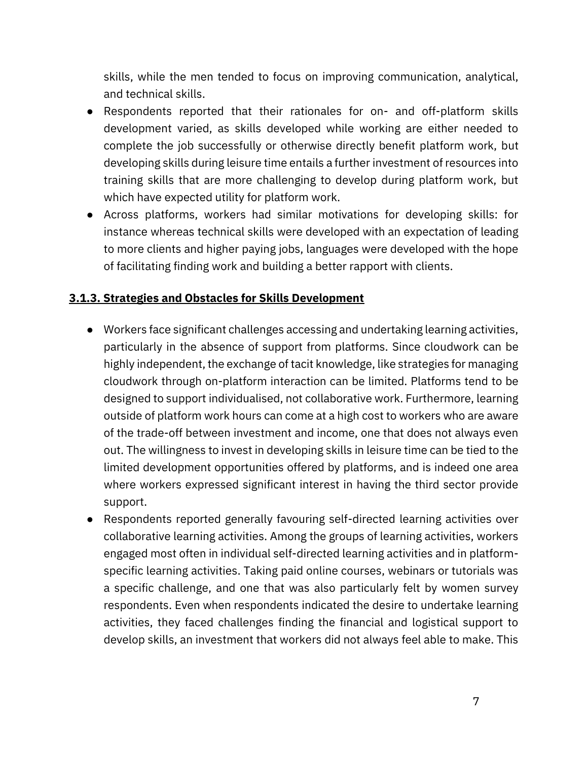skills, while the men tended to focus on improving communication, analytical, and technical skills.

- Respondents reported that their rationales for on- and off-platform skills development varied, as skills developed while working are either needed to complete the job successfully or otherwise directly benefit platform work, but developing skills during leisure time entails a further investment of resources into training skills that are more challenging to develop during platform work, but which have expected utility for platform work.
- Across platforms, workers had similar motivations for developing skills: for instance whereas technical skills were developed with an expectation of leading to more clients and higher paying jobs, languages were developed with the hope of facilitating finding work and building a better rapport with clients.

#### **3.1.3. Strategies and Obstacles for Skills Development**

- Workers face significant challenges accessing and undertaking learning activities, particularly in the absence of support from platforms. Since cloudwork can be highly independent, the exchange of tacit knowledge, like strategies for managing cloudwork through on-platform interaction can be limited. Platforms tend to be designed to support individualised, not collaborative work. Furthermore, learning outside of platform work hours can come at a high cost to workers who are aware of the trade-off between investment and income, one that does not always even out. The willingness to invest in developing skills in leisure time can be tied to the limited development opportunities offered by platforms, and is indeed one area where workers expressed significant interest in having the third sector provide support.
- Respondents reported generally favouring self-directed learning activities over collaborative learning activities. Among the groups of learning activities, workers engaged most often in individual self-directed learning activities and in platformspecific learning activities. Taking paid online courses, webinars or tutorials was a specific challenge, and one that was also particularly felt by women survey respondents. Even when respondents indicated the desire to undertake learning activities, they faced challenges finding the financial and logistical support to develop skills, an investment that workers did not always feel able to make. This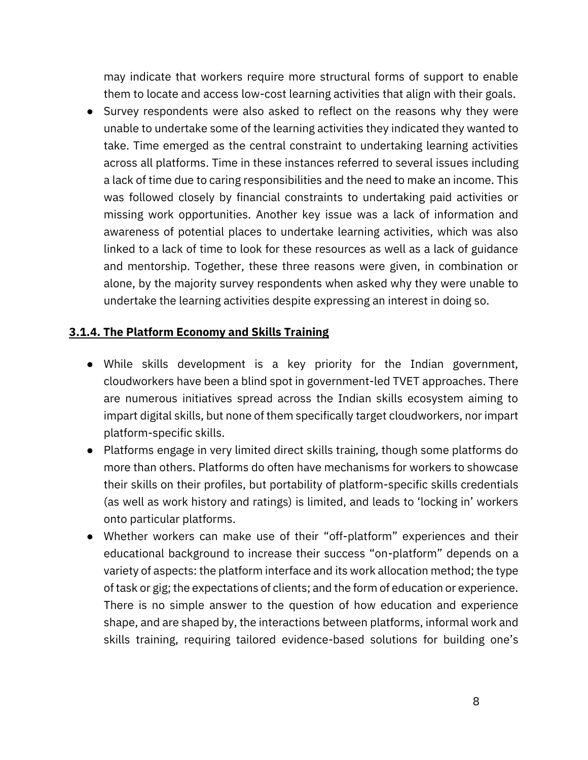may indicate that workers require more structural forms of support to enable them to locate and access low-cost learning activities that align with their goals.

● Survey respondents were also asked to reflect on the reasons why they were unable to undertake some of the learning activities they indicated they wanted to take. Time emerged as the central constraint to undertaking learning activities across all platforms. Time in these instances referred to several issues including a lack of time due to caring responsibilities and the need to make an income. This was followed closely by financial constraints to undertaking paid activities or missing work opportunities. Another key issue was a lack of information and awareness of potential places to undertake learning activities, which was also linked to a lack of time to look for these resources as well as a lack of guidance and mentorship. Together, these three reasons were given, in combination or alone, by the majority survey respondents when asked why they were unable to undertake the learning activities despite expressing an interest in doing so.

#### **3.1.4. The Platform Economy and Skills Training**

- While skills development is a key priority for the Indian government, cloudworkers have been a blind spot in government-led TVET approaches. There are numerous initiatives spread across the Indian skills ecosystem aiming to impart digital skills, but none of them specifically target cloudworkers, nor impart platform-specific skills.
- Platforms engage in very limited direct skills training, though some platforms do more than others. Platforms do often have mechanisms for workers to showcase their skills on their profiles, but portability of platform-specific skills credentials (as well as work history and ratings) is limited, and leads to 'locking in' workers onto particular platforms.
- Whether workers can make use of their "off-platform" experiences and their educational background to increase their success "on-platform" depends on a variety of aspects: the platform interface and its work allocation method; the type of task or gig; the expectations of clients; and the form of education or experience. There is no simple answer to the question of how education and experience shape, and are shaped by, the interactions between platforms, informal work and skills training, requiring tailored evidence-based solutions for building one's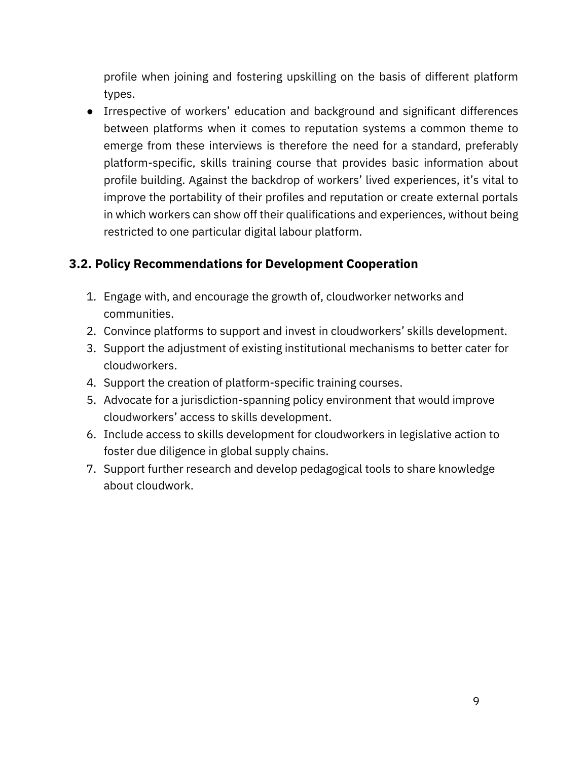profile when joining and fostering upskilling on the basis of different platform types.

● Irrespective of workers' education and background and significant differences between platforms when it comes to reputation systems a common theme to emerge from these interviews is therefore the need for a standard, preferably platform-specific, skills training course that provides basic information about profile building. Against the backdrop of workers' lived experiences, it's vital to improve the portability of their profiles and reputation or create external portals in which workers can show off their qualifications and experiences, without being restricted to one particular digital labour platform.

### <span id="page-9-0"></span>**3.2. Policy Recommendations for Development Cooperation**

- 1. Engage with, and encourage the growth of, cloudworker networks and communities.
- 2. Convince platforms to support and invest in cloudworkers' skills development.
- 3. Support the adjustment of existing institutional mechanisms to better cater for cloudworkers.
- 4. Support the creation of platform-specific training courses.
- 5. Advocate for a jurisdiction-spanning policy environment that would improve cloudworkers' access to skills development.
- 6. Include access to skills development for cloudworkers in legislative action to foster due diligence in global supply chains.
- 7. Support further research and develop pedagogical tools to share knowledge about cloudwork.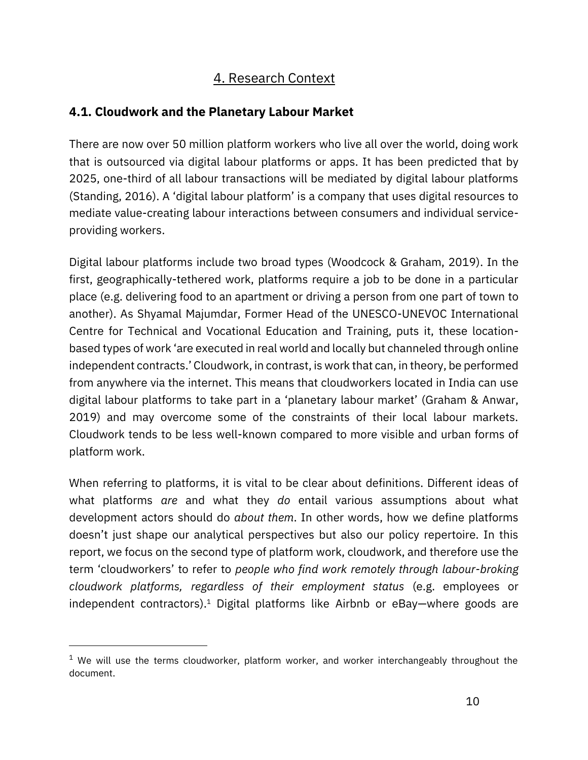# 4. Research Context

## <span id="page-10-1"></span><span id="page-10-0"></span>**4.1. Cloudwork and the Planetary Labour Market**

There are now over 50 million platform workers who live all over the world, doing work that is outsourced via digital labour platforms or apps. It has been predicted that by 2025, one-third of all labour transactions will be mediated by digital labour platforms [\(Standing, 2016\)](https://www.zotero.org/google-docs/?HwSeJo). A 'digital labour platform' is a company that uses digital resources to mediate value-creating labour interactions between consumers and individual serviceproviding workers.

Digital labour platforms include two broad types [\(Woodcock & Graham, 2019\).](https://www.zotero.org/google-docs/?ATPsSk) In the first, geographically-tethered work, platforms require a job to be done in a particular place (e.g. delivering food to an apartment or driving a person from one part of town to another). As Shyamal Majumdar, Former Head of the UNESCO-UNEVOC International Centre for Technical and Vocational Education and Training, puts it, these locationbased types of work 'are executed in real world and locally but channeled through online independent contracts.' Cloudwork, in contrast, is work that can, in theory, be performed from anywhere via the internet. This means that cloudworkers located in India can use digital labour platforms to take part in a 'planetary labour market' [\(Graham & Anwar,](https://www.zotero.org/google-docs/?j7FMoR)  [2019\)](https://www.zotero.org/google-docs/?j7FMoR) and may overcome some of the constraints of their local labour markets. Cloudwork tends to be less well-known compared to more visible and urban forms of platform work.

When referring to platforms, it is vital to be clear about definitions. Different ideas of what platforms *are* and what they *do* entail various assumptions about what development actors should do *about them*. In other words, how we define platforms doesn't just shape our analytical perspectives but also our policy repertoire. In this report, we focus on the second type of platform work, cloudwork, and therefore use the term 'cloudworkers' to refer to *people who find work remotely through labour-broking cloudwork platforms, regardless of their employment status* (e.g. employees or independent contractors).<sup>1</sup> Digital platforms like Airbnb or eBay—where goods are

 $1$  We will use the terms cloudworker, platform worker, and worker interchangeably throughout the document.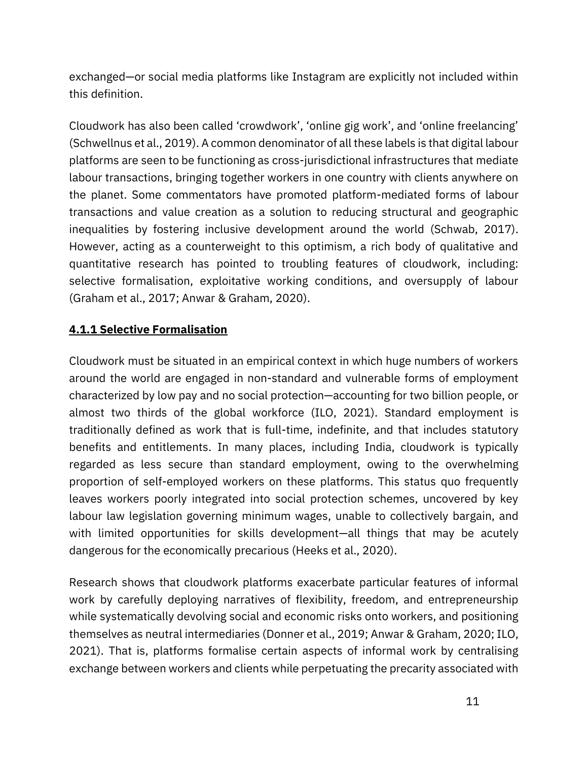exchanged—or social media platforms like Instagram are explicitly not included within this definition.

Cloudwork has also been called 'crowdwork', 'online gig work', and 'online freelancing' [\(Schwellnus et al., 2019\).](https://www.zotero.org/google-docs/?93aNq1) A common denominator of all these labels is that digital labour platforms are seen to be functioning as cross-jurisdictional infrastructures that mediate labour transactions, bringing together workers in one country with clients anywhere on the planet. Some commentators have promoted platform-mediated forms of labour transactions and value creation as a solution to reducing structural and geographic inequalities by fostering inclusive development around the world [\(Schwab, 2017\).](https://www.zotero.org/google-docs/?0mWaNw) However, acting as a counterweight to this optimism, a rich body of qualitative and quantitative research has pointed to troubling features of cloudwork, including: selective formalisation, exploitative working conditions, and oversupply of labour [\(Graham et al., 2017;](https://www.zotero.org/google-docs/?AwpKNd) [Anwar & Graham, 2020\)](https://www.zotero.org/google-docs/?qR3DRt).

### **4.1.1 Selective Formalisation**

Cloudwork must be situated in an empirical context in which huge numbers of workers around the world are engaged in non-standard and vulnerable forms of employment characterized by low pay and no social protection—accounting for two billion people, or almost two thirds of the global workforce [\(ILO, 2021\)](https://www.zotero.org/google-docs/?29FQS7). Standard employment is traditionally defined as work that is full-time, indefinite, and that includes statutory benefits and entitlements. In many places, including India, cloudwork is typically regarded as less secure than standard employment, owing to the overwhelming proportion of self-employed workers on these platforms. This status quo frequently leaves workers poorly integrated into social protection schemes, uncovered by key labour law legislation governing minimum wages, unable to collectively bargain, and with limited opportunities for skills development—all things that may be acutely dangerous for the economically precarious [\(Heeks et al., 2020\)](https://www.zotero.org/google-docs/?7CTqEF).

Research shows that cloudwork platforms exacerbate particular features of informal work by carefully deploying narratives of flexibility, freedom, and entrepreneurship while systematically devolving social and economic risks onto workers, and positioning themselves as neutral intermediaries [\(Donner et al., 2019;](https://www.zotero.org/google-docs/?8m9X2z) [Anwar & Graham, 2020;](https://www.zotero.org/google-docs/?IFJSzd) [ILO,](https://www.zotero.org/google-docs/?abZBIm)  [2021\)](https://www.zotero.org/google-docs/?abZBIm). That is, platforms formalise certain aspects of informal work by centralising exchange between workers and clients while perpetuating the precarity associated with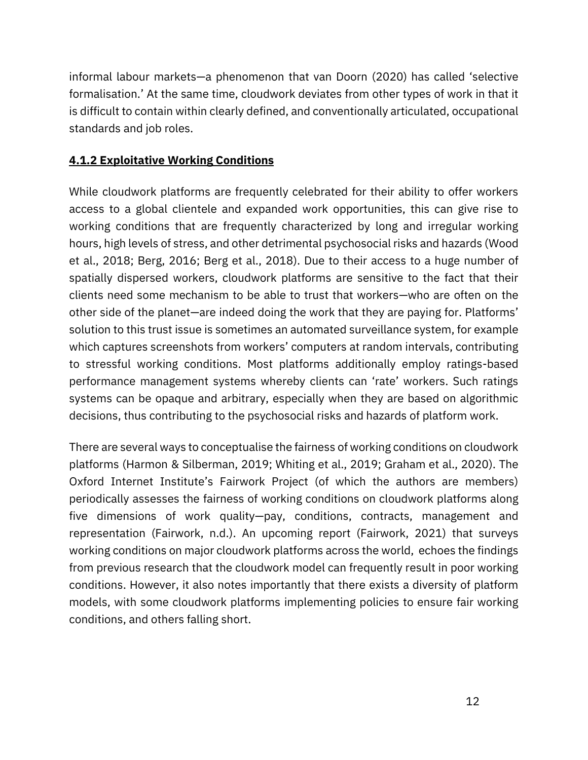informal labour markets—a phenomenon that [van Doorn \(2020\)](https://www.zotero.org/google-docs/?8vQXWG) has called 'selective formalisation.' At the same time, cloudwork deviates from other types of work in that it is difficult to contain within clearly defined, and conventionally articulated, occupational standards and job roles.

#### **4.1.2 Exploitative Working Conditions**

While cloudwork platforms are frequently celebrated for their ability to offer workers access to a global clientele and expanded work opportunities, this can give rise to working conditions that are frequently characterized by long and irregular working hours, high levels of stress, and other detrimental psychosocial risks and hazards [\(Wood](https://www.zotero.org/google-docs/?2jJKwi)  [et al., 2018;](https://www.zotero.org/google-docs/?2jJKwi) [Berg, 2016;](https://www.zotero.org/google-docs/?p8rsIY) [Berg et al., 2018\)](https://www.zotero.org/google-docs/?HXXa06). Due to their access to a huge number of spatially dispersed workers, cloudwork platforms are sensitive to the fact that their clients need some mechanism to be able to trust that workers—who are often on the other side of the planet—are indeed doing the work that they are paying for. Platforms' solution to this trust issue is sometimes an automated surveillance system, for example which captures screenshots from workers' computers at random intervals, contributing to stressful working conditions. Most platforms additionally employ ratings-based performance management systems whereby clients can 'rate' workers. Such ratings systems can be opaque and arbitrary, especially when they are based on algorithmic decisions, thus contributing to the psychosocial risks and hazards of platform work.

There are several ways to conceptualise the fairness of working conditions on cloudwork platforms [\(Harmon & Silberman, 2019;](https://www.zotero.org/google-docs/?whOV9p) [Whiting et al., 2019;](https://www.zotero.org/google-docs/?K7NJHD) [Graham et al., 2020\)](https://www.zotero.org/google-docs/?VdMMOd). The Oxford Internet Institute's Fairwork Project (of which the authors are members) periodically assesses the fairness of working conditions on cloudwork platforms along five dimensions of work quality—pay, conditions, contracts, management and representation [\(Fairwork, n.d.\)](https://www.zotero.org/google-docs/?CbLZAx). An upcoming report [\(Fairwork, 2021\)](https://www.zotero.org/google-docs/?O7IKQK) that surveys working conditions on major cloudwork platforms across the world, echoes the findings from previous research that the cloudwork model can frequently result in poor working conditions. However, it also notes importantly that there exists a diversity of platform models, with some cloudwork platforms implementing policies to ensure fair working conditions, and others falling short.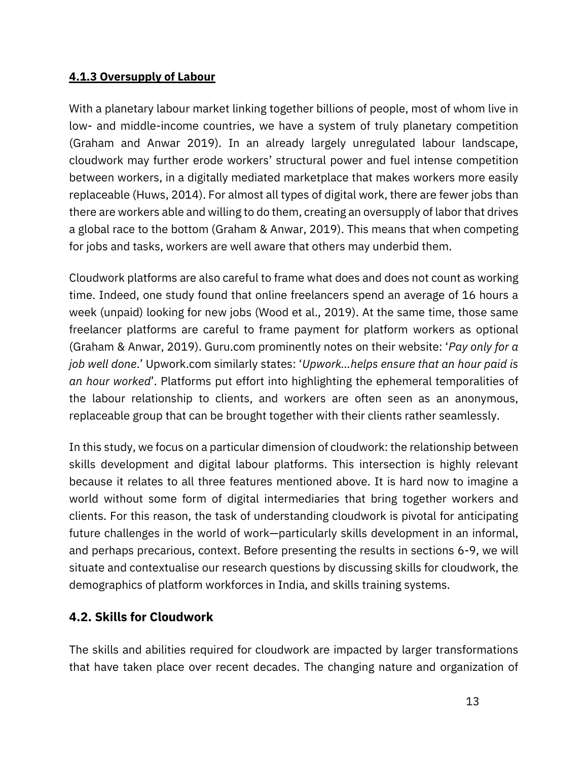#### **4.1.3 Oversupply of Labour**

With a planetary labour market linking together billions of people, most of whom live in low- and middle-income countries, we have a system of truly planetary competition (Graham and Anwar 2019). In an already largely unregulated labour landscape, cloudwork may further erode workers' structural power and fuel intense competition between workers, in a digitally mediated marketplace that makes workers more easily replaceable [\(Huws, 2014\).](https://www.zotero.org/google-docs/?EWQUza) For almost all types of digital work, there are fewer jobs than there are workers able and willing to do them, creating an oversupply of labor that drives a global race to the bottom [\(Graham & Anwar, 2019\)](https://www.zotero.org/google-docs/?9IsHeJ). This means that when competing for jobs and tasks, workers are well aware that others may underbid them.

Cloudwork platforms are also careful to frame what does and does not count as working time. Indeed, one study found that online freelancers spend an average of 16 hours a week (unpaid) looking for new jobs [\(Wood et al., 2019\)](https://www.zotero.org/google-docs/?NQJUV4). At the same time, those same freelancer platforms are careful to frame payment for platform workers as optional [\(Graham & Anwar, 2019\)](https://www.zotero.org/google-docs/?zSUBFH). Guru.com prominently notes on their website: '*Pay only for a job well done*.' Upwork.com similarly states: '*Upwork…helps ensure that an hour paid is an hour worked*'. Platforms put effort into highlighting the ephemeral temporalities of the labour relationship to clients, and workers are often seen as an anonymous, replaceable group that can be brought together with their clients rather seamlessly.

In this study, we focus on a particular dimension of cloudwork: the relationship between skills development and digital labour platforms. This intersection is highly relevant because it relates to all three features mentioned above. It is hard now to imagine a world without some form of digital intermediaries that bring together workers and clients. For this reason, the task of understanding cloudwork is pivotal for anticipating future challenges in the world of work—particularly skills development in an informal, and perhaps precarious, context. Before presenting the results in sections 6-9, we will situate and contextualise our research questions by discussing skills for cloudwork, the demographics of platform workforces in India, and skills training systems.

### <span id="page-13-0"></span>**4.2. Skills for Cloudwork**

The skills and abilities required for cloudwork are impacted by larger transformations that have taken place over recent decades. The changing nature and organization of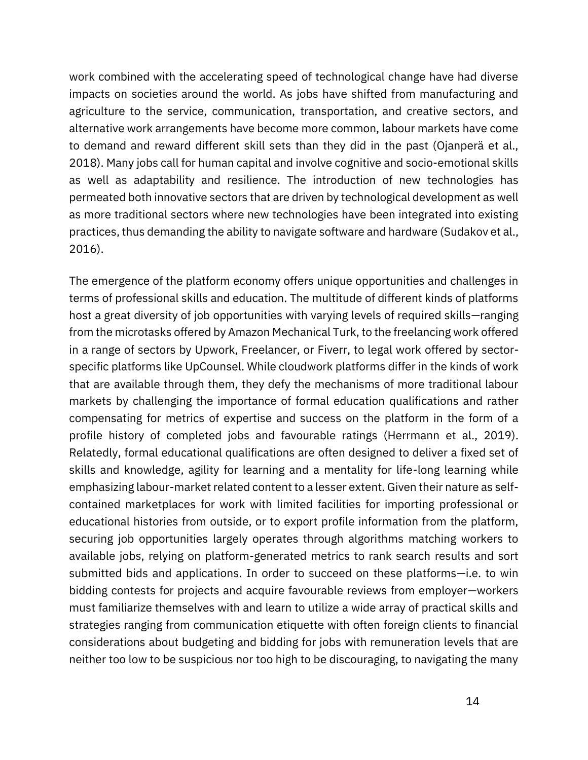work combined with the accelerating speed of technological change have had diverse impacts on societies around the world. As jobs have shifted from manufacturing and agriculture to the service, communication, transportation, and creative sectors, and alternative work arrangements have become more common, labour markets have come to demand and reward different skill sets than they did in the past [\(Ojanperä et al.,](https://www.zotero.org/google-docs/?aJag0M)  [2018\)](https://www.zotero.org/google-docs/?aJag0M). Many jobs call for human capital and involve cognitive and socio-emotional skills as well as adaptability and resilience. The introduction of new technologies has permeated both innovative sectors that are driven by technological development as well as more traditional sectors where new technologies have been integrated into existing practices, thus demanding the ability to navigate software and hardware [\(Sudakov et al.,](https://www.zotero.org/google-docs/?NvRwxf)  [2016\)](https://www.zotero.org/google-docs/?NvRwxf).

The emergence of the platform economy offers unique opportunities and challenges in terms of professional skills and education. The multitude of different kinds of platforms host a great diversity of job opportunities with varying levels of required skills—ranging from the microtasks offered by Amazon Mechanical Turk, to the freelancing work offered in a range of sectors by Upwork, Freelancer, or Fiverr, to legal work offered by sectorspecific platforms like UpCounsel. While cloudwork platforms differ in the kinds of work that are available through them, they defy the mechanisms of more traditional labour markets by challenging the importance of formal education qualifications and rather compensating for metrics of expertise and success on the platform in the form of a profile history of completed jobs and favourable ratings [\(Herrmann et al., 2019\)](https://www.zotero.org/google-docs/?HnPVQ6). Relatedly, formal educational qualifications are often designed to deliver a fixed set of skills and knowledge, agility for learning and a mentality for life-long learning while emphasizing labour-market related content to a lesser extent. Given their nature as selfcontained marketplaces for work with limited facilities for importing professional or educational histories from outside, or to export profile information from the platform, securing job opportunities largely operates through algorithms matching workers to available jobs, relying on platform-generated metrics to rank search results and sort submitted bids and applications. In order to succeed on these platforms—i.e. to win bidding contests for projects and acquire favourable reviews from employer—workers must familiarize themselves with and learn to utilize a wide array of practical skills and strategies ranging from communication etiquette with often foreign clients to financial considerations about budgeting and bidding for jobs with remuneration levels that are neither too low to be suspicious nor too high to be discouraging, to navigating the many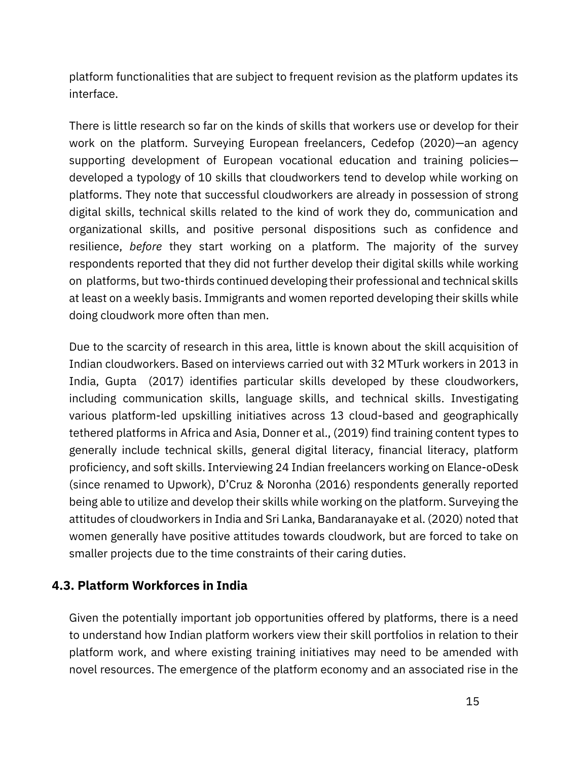platform functionalities that are subject to frequent revision as the platform updates its interface.

There is little research so far on the kinds of skills that workers use or develop for their work on the platform. Surveying European freelancers, [Cedefop](https://www.zotero.org/google-docs/?gNnE00) [\(2020\)](https://www.zotero.org/google-docs/?gNnE00)—an agency supporting development of European vocational education and training policies developed a typology of 10 skills that cloudworkers tend to develop while working on platforms. They note that successful cloudworkers are already in possession of strong digital skills, technical skills related to the kind of work they do, communication and organizational skills, and positive personal dispositions such as confidence and resilience, *before* they start working on a platform. The majority of the survey respondents reported that they did not further develop their digital skills while working on platforms, but two-thirds continued developing their professional and technical skills at least on a weekly basis. Immigrants and women reported developing their skills while doing cloudwork more often than men.

Due to the scarcity of research in this area, little is known about the skill acquisition of Indian cloudworkers. Based on interviews carried out with 32 MTurk workers in 2013 in India, [Gupta](https://www.zotero.org/google-docs/?znajka) [\(2017\)](https://www.zotero.org/google-docs/?znajka) identifies particular skills developed by these cloudworkers, including communication skills, language skills, and technical skills. Investigating various platform-led upskilling initiatives across 13 cloud-based and geographically tethered platforms in Africa and Asia, [Donner et al., \(2019\)](https://www.zotero.org/google-docs/?q0kTYd) find training content types to generally include technical skills, general digital literacy, financial literacy, platform proficiency, and soft skills. Interviewing 24 Indian freelancers working on Elance-oDesk (since renamed to Upwork), [D'Cruz & Noronha](https://www.zotero.org/google-docs/?HhzVlg) [\(2016\)](https://www.zotero.org/google-docs/?HhzVlg) respondents generally reported being able to utilize and develop their skills while working on the platform. Surveying the attitudes of cloudworkers in India and Sri Lanka, [Bandaranayake et al. \(2020\)](https://www.zotero.org/google-docs/?fXPZvc) noted that women generally have positive attitudes towards cloudwork, but are forced to take on smaller projects due to the time constraints of their caring duties.

### <span id="page-15-0"></span>**4.3. Platform Workforces in India**

Given the potentially important job opportunities offered by platforms, there is a need to understand how Indian platform workers view their skill portfolios in relation to their platform work, and where existing training initiatives may need to be amended with novel resources. The emergence of the platform economy and an associated rise in the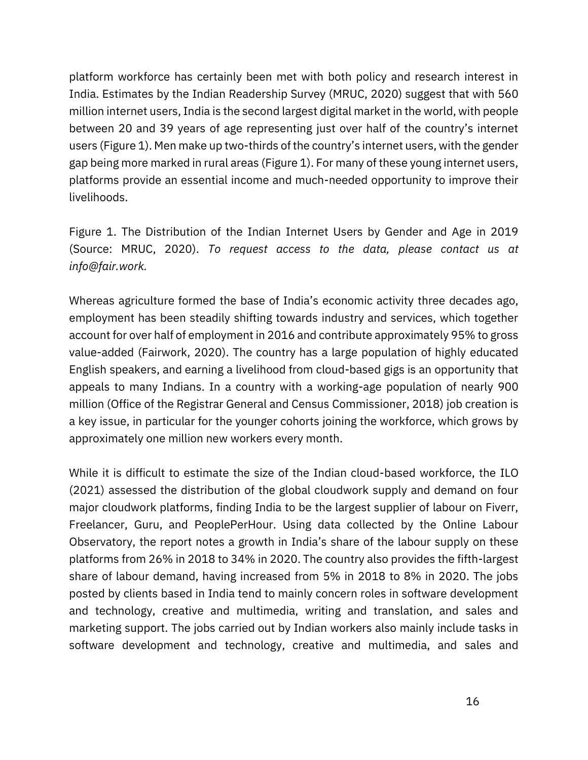platform workforce has certainly been met with both policy and research interest in India. Estimates by the Indian Readership Survey [\(MRUC, 2020\)](https://www.zotero.org/google-docs/?M9rrEb) suggest that with 560 million internet users, India is the second largest digital market in the world, with people between 20 and 39 years of age representing just over half of the country's internet users (Figure 1). Men make up two-thirds of the country's internet users, with the gender gap being more marked in rural areas (Figure 1). For many of these young internet users, platforms provide an essential income and much-needed opportunity to improve their livelihoods.

Figure 1. The Distribution of the Indian Internet Users by Gender and Age in 2019 (Source: MRUC, 2020). *To request access to the data, please contact us at info@fair.work.*

Whereas agriculture formed the base of India's economic activity three decades ago, employment has been steadily shifting towards industry and services, which together account for over half of employment in 2016 and contribute approximately 95% to gross value-added [\(Fairwork, 2020\)](https://www.zotero.org/google-docs/?BkFom3). The country has a large population of highly educated English speakers, and earning a livelihood from cloud-based gigs is an opportunity that appeals to many Indians. In a country with a working-age population of nearly 900 million [\(Office of the Registrar General and Census Commissioner, 2018\)](https://www.zotero.org/google-docs/?fVtWib) job creation is a key issue, in particular for the younger cohorts joining the workforce, which grows by approximately one million new workers every month.

While it is difficult to estimate the size of the Indian cloud-based workforce, the [ILO](https://www.zotero.org/google-docs/?s9jtC8) [\(2021\)](https://www.zotero.org/google-docs/?s9jtC8) assessed the distribution of the global cloudwork supply and demand on four major cloudwork platforms, finding India to be the largest supplier of labour on Fiverr, Freelancer, Guru, and PeoplePerHour. Using data collected by the Online Labour Observatory, the report notes a growth in India's share of the labour supply on these platforms from 26% in 2018 to 34% in 2020. The country also provides the fifth-largest share of labour demand, having increased from 5% in 2018 to 8% in 2020. The jobs posted by clients based in India tend to mainly concern roles in software development and technology, creative and multimedia, writing and translation, and sales and marketing support. The jobs carried out by Indian workers also mainly include tasks in software development and technology, creative and multimedia, and sales and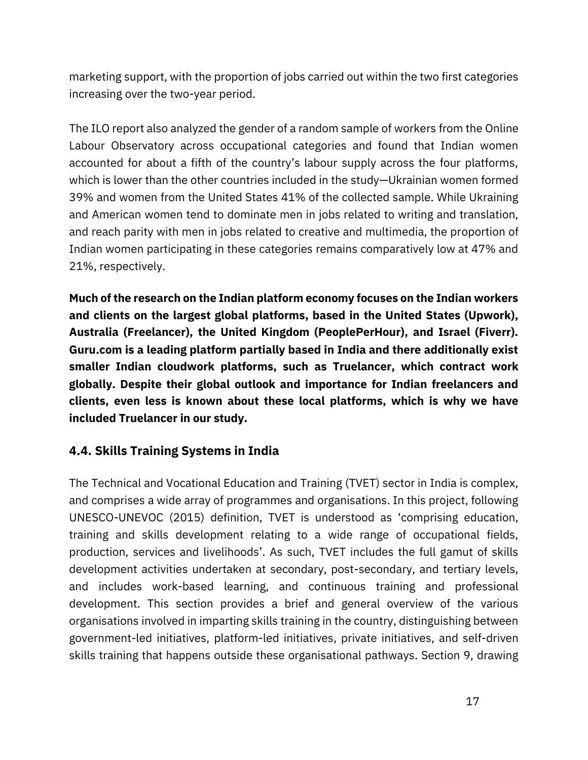marketing support, with the proportion of jobs carried out within the two first categories increasing over the two-year period.

The ILO report also analyzed the gender of a random sample of workers from the Online Labour Observatory across occupational categories and found that Indian women accounted for about a fifth of the country's labour supply across the four platforms, which is lower than the other countries included in the study—Ukrainian women formed 39% and women from the United States 41% of the collected sample. While Ukraining and American women tend to dominate men in jobs related to writing and translation, and reach parity with men in jobs related to creative and multimedia, the proportion of Indian women participating in these categories remains comparatively low at 47% and 21%, respectively.

**Much of the research on the Indian platform economy focuses on the Indian workers and clients on the largest global platforms, based in the United States (Upwork), Australia (Freelancer), the United Kingdom (PeoplePerHour), and Israel (Fiverr). Guru.com is a leading platform partially based in India and there additionally exist smaller Indian cloudwork platforms, such as Truelancer, which contract work globally. Despite their global outlook and importance for Indian freelancers and clients, even less is known about these local platforms, which is why we have included Truelancer in our study.**

### <span id="page-17-0"></span>**4.4. Skills Training Systems in India**

The Technical and Vocational Education and Training (TVET) sector in India is complex, and comprises a wide array of programmes and organisations. In this project, following [UNESCO-UNEVOC](https://www.zotero.org/google-docs/?VKd0Sd) [\(2015\)](https://www.zotero.org/google-docs/?VKd0Sd) definition, TVET is understood as 'comprising education, training and skills development relating to a wide range of occupational fields, production, services and livelihoods'. As such, TVET includes the full gamut of skills development activities undertaken at secondary, post-secondary, and tertiary levels, and includes work-based learning, and continuous training and professional development. This section provides a brief and general overview of the various organisations involved in imparting skills training in the country, distinguishing between government-led initiatives, platform-led initiatives, private initiatives, and self-driven skills training that happens outside these organisational pathways. Section 9, drawing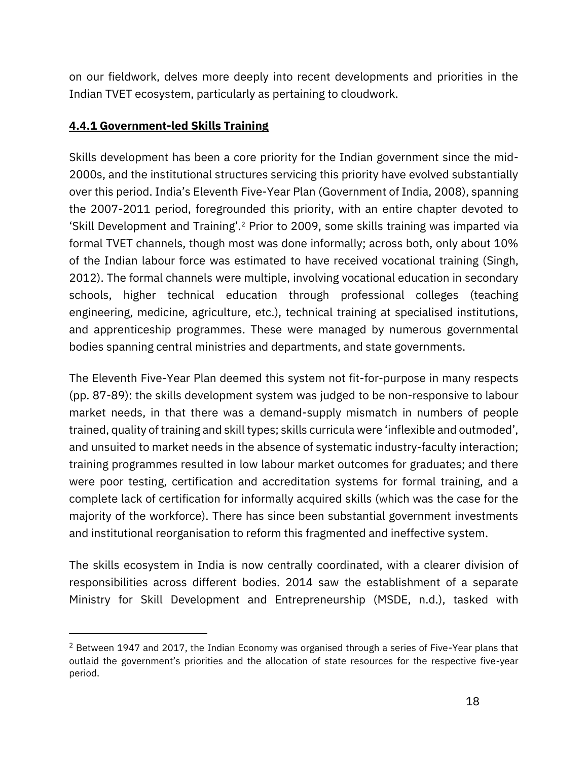on our fieldwork, delves more deeply into recent developments and priorities in the Indian TVET ecosystem, particularly as pertaining to cloudwork.

### **4.4.1 Government-led Skills Training**

Skills development has been a core priority for the Indian government since the mid-2000s, and the institutional structures servicing this priority have evolved substantially over this period. India's Eleventh Five-Year Plan [\(Government of India, 2008](https://www.zotero.org/google-docs/?PNxgrx)), spanning the 2007-2011 period, foregrounded this priority, with an entire chapter devoted to 'Skill Development and Training'.<sup>2</sup> Prior to 2009, some skills training was imparted via formal TVET channels, though most was done informally; across both, only about 10% of the Indian labour force was estimated to have received vocational training [\(Singh,](https://www.zotero.org/google-docs/?qLqeQl)  [2012\)](https://www.zotero.org/google-docs/?qLqeQl). The formal channels were multiple, involving vocational education in secondary schools, higher technical education through professional colleges (teaching engineering, medicine, agriculture, etc.), technical training at specialised institutions, and apprenticeship programmes. These were managed by numerous governmental bodies spanning central ministries and departments, and state governments.

The Eleventh Five-Year Plan deemed this system not fit-for-purpose in many respects (pp. 87-89): the skills development system was judged to be non-responsive to labour market needs, in that there was a demand-supply mismatch in numbers of people trained, quality of training and skill types; skills curricula were 'inflexible and outmoded', and unsuited to market needs in the absence of systematic industry-faculty interaction; training programmes resulted in low labour market outcomes for graduates; and there were poor testing, certification and accreditation systems for formal training, and a complete lack of certification for informally acquired skills (which was the case for the majority of the workforce). There has since been substantial government investments and institutional reorganisation to reform this fragmented and ineffective system.

The skills ecosystem in India is now centrally coordinated, with a clearer division of responsibilities across different bodies. 2014 saw the establishment of a separate Ministry for Skill Development and Entrepreneurship [\(MSDE, n.d.\),](https://www.zotero.org/google-docs/?UtpDAh) tasked with

 $2$  Between 1947 and 2017, the Indian Economy was organised through a series of Five-Year plans that outlaid the government's priorities and the allocation of state resources for the respective five-year period.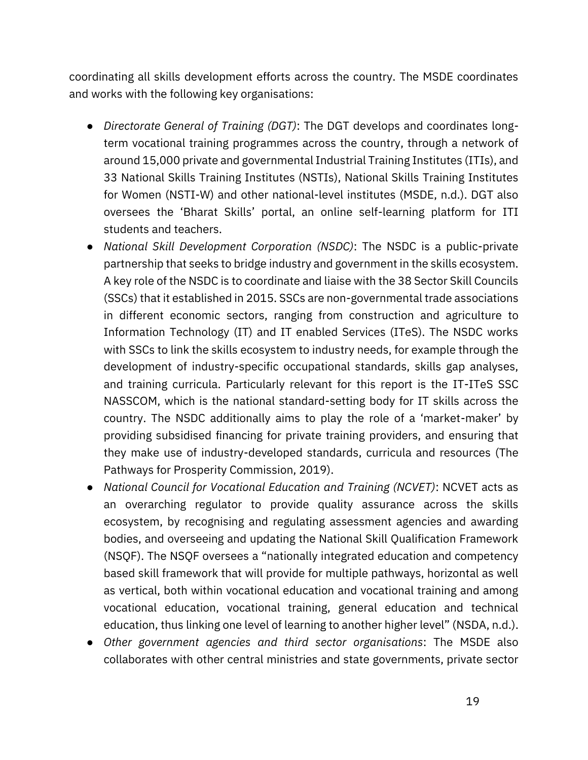coordinating all skills development efforts across the country. The MSDE coordinates and works with the following key organisations:

- *Directorate General of Training (DGT)*: The DGT develops and coordinates longterm vocational training programmes across the country, through a network of around 15,000 private and governmental Industrial Training Institutes (ITIs), and 33 National Skills Training Institutes (NSTIs), National Skills Training Institutes for Women (NSTI-W) and other national-level institutes (MSDE, n.d.). DGT also oversees the 'Bharat Skills' portal, an online self-learning platform for ITI students and teachers.
- *National Skill Development Corporation (NSDC)*: The NSDC is a public-private partnership that seeks to bridge industry and government in the skills ecosystem. A key role of the NSDC is to coordinate and liaise with the 38 Sector Skill Councils (SSCs) that it established in 2015. SSCs are non-governmental trade associations in different economic sectors, ranging from construction and agriculture to Information Technology (IT) and IT enabled Services (ITeS). The NSDC works with SSCs to link the skills ecosystem to industry needs, for example through the development of industry-specific occupational standards, skills gap analyses, and training curricula. Particularly relevant for this report is the IT-ITeS SSC NASSCOM, which is the national standard-setting body for IT skills across the country. The NSDC additionally aims to play the role of a 'market-maker' by providing subsidised financing for private training providers, and ensuring that they make use of industry-developed standards, curricula and resources (The Pathways for Prosperity Commission, 2019).
- *National Council for Vocational Education and Training (NCVET)*: NCVET acts as an overarching regulator to provide quality assurance across the skills ecosystem, by recognising and regulating assessment agencies and awarding bodies, and overseeing and updating the National Skill Qualification Framework (NSQF). The NSQF oversees a "nationally integrated education and competency based skill framework that will provide for multiple pathways, horizontal as well as vertical, both within vocational education and vocational training and among vocational education, vocational training, general education and technical education, thus linking one level of learning to another higher level" ([NSDA, n.d.\)](https://www.zotero.org/google-docs/?Qlflkx).
- *Other government agencies and third sector organisations*: The MSDE also collaborates with other central ministries and state governments, private sector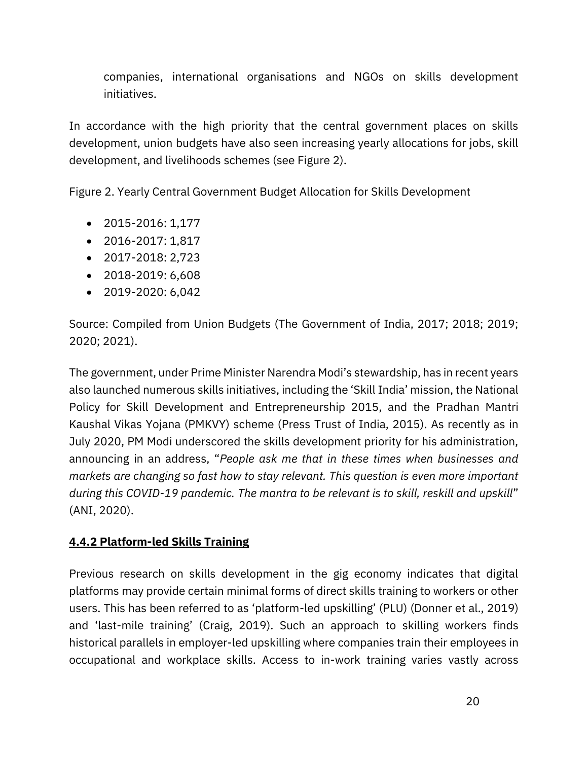companies, international organisations and NGOs on skills development initiatives.

In accordance with the high priority that the central government places on skills development, union budgets have also seen increasing yearly allocations for jobs, skill development, and livelihoods schemes (see Figure 2).

Figure 2. Yearly Central Government Budget Allocation for Skills Development

- 2015-2016: 1,177
- 2016-2017: 1,817
- 2017-2018: 2,723
- 2018-2019: 6,608
- 2019-2020: 6,042

Source: Compiled from Union Budgets (The Government of India, 2017; 2018; 2019; 2020; 2021).

The government, under Prime Minister Narendra Modi's stewardship, has in recent years also launched numerous skills initiatives, including the 'Skill India' mission, the National Policy for Skill Development and Entrepreneurship 2015, and the Pradhan Mantri Kaushal Vikas Yojana (PMKVY) scheme [\(Press Trust of India, 2015\)](https://www.zotero.org/google-docs/?PHODV2). As recently as in July 2020, PM Modi underscored the skills development priority for his administration, announcing in an address, "*People ask me that in these times when businesses and markets are changing so fast how to stay relevant. This question is even more important during this COVID-19 pandemic. The mantra to be relevant is to skill, reskill and upskill*" (ANI, 2020).

### **4.4.2 Platform-led Skills Training**

Previous research on skills development in the gig economy indicates that digital platforms may provide certain minimal forms of direct skills training to workers or other users. This has been referred to as 'platform-led upskilling' (PLU) ([Donner et al., 2019\)](https://www.zotero.org/google-docs/?57liK3) and 'last-mile training' ([Craig, 2019\)](https://www.zotero.org/google-docs/?gGAKof). Such an approach to skilling workers finds historical parallels in employer-led upskilling where companies train their employees in occupational and workplace skills. Access to in-work training varies vastly across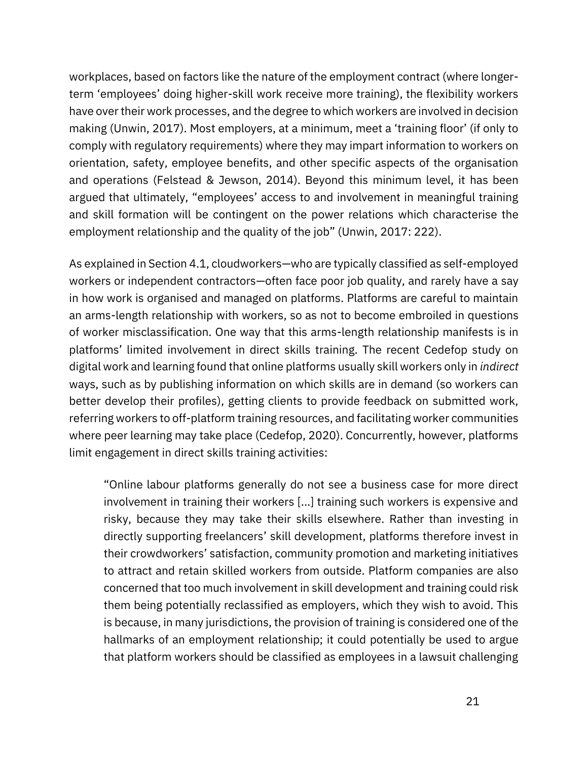workplaces, based on factors like the nature of the employment contract (where longerterm 'employees' doing higher-skill work receive more training), the flexibility workers have over their work processes, and the degree to which workers are involved in decision making [\(Unwin, 2017](https://www.zotero.org/google-docs/?yebFdM)). Most employers, at a minimum, meet a 'training floor' (if only to comply with regulatory requirements) where they may impart information to workers on orientation, safety, employee benefits, and other specific aspects of the organisation and operations [\(Felstead & Jewson, 2014\)](https://www.zotero.org/google-docs/?fL44q3). Beyond this minimum level, it has been argued that ultimately, "employees' access to and involvement in meaningful training and skill formation will be contingent on the power relations which characterise the employment relationship and the quality of the job" ([Unwin, 2017:](https://www.zotero.org/google-docs/?Lu5CLI) 222).

As explained in Section 4.1, cloudworkers—who are typically classified as self-employed workers or independent contractors—often face poor job quality, and rarely have a say in how work is organised and managed on platforms. Platforms are careful to maintain an arms-length relationship with workers, so as not to become embroiled in questions of worker misclassification. One way that this arms-length relationship manifests is in platforms' limited involvement in direct skills training. The recent Cedefop study on digital work and learning found that online platforms usually skill workers only in *indirect* ways, such as by publishing information on which skills are in demand (so workers can better develop their profiles), getting clients to provide feedback on submitted work, referring workers to off-platform training resources, and facilitating worker communities where peer learning may take place [\(Cedefop, 2020\)](https://www.zotero.org/google-docs/?847z6s). Concurrently, however, platforms limit engagement in direct skills training activities:

"Online labour platforms generally do not see a business case for more direct involvement in training their workers [...] training such workers is expensive and risky, because they may take their skills elsewhere. Rather than investing in directly supporting freelancers' skill development, platforms therefore invest in their crowdworkers' satisfaction, community promotion and marketing initiatives to attract and retain skilled workers from outside. Platform companies are also concerned that too much involvement in skill development and training could risk them being potentially reclassified as employers, which they wish to avoid. This is because, in many jurisdictions, the provision of training is considered one of the hallmarks of an employment relationship; it could potentially be used to argue that platform workers should be classified as employees in a lawsuit challenging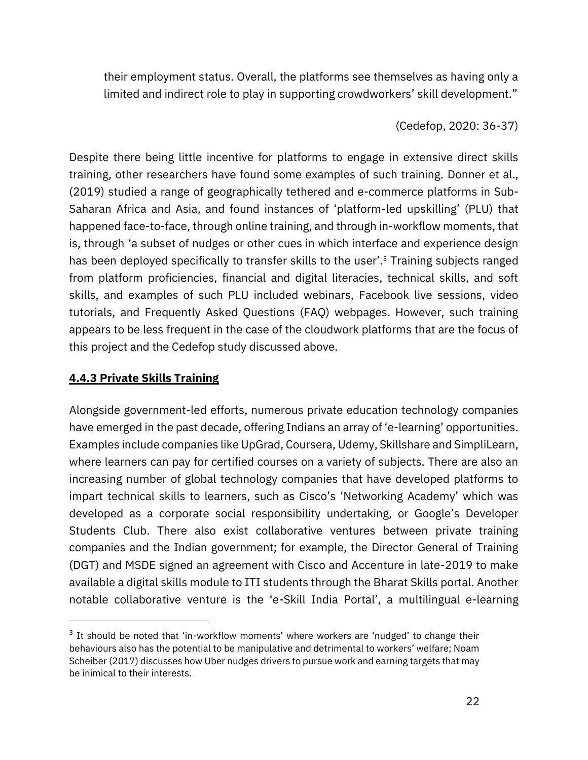their employment status. Overall, the platforms see themselves as having only a limited and indirect role to play in supporting crowdworkers' skill development."

#### [\(Cedefop, 2020:](https://www.zotero.org/google-docs/?DBI3QA) 36-37)

Despite there being little incentive for platforms to engage in extensive direct skills training, other researchers have found some examples of such training. [Donner et al.,](https://www.zotero.org/google-docs/?B5mny0)  [\(2019\)](https://www.zotero.org/google-docs/?B5mny0) studied a range of geographically tethered and e-commerce platforms in Sub-Saharan Africa and Asia, and found instances of 'platform-led upskilling' (PLU) that happened face-to-face, through online training, and through in-workflow moments, that is, through 'a subset of nudges or other cues in which interface and experience design has been deployed specifically to transfer skills to the user'.<sup>3</sup> Training subjects ranged from platform proficiencies, financial and digital literacies, technical skills, and soft skills, and examples of such PLU included webinars, Facebook live sessions, video tutorials, and Frequently Asked Questions (FAQ) webpages. However, such training appears to be less frequent in the case of the cloudwork platforms that are the focus of this project and the Cedefop study discussed above.

#### **4.4.3 Private Skills Training**

Alongside government-led efforts, numerous private education technology companies have emerged in the past decade, offering Indians an array of 'e-learning' opportunities. Examples include companies like UpGrad, Coursera, Udemy, Skillshare and SimpliLearn, where learners can pay for certified courses on a variety of subjects. There are also an increasing number of global technology companies that have developed platforms to impart technical skills to learners, such as Cisco's 'Networking Academy' which was developed as a corporate social responsibility undertaking, or Google's Developer Students Club. There also exist collaborative ventures between private training companies and the Indian government; for example, the Director General of Training (DGT) and MSDE signed an agreement with Cisco and Accenture in late-2019 to make available a digital skills module to ITI students through the Bharat Skills portal. Another notable collaborative venture is the 'e-Skill India Portal', a multilingual e-learning

<sup>&</sup>lt;sup>3</sup> It should be noted that 'in-workflow moments' where workers are 'nudged' to change their behaviours also has the potential to be manipulative and detrimental to workers' welfare; Noam [Scheiber](https://www.zotero.org/google-docs/?mpHyUv) [\(2017\)](https://www.zotero.org/google-docs/?mpHyUv) discusses how Uber nudges drivers to pursue work and earning targets that may be inimical to their interests.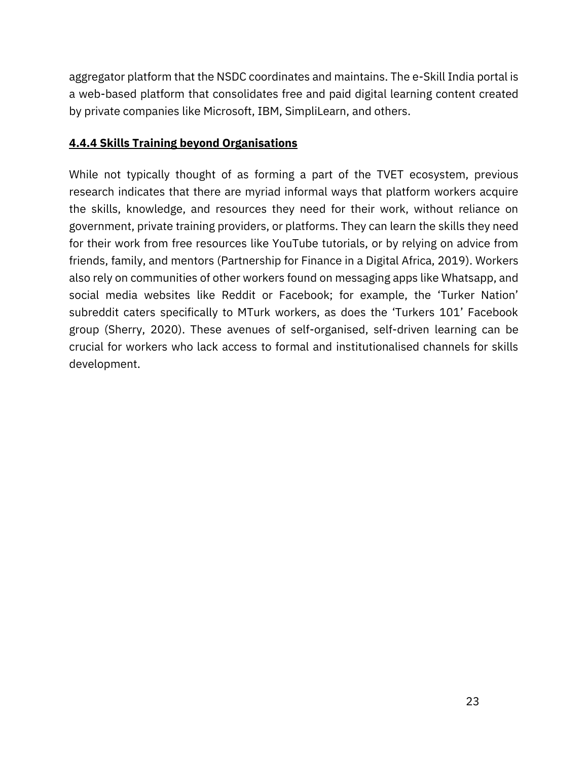aggregator platform that the NSDC coordinates and maintains. The e-Skill India portal is a web-based platform that consolidates free and paid digital learning content created by private companies like Microsoft, IBM, SimpliLearn, and others.

### **4.4.4 Skills Training beyond Organisations**

While not typically thought of as forming a part of the TVET ecosystem, previous research indicates that there are myriad informal ways that platform workers acquire the skills, knowledge, and resources they need for their work, without reliance on government, private training providers, or platforms. They can learn the skills they need for their work from free resources like YouTube tutorials, or by relying on advice from friends, family, and mentors [\(Partnership for Finance in a Digital Africa, 2019\)](https://www.zotero.org/google-docs/?QPcfGG). Workers also rely on communities of other workers found on messaging apps like Whatsapp, and social media websites like Reddit or Facebook; for example, the 'Turker Nation' subreddit caters specifically to MTurk workers, as does the 'Turkers 101' Facebook group [\(Sherry, 2020\)](https://www.zotero.org/google-docs/?8bfUbD). These avenues of self-organised, self-driven learning can be crucial for workers who lack access to formal and institutionalised channels for skills development.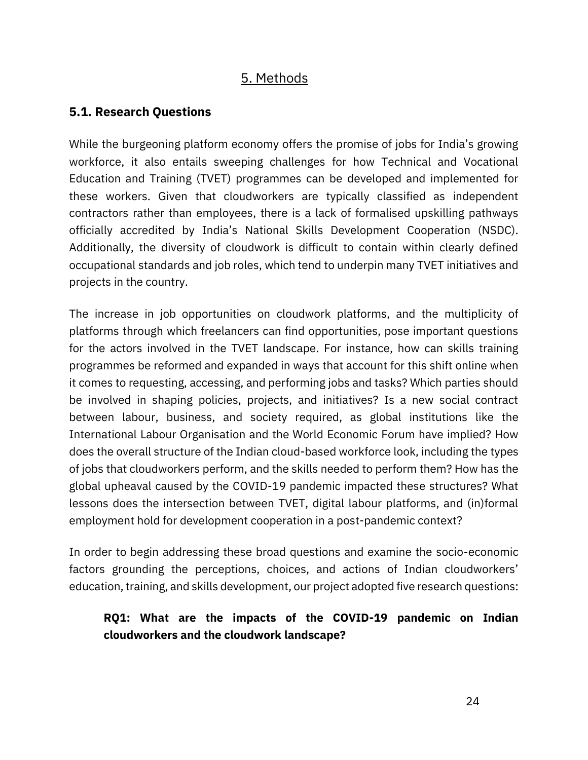# 5. Methods

## <span id="page-24-1"></span><span id="page-24-0"></span>**5.1. Research Questions**

While the burgeoning platform economy offers the promise of jobs for India's growing workforce, it also entails sweeping challenges for how Technical and Vocational Education and Training (TVET) programmes can be developed and implemented for these workers. Given that cloudworkers are typically classified as independent contractors rather than employees, there is a lack of formalised upskilling pathways officially accredited by India's National Skills Development Cooperation (NSDC). Additionally, the diversity of cloudwork is difficult to contain within clearly defined occupational standards and job roles, which tend to underpin many TVET initiatives and projects in the country.

The increase in job opportunities on cloudwork platforms, and the multiplicity of platforms through which freelancers can find opportunities, pose important questions for the actors involved in the TVET landscape. For instance, how can skills training programmes be reformed and expanded in ways that account for this shift online when it comes to requesting, accessing, and performing jobs and tasks? Which parties should be involved in shaping policies, projects, and initiatives? Is a new social contract between labour, business, and society required, as global institutions like the International Labour Organisation and the World Economic Forum have implied? How does the overall structure of the Indian cloud-based workforce look, including the types of jobs that cloudworkers perform, and the skills needed to perform them? How has the global upheaval caused by the COVID-19 pandemic impacted these structures? What lessons does the intersection between TVET, digital labour platforms, and (in)formal employment hold for development cooperation in a post-pandemic context?

In order to begin addressing these broad questions and examine the socio-economic factors grounding the perceptions, choices, and actions of Indian cloudworkers' education, training, and skills development, our project adopted five research questions:

## **RQ1: What are the impacts of the COVID-19 pandemic on Indian cloudworkers and the cloudwork landscape?**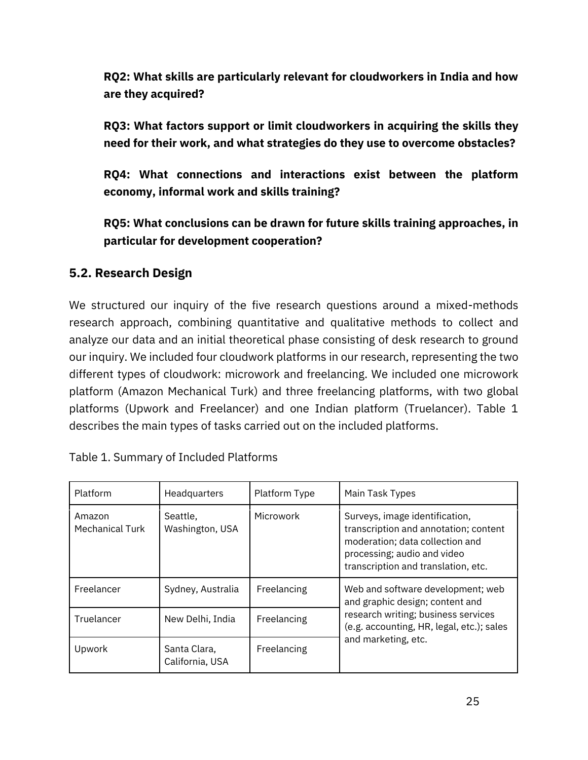**RQ2: What skills are particularly relevant for cloudworkers in India and how are they acquired?** 

**RQ3: What factors support or limit cloudworkers in acquiring the skills they need for their work, and what strategies do they use to overcome obstacles?**

**RQ4: What connections and interactions exist between the platform economy, informal work and skills training?** 

**RQ5: What conclusions can be drawn for future skills training approaches, in particular for development cooperation?**

### <span id="page-25-0"></span>**5.2. Research Design**

We structured our inquiry of the five research questions around a mixed-methods research approach, combining quantitative and qualitative methods to collect and analyze our data and an initial theoretical phase consisting of desk research to ground our inquiry. We included four cloudwork platforms in our research, representing the two different types of cloudwork: microwork and freelancing. We included one microwork platform (Amazon Mechanical Turk) and three freelancing platforms, with two global platforms (Upwork and Freelancer) and one Indian platform (Truelancer). Table 1 describes the main types of tasks carried out on the included platforms.

| <b>Platform</b>                  | Headquarters                    | Platform Type | Main Task Types                                                                                                                                                                  |
|----------------------------------|---------------------------------|---------------|----------------------------------------------------------------------------------------------------------------------------------------------------------------------------------|
| Amazon<br><b>Mechanical Turk</b> | Seattle,<br>Washington, USA     | Microwork     | Surveys, image identification,<br>transcription and annotation; content<br>moderation; data collection and<br>processing; audio and video<br>transcription and translation, etc. |
| Freelancer                       | Sydney, Australia               | Freelancing   | Web and software development; web<br>and graphic design; content and                                                                                                             |
| Truelancer                       | New Delhi, India                | Freelancing   | research writing; business services<br>(e.g. accounting, HR, legal, etc.); sales                                                                                                 |
| Upwork                           | Santa Clara.<br>California, USA | Freelancing   | and marketing, etc.                                                                                                                                                              |

Table 1. Summary of Included Platforms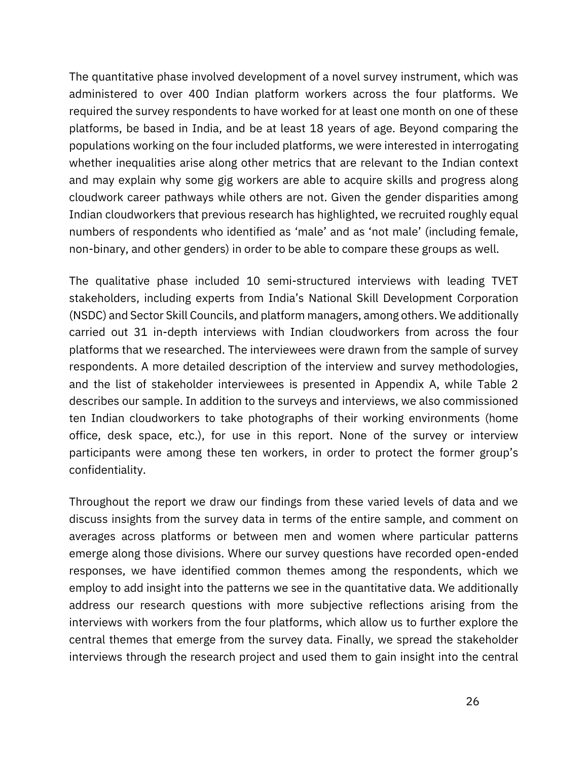The quantitative phase involved development of a novel survey instrument, which was administered to over 400 Indian platform workers across the four platforms. We required the survey respondents to have worked for at least one month on one of these platforms, be based in India, and be at least 18 years of age. Beyond comparing the populations working on the four included platforms, we were interested in interrogating whether inequalities arise along other metrics that are relevant to the Indian context and may explain why some gig workers are able to acquire skills and progress along cloudwork career pathways while others are not. Given the gender disparities among Indian cloudworkers that previous research has highlighted, we recruited roughly equal numbers of respondents who identified as 'male' and as 'not male' (including female, non-binary, and other genders) in order to be able to compare these groups as well.

The qualitative phase included 10 semi-structured interviews with leading TVET stakeholders, including experts from India's National Skill Development Corporation (NSDC) and Sector Skill Councils, and platform managers, among others. We additionally carried out 31 in-depth interviews with Indian cloudworkers from across the four platforms that we researched. The interviewees were drawn from the sample of survey respondents. A more detailed description of the interview and survey methodologies, and the list of stakeholder interviewees is presented in Appendix A, while Table 2 describes our sample. In addition to the surveys and interviews, we also commissioned ten Indian cloudworkers to take photographs of their working environments (home office, desk space, etc.), for use in this report. None of the survey or interview participants were among these ten workers, in order to protect the former group's confidentiality.

Throughout the report we draw our findings from these varied levels of data and we discuss insights from the survey data in terms of the entire sample, and comment on averages across platforms or between men and women where particular patterns emerge along those divisions. Where our survey questions have recorded open-ended responses, we have identified common themes among the respondents, which we employ to add insight into the patterns we see in the quantitative data. We additionally address our research questions with more subjective reflections arising from the interviews with workers from the four platforms, which allow us to further explore the central themes that emerge from the survey data. Finally, we spread the stakeholder interviews through the research project and used them to gain insight into the central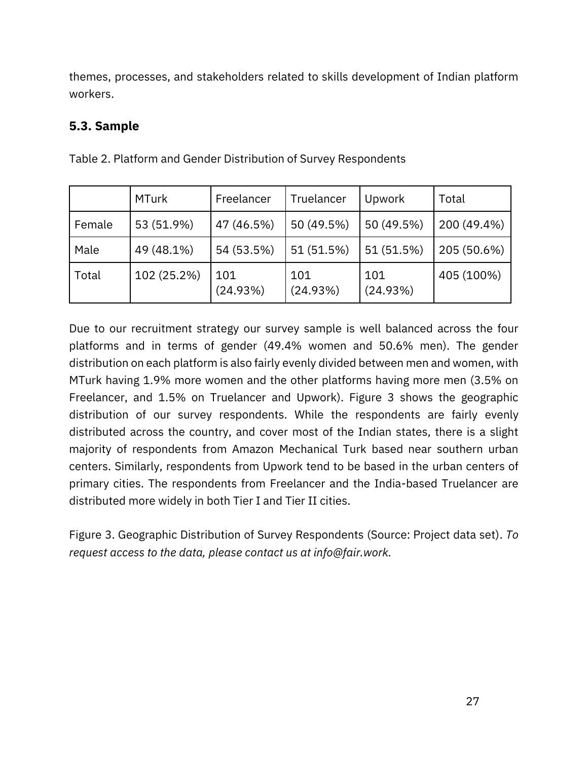themes, processes, and stakeholders related to skills development of Indian platform workers.

### <span id="page-27-0"></span>**5.3. Sample**

|        | <b>MTurk</b> | Freelancer      | Truelancer      | Upwork          | Total       |
|--------|--------------|-----------------|-----------------|-----------------|-------------|
| Female | 53 (51.9%)   | 47 (46.5%)      | 50 (49.5%)      | 50 (49.5%)      | 200 (49.4%) |
| Male   | 49 (48.1%)   | 54 (53.5%)      | 51 (51.5%)      | 51 (51.5%)      | 205 (50.6%) |
| Total  | 102 (25.2%)  | 101<br>(24.93%) | 101<br>(24.93%) | 101<br>(24.93%) | 405 (100%)  |

Table 2. Platform and Gender Distribution of Survey Respondents

Due to our recruitment strategy our survey sample is well balanced across the four platforms and in terms of gender (49.4% women and 50.6% men). The gender distribution on each platform is also fairly evenly divided between men and women, with MTurk having 1.9% more women and the other platforms having more men (3.5% on Freelancer, and 1.5% on Truelancer and Upwork). Figure 3 shows the geographic distribution of our survey respondents. While the respondents are fairly evenly distributed across the country, and cover most of the Indian states, there is a slight majority of respondents from Amazon Mechanical Turk based near southern urban centers. Similarly, respondents from Upwork tend to be based in the urban centers of primary cities. The respondents from Freelancer and the India-based Truelancer are distributed more widely in both Tier I and Tier II cities.

Figure 3. Geographic Distribution of Survey Respondents (Source: Project data set). *To request access to the data, please contact us at info@fair.work.*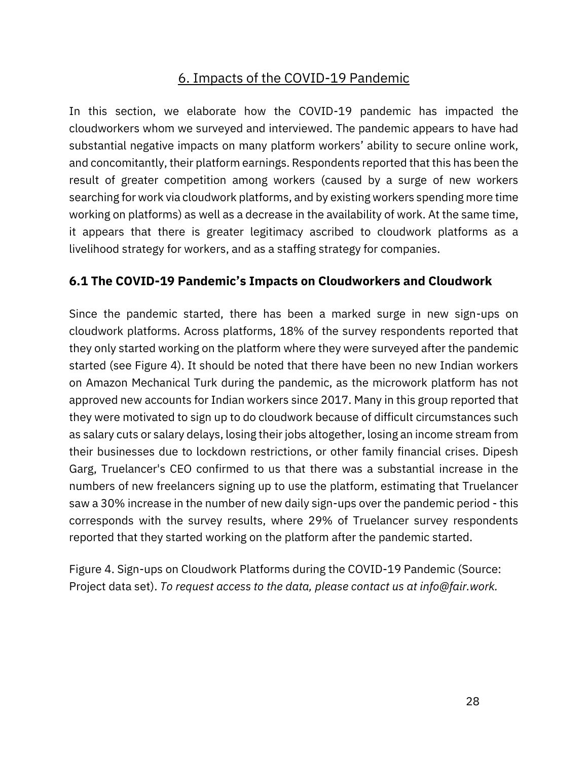# 6. Impacts of the COVID-19 Pandemic

In this section, we elaborate how the COVID-19 pandemic has impacted the cloudworkers whom we surveyed and interviewed. The pandemic appears to have had substantial negative impacts on many platform workers' ability to secure online work, and concomitantly, their platform earnings. Respondents reported that this has been the result of greater competition among workers (caused by a surge of new workers searching for work via cloudwork platforms, and by existing workers spending more time working on platforms) as well as a decrease in the availability of work. At the same time, it appears that there is greater legitimacy ascribed to cloudwork platforms as a livelihood strategy for workers, and as a staffing strategy for companies.

### <span id="page-28-0"></span>**6.1 The COVID-19 Pandemic's Impacts on Cloudworkers and Cloudwork**

Since the pandemic started, there has been a marked surge in new sign-ups on cloudwork platforms. Across platforms, 18% of the survey respondents reported that they only started working on the platform where they were surveyed after the pandemic started (see Figure 4). It should be noted that there have been no new Indian workers on Amazon Mechanical Turk during the pandemic, as the microwork platform has not approved new accounts for Indian workers since 2017. Many in this group reported that they were motivated to sign up to do cloudwork because of difficult circumstances such as salary cuts or salary delays, losing their jobs altogether, losing an income stream from their businesses due to lockdown restrictions, or other family financial crises. Dipesh Garg, Truelancer's CEO confirmed to us that there was a substantial increase in the numbers of new freelancers signing up to use the platform, estimating that Truelancer saw a 30% increase in the number of new daily sign-ups over the pandemic period - this corresponds with the survey results, where 29% of Truelancer survey respondents reported that they started working on the platform after the pandemic started.

Figure 4. Sign-ups on Cloudwork Platforms during the COVID-19 Pandemic (Source: Project data set). *To request access to the data, please contact us at info@fair.work.*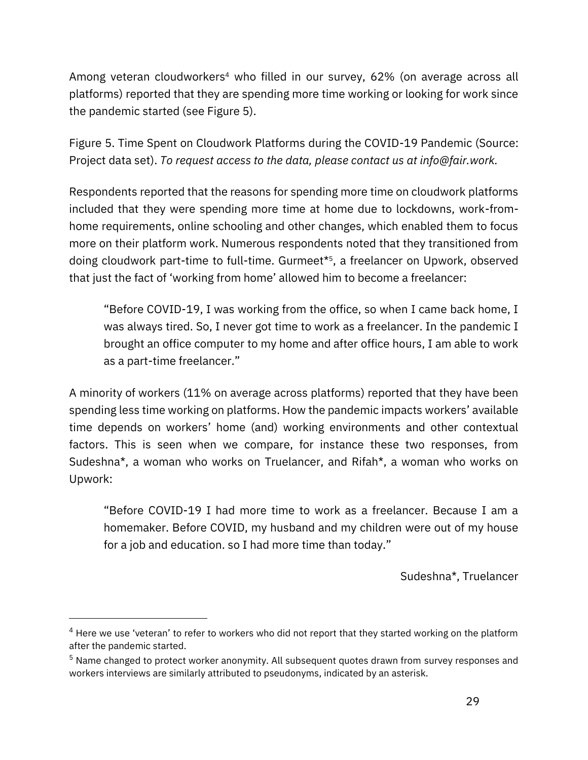Among veteran cloudworkers<sup>4</sup> who filled in our survey, 62% (on average across all platforms) reported that they are spending more time working or looking for work since the pandemic started (see Figure 5).

Figure 5. Time Spent on Cloudwork Platforms during the COVID-19 Pandemic (Source: Project data set). *To request access to the data, please contact us at info@fair.work.*

Respondents reported that the reasons for spending more time on cloudwork platforms included that they were spending more time at home due to lockdowns, work-fromhome requirements, online schooling and other changes, which enabled them to focus more on their platform work. Numerous respondents noted that they transitioned from doing cloudwork part-time to full-time. Gurmeet\*<sup>5</sup> , a freelancer on Upwork, observed that just the fact of 'working from home' allowed him to become a freelancer:

"Before COVID-19, I was working from the office, so when I came back home, I was always tired. So, I never got time to work as a freelancer. In the pandemic I brought an office computer to my home and after office hours, I am able to work as a part-time freelancer."

A minority of workers (11% on average across platforms) reported that they have been spending less time working on platforms. How the pandemic impacts workers' available time depends on workers' home (and) working environments and other contextual factors. This is seen when we compare, for instance these two responses, from Sudeshna\*, a woman who works on Truelancer, and Rifah\*, a woman who works on Upwork:

"Before COVID-19 I had more time to work as a freelancer. Because I am a homemaker. Before COVID, my husband and my children were out of my house for a job and education. so I had more time than today."

Sudeshna\*, Truelancer

 $4$  Here we use 'veteran' to refer to workers who did not report that they started working on the platform after the pandemic started.

<sup>5</sup> Name changed to protect worker anonymity. All subsequent quotes drawn from survey responses and workers interviews are similarly attributed to pseudonyms, indicated by an asterisk.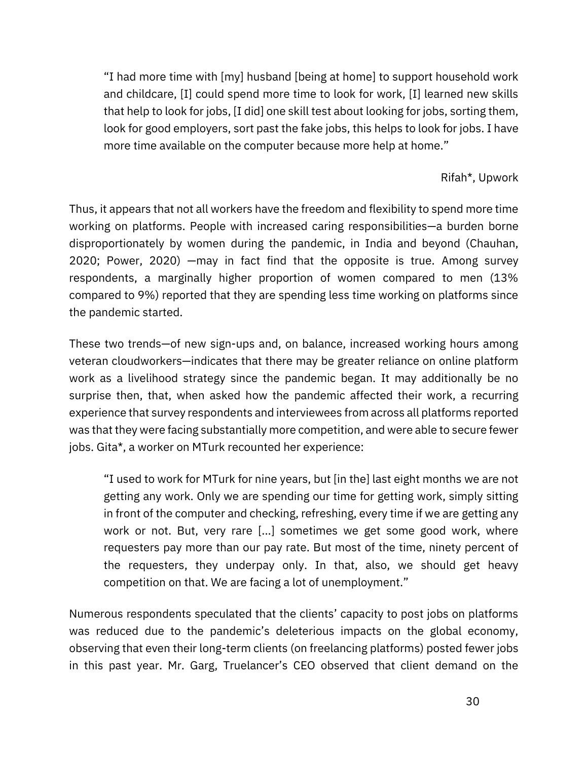"I had more time with [my] husband [being at home] to support household work and childcare, [I] could spend more time to look for work, [I] learned new skills that help to look for jobs, [I did] one skill test about looking for jobs, sorting them, look for good employers, sort past the fake jobs, this helps to look for jobs. I have more time available on the computer because more help at home."

#### Rifah\*, Upwork

Thus, it appears that not all workers have the freedom and flexibility to spend more time working on platforms. People with increased caring responsibilities—a burden borne disproportionately by women during the pandemic, in India and beyond [\(Chauhan,](https://www.zotero.org/google-docs/?qmohik)  [2020;](https://www.zotero.org/google-docs/?qmohik) [Power, 2020\)](https://www.zotero.org/google-docs/?blkNe8) —may in fact find that the opposite is true. Among survey respondents, a marginally higher proportion of women compared to men (13% compared to 9%) reported that they are spending less time working on platforms since the pandemic started.

These two trends—of new sign-ups and, on balance, increased working hours among veteran cloudworkers—indicates that there may be greater reliance on online platform work as a livelihood strategy since the pandemic began. It may additionally be no surprise then, that, when asked how the pandemic affected their work, a recurring experience that survey respondents and interviewees from across all platforms reported was that they were facing substantially more competition, and were able to secure fewer jobs. Gita\*, a worker on MTurk recounted her experience:

"I used to work for MTurk for nine years, but [in the] last eight months we are not getting any work. Only we are spending our time for getting work, simply sitting in front of the computer and checking, refreshing, every time if we are getting any work or not. But, very rare [...] sometimes we get some good work, where requesters pay more than our pay rate. But most of the time, ninety percent of the requesters, they underpay only. In that, also, we should get heavy competition on that. We are facing a lot of unemployment."

Numerous respondents speculated that the clients' capacity to post jobs on platforms was reduced due to the pandemic's deleterious impacts on the global economy, observing that even their long-term clients (on freelancing platforms) posted fewer jobs in this past year. Mr. Garg, Truelancer's CEO observed that client demand on the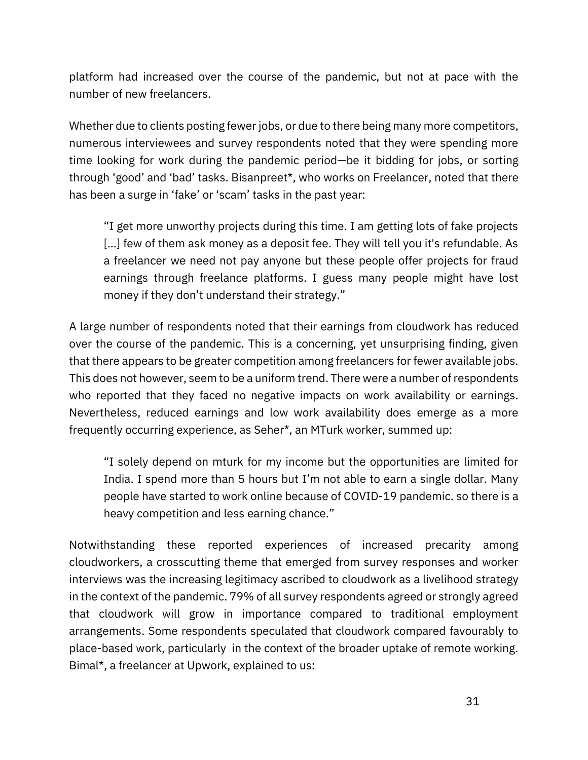platform had increased over the course of the pandemic, but not at pace with the number of new freelancers.

Whether due to clients posting fewer jobs, or due to there being many more competitors, numerous interviewees and survey respondents noted that they were spending more time looking for work during the pandemic period—be it bidding for jobs, or sorting through 'good' and 'bad' tasks. Bisanpreet\*, who works on Freelancer, noted that there has been a surge in 'fake' or 'scam' tasks in the past year:

"I get more unworthy projects during this time. I am getting lots of fake projects [...] few of them ask money as a deposit fee. They will tell you it's refundable. As a freelancer we need not pay anyone but these people offer projects for fraud earnings through freelance platforms. I guess many people might have lost money if they don't understand their strategy."

A large number of respondents noted that their earnings from cloudwork has reduced over the course of the pandemic. This is a concerning, yet unsurprising finding, given that there appears to be greater competition among freelancers for fewer available jobs. This does not however, seem to be a uniform trend. There were a number of respondents who reported that they faced no negative impacts on work availability or earnings. Nevertheless, reduced earnings and low work availability does emerge as a more frequently occurring experience, as Seher\*, an MTurk worker, summed up:

"I solely depend on mturk for my income but the opportunities are limited for India. I spend more than 5 hours but I'm not able to earn a single dollar. Many people have started to work online because of COVID-19 pandemic. so there is a heavy competition and less earning chance."

Notwithstanding these reported experiences of increased precarity among cloudworkers, a crosscutting theme that emerged from survey responses and worker interviews was the increasing legitimacy ascribed to cloudwork as a livelihood strategy in the context of the pandemic. 79% of all survey respondents agreed or strongly agreed that cloudwork will grow in importance compared to traditional employment arrangements. Some respondents speculated that cloudwork compared favourably to place-based work, particularly in the context of the broader uptake of remote working. Bimal\*, a freelancer at Upwork, explained to us: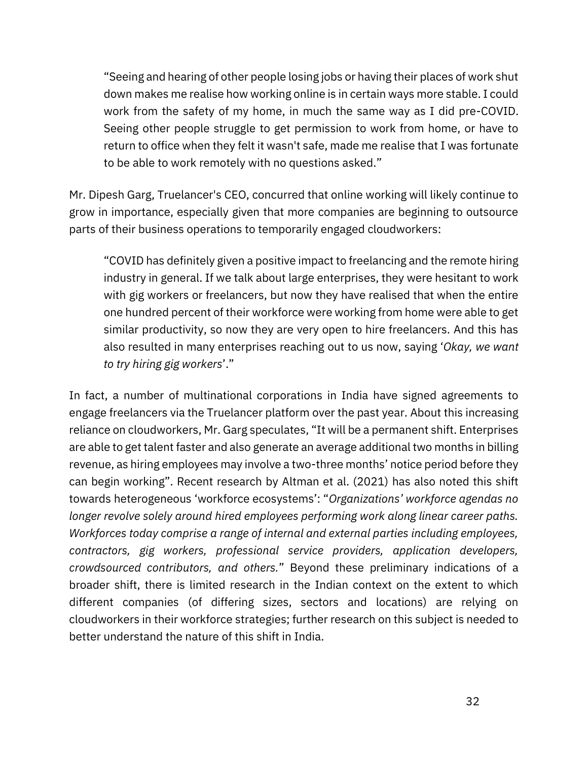"Seeing and hearing of other people losing jobs or having their places of work shut down makes me realise how working online is in certain ways more stable. I could work from the safety of my home, in much the same way as I did pre-COVID. Seeing other people struggle to get permission to work from home, or have to return to office when they felt it wasn't safe, made me realise that I was fortunate to be able to work remotely with no questions asked."

Mr. Dipesh Garg, Truelancer's CEO, concurred that online working will likely continue to grow in importance, especially given that more companies are beginning to outsource parts of their business operations to temporarily engaged cloudworkers:

"COVID has definitely given a positive impact to freelancing and the remote hiring industry in general. If we talk about large enterprises, they were hesitant to work with gig workers or freelancers, but now they have realised that when the entire one hundred percent of their workforce were working from home were able to get similar productivity, so now they are very open to hire freelancers. And this has also resulted in many enterprises reaching out to us now, saying '*Okay, we want to try hiring gig workers*'."

In fact, a number of multinational corporations in India have signed agreements to engage freelancers via the Truelancer platform over the past year. About this increasing reliance on cloudworkers, Mr. Garg speculates, "It will be a permanent shift. Enterprises are able to get talent faster and also generate an average additional two months in billing revenue, as hiring employees may involve a two-three months' notice period before they can begin working". Recent research by [Altman et al. \(2021\)](https://www.zotero.org/google-docs/?yl42S0) has also noted this shift towards heterogeneous 'workforce ecosystems': "*Organizations' workforce agendas no longer revolve solely around hired employees performing work along linear career paths. Workforces today comprise a range of internal and external parties including employees, contractors, gig workers, professional service providers, application developers, crowdsourced contributors, and others.*" Beyond these preliminary indications of a broader shift, there is limited research in the Indian context on the extent to which different companies (of differing sizes, sectors and locations) are relying on cloudworkers in their workforce strategies; further research on this subject is needed to better understand the nature of this shift in India.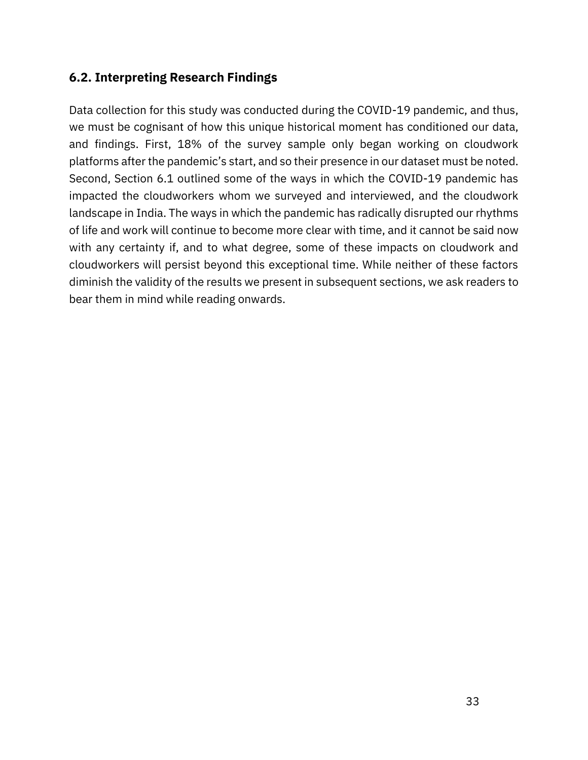### <span id="page-33-0"></span>**6.2. Interpreting Research Findings**

Data collection for this study was conducted during the COVID-19 pandemic, and thus, we must be cognisant of how this unique historical moment has conditioned our data, and findings. First, 18% of the survey sample only began working on cloudwork platforms after the pandemic's start, and so their presence in our dataset must be noted. Second, Section 6.1 outlined some of the ways in which the COVID-19 pandemic has impacted the cloudworkers whom we surveyed and interviewed, and the cloudwork landscape in India. The ways in which the pandemic has radically disrupted our rhythms of life and work will continue to become more clear with time, and it cannot be said now with any certainty if, and to what degree, some of these impacts on cloudwork and cloudworkers will persist beyond this exceptional time. While neither of these factors diminish the validity of the results we present in subsequent sections, we ask readers to bear them in mind while reading onwards.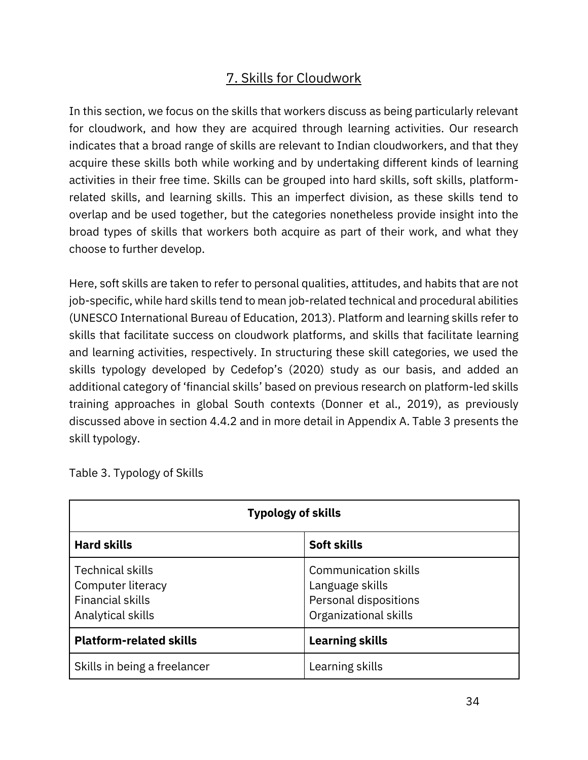# 7. Skills for Cloudwork

<span id="page-34-0"></span>In this section, we focus on the skills that workers discuss as being particularly relevant for cloudwork, and how they are acquired through learning activities. Our research indicates that a broad range of skills are relevant to Indian cloudworkers, and that they acquire these skills both while working and by undertaking different kinds of learning activities in their free time. Skills can be grouped into hard skills, soft skills, platformrelated skills, and learning skills. This an imperfect division, as these skills tend to overlap and be used together, but the categories nonetheless provide insight into the broad types of skills that workers both acquire as part of their work, and what they choose to further develop.

Here, soft skills are taken to refer to personal qualities, attitudes, and habits that are not job-specific, while hard skills tend to mean job-related technical and procedural abilities [\(UNESCO International Bureau of Education, 2013\).](https://www.zotero.org/google-docs/?8LbeXf) Platform and learning skills refer to skills that facilitate success on cloudwork platforms, and skills that facilitate learning and learning activities, respectively. In structuring these skill categories, we used the skills typology developed by Cedefop's ([2020\)](https://www.zotero.org/google-docs/?SAMQDA) study as our basis, and added an additional category of 'financial skills' based on previous research on platform-led skills training approaches in global South contexts [\(Donner et al., 2019\),](https://www.zotero.org/google-docs/?dWu0qH) as previously discussed above in section 4.4.2 and in more detail in Appendix A. Table 3 presents the skill typology.

|                                                                                              | <b>Typology of skills</b>                                                                        |
|----------------------------------------------------------------------------------------------|--------------------------------------------------------------------------------------------------|
| <b>Hard skills</b>                                                                           | Soft skills                                                                                      |
| <b>Technical skills</b><br>Computer literacy<br><b>Financial skills</b><br>Analytical skills | <b>Communication skills</b><br>Language skills<br>Personal dispositions<br>Organizational skills |
| <b>Platform-related skills</b>                                                               | <b>Learning skills</b>                                                                           |
| Skills in being a freelancer                                                                 | Learning skills                                                                                  |

Table 3. Typology of Skills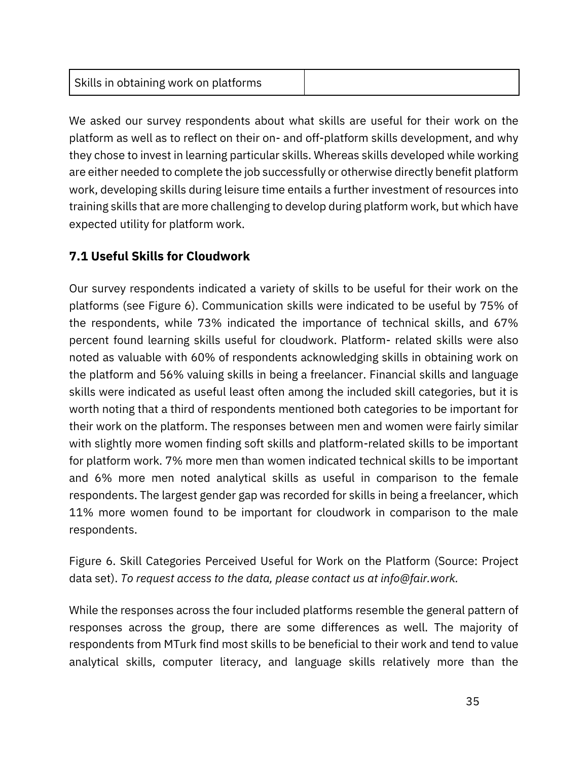|--|

We asked our survey respondents about what skills are useful for their work on the platform as well as to reflect on their on- and off-platform skills development, and why they chose to invest in learning particular skills. Whereas skills developed while working are either needed to complete the job successfully or otherwise directly benefit platform work, developing skills during leisure time entails a further investment of resources into training skills that are more challenging to develop during platform work, but which have expected utility for platform work.

## <span id="page-35-0"></span>**7.1 Useful Skills for Cloudwork**

Our survey respondents indicated a variety of skills to be useful for their work on the platforms (see Figure 6). Communication skills were indicated to be useful by 75% of the respondents, while 73% indicated the importance of technical skills, and 67% percent found learning skills useful for cloudwork. Platform- related skills were also noted as valuable with 60% of respondents acknowledging skills in obtaining work on the platform and 56% valuing skills in being a freelancer. Financial skills and language skills were indicated as useful least often among the included skill categories, but it is worth noting that a third of respondents mentioned both categories to be important for their work on the platform. The responses between men and women were fairly similar with slightly more women finding soft skills and platform-related skills to be important for platform work. 7% more men than women indicated technical skills to be important and 6% more men noted analytical skills as useful in comparison to the female respondents. The largest gender gap was recorded for skills in being a freelancer, which 11% more women found to be important for cloudwork in comparison to the male respondents.

Figure 6. Skill Categories Perceived Useful for Work on the Platform (Source: Project data set). *To request access to the data, please contact us at info@fair.work.*

While the responses across the four included platforms resemble the general pattern of responses across the group, there are some differences as well. The majority of respondents from MTurk find most skills to be beneficial to their work and tend to value analytical skills, computer literacy, and language skills relatively more than the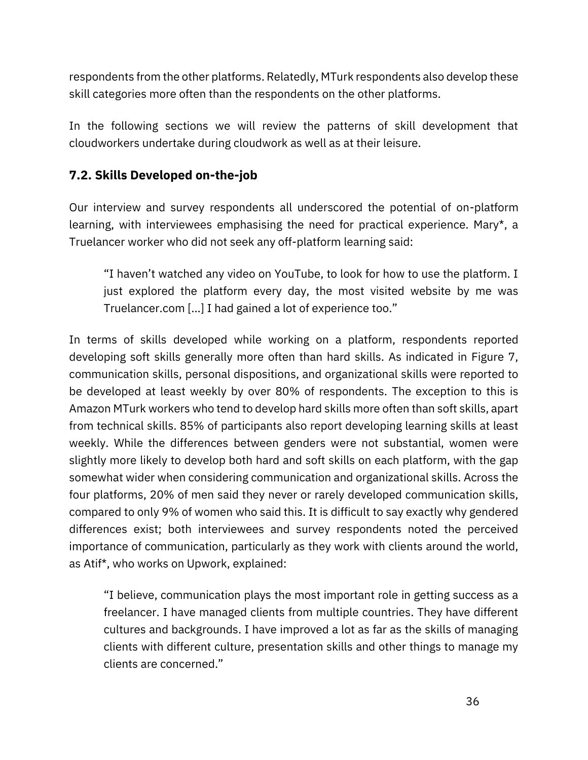respondents from the other platforms. Relatedly, MTurk respondents also develop these skill categories more often than the respondents on the other platforms.

In the following sections we will review the patterns of skill development that cloudworkers undertake during cloudwork as well as at their leisure.

### **7.2. Skills Developed on-the-job**

Our interview and survey respondents all underscored the potential of on-platform learning, with interviewees emphasising the need for practical experience. Mary\*, a Truelancer worker who did not seek any off-platform learning said:

"I haven't watched any video on YouTube, to look for how to use the platform. I just explored the platform every day, the most visited website by me was Truelancer.com [...] I had gained a lot of experience too."

In terms of skills developed while working on a platform, respondents reported developing soft skills generally more often than hard skills. As indicated in Figure 7, communication skills, personal dispositions, and organizational skills were reported to be developed at least weekly by over 80% of respondents. The exception to this is Amazon MTurk workers who tend to develop hard skills more often than soft skills, apart from technical skills. 85% of participants also report developing learning skills at least weekly. While the differences between genders were not substantial, women were slightly more likely to develop both hard and soft skills on each platform, with the gap somewhat wider when considering communication and organizational skills. Across the four platforms, 20% of men said they never or rarely developed communication skills, compared to only 9% of women who said this. It is difficult to say exactly why gendered differences exist; both interviewees and survey respondents noted the perceived importance of communication, particularly as they work with clients around the world, as Atif\*, who works on Upwork, explained:

"I believe, communication plays the most important role in getting success as a freelancer. I have managed clients from multiple countries. They have different cultures and backgrounds. I have improved a lot as far as the skills of managing clients with different culture, presentation skills and other things to manage my clients are concerned."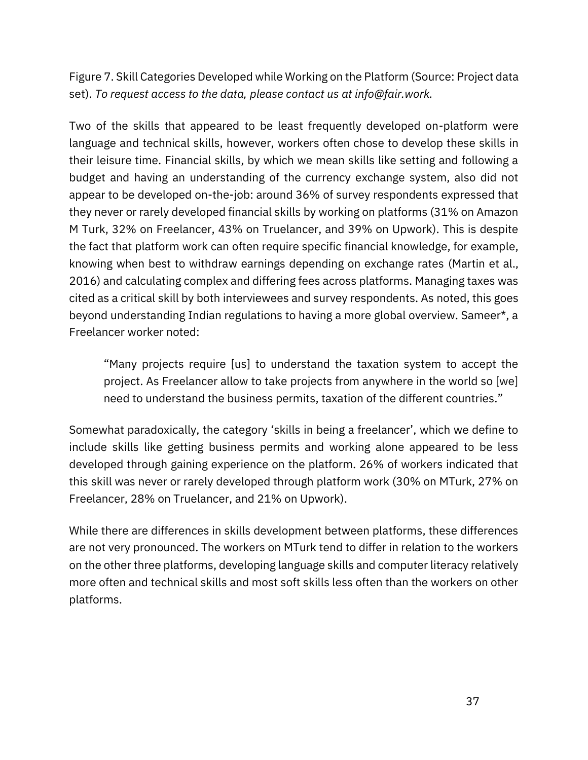Figure 7. Skill Categories Developed while Working on the Platform (Source: Project data set). *To request access to the data, please contact us at info@fair.work.*

Two of the skills that appeared to be least frequently developed on-platform were language and technical skills, however, workers often chose to develop these skills in their leisure time. Financial skills, by which we mean skills like setting and following a budget and having an understanding of the currency exchange system, also did not appear to be developed on-the-job: around 36% of survey respondents expressed that they never or rarely developed financial skills by working on platforms (31% on Amazon M Turk, 32% on Freelancer, 43% on Truelancer, and 39% on Upwork). This is despite the fact that platform work can often require specific financial knowledge, for example, knowing when best to withdraw earnings depending on exchange rates [\(Martin et al.,](https://www.zotero.org/google-docs/?LjV48l)  [2016\)](https://www.zotero.org/google-docs/?LjV48l) and calculating complex and differing fees across platforms. Managing taxes was cited as a critical skill by both interviewees and survey respondents. As noted, this goes beyond understanding Indian regulations to having a more global overview. Sameer\*, a Freelancer worker noted:

"Many projects require [us] to understand the taxation system to accept the project. As Freelancer allow to take projects from anywhere in the world so [we] need to understand the business permits, taxation of the different countries."

Somewhat paradoxically, the category 'skills in being a freelancer', which we define to include skills like getting business permits and working alone appeared to be less developed through gaining experience on the platform. 26% of workers indicated that this skill was never or rarely developed through platform work (30% on MTurk, 27% on Freelancer, 28% on Truelancer, and 21% on Upwork).

While there are differences in skills development between platforms, these differences are not very pronounced. The workers on MTurk tend to differ in relation to the workers on the other three platforms, developing language skills and computer literacy relatively more often and technical skills and most soft skills less often than the workers on other platforms.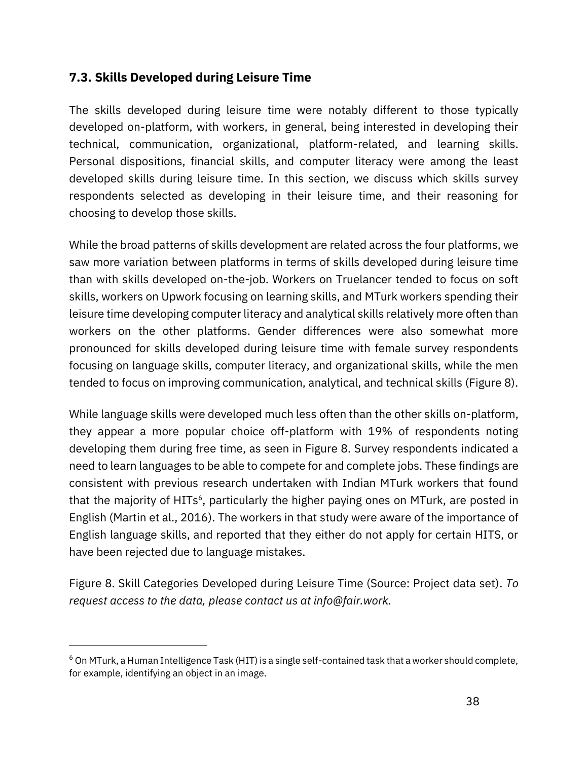### **7.3. Skills Developed during Leisure Time**

The skills developed during leisure time were notably different to those typically developed on-platform, with workers, in general, being interested in developing their technical, communication, organizational, platform-related, and learning skills. Personal dispositions, financial skills, and computer literacy were among the least developed skills during leisure time. In this section, we discuss which skills survey respondents selected as developing in their leisure time, and their reasoning for choosing to develop those skills.

While the broad patterns of skills development are related across the four platforms, we saw more variation between platforms in terms of skills developed during leisure time than with skills developed on-the-job. Workers on Truelancer tended to focus on soft skills, workers on Upwork focusing on learning skills, and MTurk workers spending their leisure time developing computer literacy and analytical skills relatively more often than workers on the other platforms. Gender differences were also somewhat more pronounced for skills developed during leisure time with female survey respondents focusing on language skills, computer literacy, and organizational skills, while the men tended to focus on improving communication, analytical, and technical skills (Figure 8).

While language skills were developed much less often than the other skills on-platform, they appear a more popular choice off-platform with 19% of respondents noting developing them during free time, as seen in Figure 8. Survey respondents indicated a need to learn languages to be able to compete for and complete jobs. These findings are consistent with previous research undertaken with Indian MTurk workers that found that the majority of HITs<sup>6</sup>, particularly the higher paying ones on MTurk, are posted in English [\(Martin et al., 2016\)](https://www.zotero.org/google-docs/?1AEBwc). The workers in that study were aware of the importance of English language skills, and reported that they either do not apply for certain HITS, or have been rejected due to language mistakes.

Figure 8. Skill Categories Developed during Leisure Time (Source: Project data set). *To request access to the data, please contact us at info@fair.work.*

<sup>6</sup> On MTurk, a Human Intelligence Task (HIT) is a single self-contained task that a worker should complete, for example, identifying an object in an image.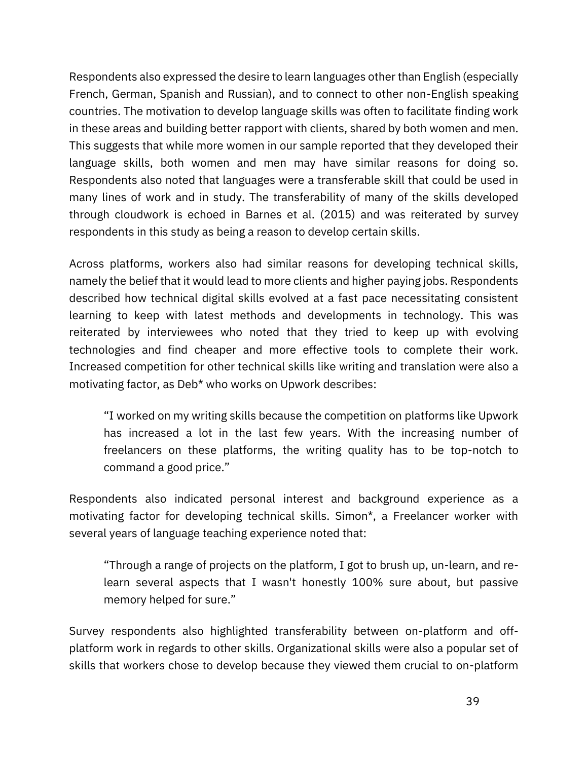Respondents also expressed the desire to learn languages other than English (especially French, German, Spanish and Russian), and to connect to other non-English speaking countries. The motivation to develop language skills was often to facilitate finding work in these areas and building better rapport with clients, shared by both women and men. This suggests that while more women in our sample reported that they developed their language skills, both women and men may have similar reasons for doing so. Respondents also noted that languages were a transferable skill that could be used in many lines of work and in study. The transferability of many of the skills developed through cloudwork is echoed in [Barnes et al.](https://www.zotero.org/google-docs/?lHZimL) [\(2015\)](https://www.zotero.org/google-docs/?lHZimL) and was reiterated by survey respondents in this study as being a reason to develop certain skills.

Across platforms, workers also had similar reasons for developing technical skills, namely the belief that it would lead to more clients and higher paying jobs. Respondents described how technical digital skills evolved at a fast pace necessitating consistent learning to keep with latest methods and developments in technology. This was reiterated by interviewees who noted that they tried to keep up with evolving technologies and find cheaper and more effective tools to complete their work. Increased competition for other technical skills like writing and translation were also a motivating factor, as Deb\* who works on Upwork describes:

"I worked on my writing skills because the competition on platforms like Upwork has increased a lot in the last few years. With the increasing number of freelancers on these platforms, the writing quality has to be top-notch to command a good price."

Respondents also indicated personal interest and background experience as a motivating factor for developing technical skills. Simon\*, a Freelancer worker with several years of language teaching experience noted that:

"Through a range of projects on the platform, I got to brush up, un-learn, and relearn several aspects that I wasn't honestly 100% sure about, but passive memory helped for sure."

Survey respondents also highlighted transferability between on-platform and offplatform work in regards to other skills. Organizational skills were also a popular set of skills that workers chose to develop because they viewed them crucial to on-platform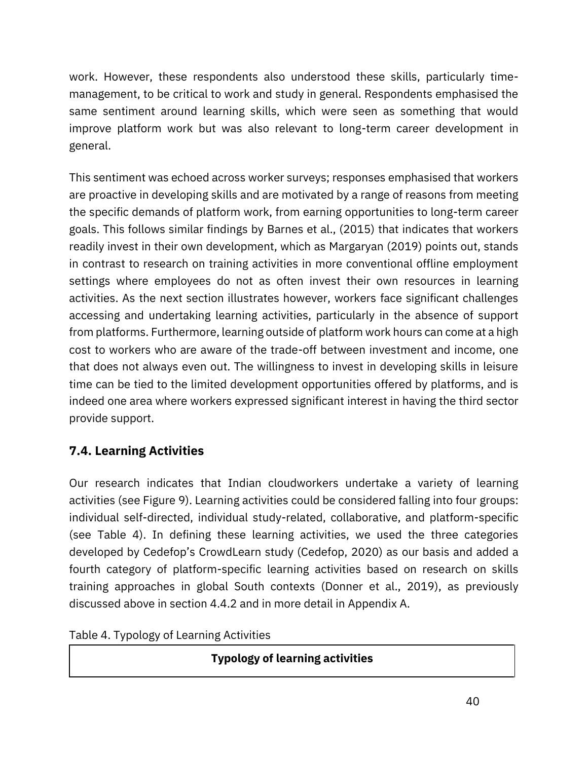work. However, these respondents also understood these skills, particularly timemanagement, to be critical to work and study in general. Respondents emphasised the same sentiment around learning skills, which were seen as something that would improve platform work but was also relevant to long-term career development in general.

This sentiment was echoed across worker surveys; responses emphasised that workers are proactive in developing skills and are motivated by a range of reasons from meeting the specific demands of platform work, from earning opportunities to long-term career goals. This follows similar findings by [Barnes et al., \(2015\)](https://www.zotero.org/google-docs/?AScijv) that indicates that workers readily invest in their own development, which as [Margaryan](https://www.zotero.org/google-docs/?OX6Rfv) (2019) points out, stands in contrast to research on training activities in more conventional offline employment settings where employees do not as often invest their own resources in learning activities. As the next section illustrates however, workers face significant challenges accessing and undertaking learning activities, particularly in the absence of support from platforms. Furthermore, learning outside of platform work hours can come at a high cost to workers who are aware of the trade-off between investment and income, one that does not always even out. The willingness to invest in developing skills in leisure time can be tied to the limited development opportunities offered by platforms, and is indeed one area where workers expressed significant interest in having the third sector provide support.

## **7.4. Learning Activities**

Our research indicates that Indian cloudworkers undertake a variety of learning activities (see Figure 9). Learning activities could be considered falling into four groups: individual self-directed, individual study-related, collaborative, and platform-specific (see Table 4). In defining these learning activities, we used the three categories developed by Cedefop's CrowdLearn study ([Cedefop, 2020\)](https://www.zotero.org/google-docs/?GtFzpZ) as our basis and added a fourth category of platform-specific learning activities based on research on skills training approaches in global South contexts [\(Donner et al., 2019\)](https://www.zotero.org/google-docs/?YvZtCN), as previously discussed above in section 4.4.2 and in more detail in Appendix A.

Table 4. Typology of Learning Activities

**Typology of learning activities**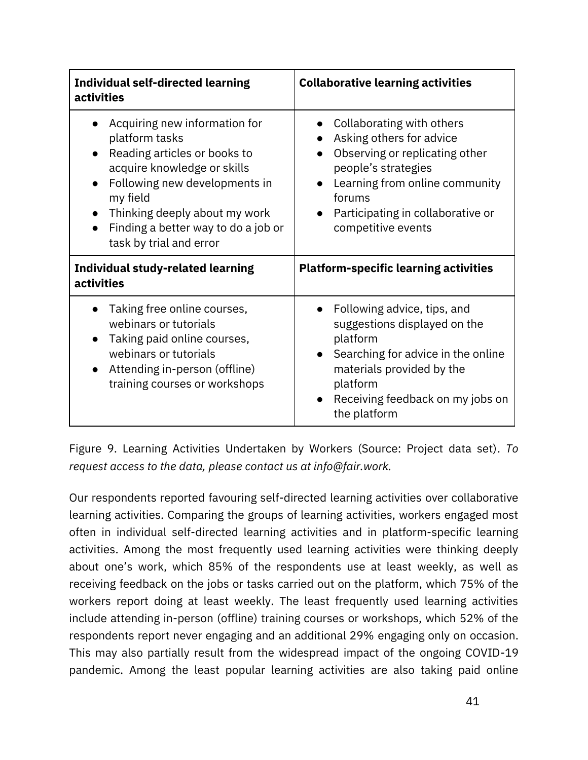| <b>Individual self-directed learning</b><br>activities                                                                                                                                                                                                                      | <b>Collaborative learning activities</b>                                                                                                                                                                              |  |  |
|-----------------------------------------------------------------------------------------------------------------------------------------------------------------------------------------------------------------------------------------------------------------------------|-----------------------------------------------------------------------------------------------------------------------------------------------------------------------------------------------------------------------|--|--|
| Acquiring new information for<br>platform tasks<br>Reading articles or books to<br>acquire knowledge or skills<br>Following new developments in<br>$\bullet$<br>my field<br>Thinking deeply about my work<br>Finding a better way to do a job or<br>task by trial and error | Collaborating with others<br>Asking others for advice<br>Observing or replicating other<br>people's strategies<br>Learning from online community<br>forums<br>Participating in collaborative or<br>competitive events |  |  |
| <b>Individual study-related learning</b><br>activities                                                                                                                                                                                                                      | <b>Platform-specific learning activities</b>                                                                                                                                                                          |  |  |
| Taking free online courses,<br>webinars or tutorials<br>Taking paid online courses,<br>webinars or tutorials<br>Attending in-person (offline)<br>training courses or workshops                                                                                              | Following advice, tips, and<br>suggestions displayed on the<br>platform<br>Searching for advice in the online<br>materials provided by the<br>platform<br>Receiving feedback on my jobs on<br>the platform            |  |  |

Figure 9. Learning Activities Undertaken by Workers (Source: Project data set). *To request access to the data, please contact us at info@fair.work.*

Our respondents reported favouring self-directed learning activities over collaborative learning activities. Comparing the groups of learning activities, workers engaged most often in individual self-directed learning activities and in platform-specific learning activities. Among the most frequently used learning activities were thinking deeply about one's work, which 85% of the respondents use at least weekly, as well as receiving feedback on the jobs or tasks carried out on the platform, which 75% of the workers report doing at least weekly. The least frequently used learning activities include attending in-person (offline) training courses or workshops, which 52% of the respondents report never engaging and an additional 29% engaging only on occasion. This may also partially result from the widespread impact of the ongoing COVID-19 pandemic. Among the least popular learning activities are also taking paid online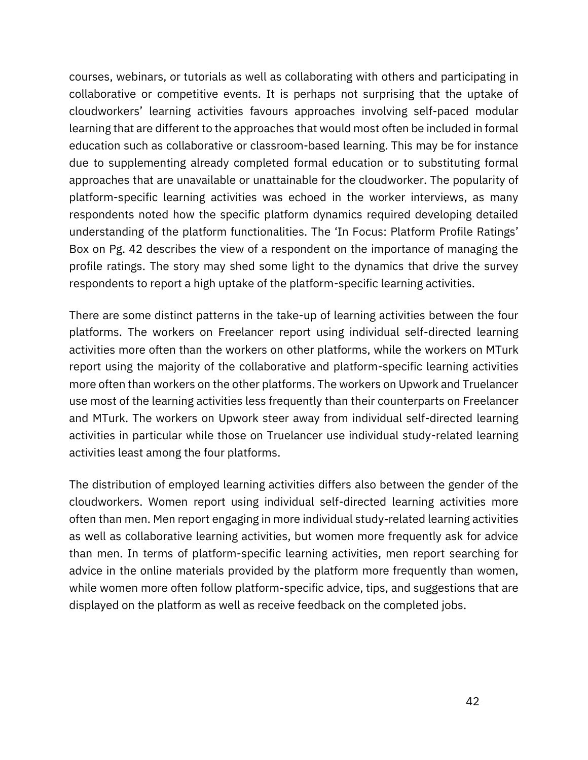courses, webinars, or tutorials as well as collaborating with others and participating in collaborative or competitive events. It is perhaps not surprising that the uptake of cloudworkers' learning activities favours approaches involving self-paced modular learning that are different to the approaches that would most often be included in formal education such as collaborative or classroom-based learning. This may be for instance due to supplementing already completed formal education or to substituting formal approaches that are unavailable or unattainable for the cloudworker. The popularity of platform-specific learning activities was echoed in the worker interviews, as many respondents noted how the specific platform dynamics required developing detailed understanding of the platform functionalities. The 'In Focus: Platform Profile Ratings' Box on Pg. 42 describes the view of a respondent on the importance of managing the profile ratings. The story may shed some light to the dynamics that drive the survey respondents to report a high uptake of the platform-specific learning activities.

There are some distinct patterns in the take-up of learning activities between the four platforms. The workers on Freelancer report using individual self-directed learning activities more often than the workers on other platforms, while the workers on MTurk report using the majority of the collaborative and platform-specific learning activities more often than workers on the other platforms. The workers on Upwork and Truelancer use most of the learning activities less frequently than their counterparts on Freelancer and MTurk. The workers on Upwork steer away from individual self-directed learning activities in particular while those on Truelancer use individual study-related learning activities least among the four platforms.

The distribution of employed learning activities differs also between the gender of the cloudworkers. Women report using individual self-directed learning activities more often than men. Men report engaging in more individual study-related learning activities as well as collaborative learning activities, but women more frequently ask for advice than men. In terms of platform-specific learning activities, men report searching for advice in the online materials provided by the platform more frequently than women, while women more often follow platform-specific advice, tips, and suggestions that are displayed on the platform as well as receive feedback on the completed jobs.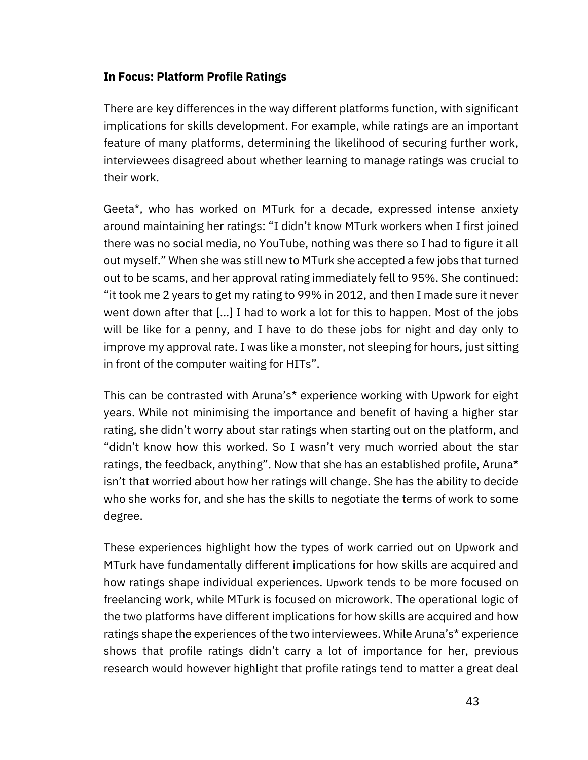#### **In Focus: Platform Profile Ratings**

There are key differences in the way different platforms function, with significant implications for skills development. For example, while ratings are an important feature of many platforms, determining the likelihood of securing further work, interviewees disagreed about whether learning to manage ratings was crucial to their work.

Geeta\*, who has worked on MTurk for a decade, expressed intense anxiety around maintaining her ratings: "I didn't know MTurk workers when I first joined there was no social media, no YouTube, nothing was there so I had to figure it all out myself." When she was still new to MTurk she accepted a few jobs that turned out to be scams, and her approval rating immediately fell to 95%. She continued: "it took me 2 years to get my rating to 99% in 2012, and then I made sure it never went down after that [...] I had to work a lot for this to happen. Most of the jobs will be like for a penny, and I have to do these jobs for night and day only to improve my approval rate. I was like a monster, not sleeping for hours, just sitting in front of the computer waiting for HITs".

This can be contrasted with Aruna's\* experience working with Upwork for eight years. While not minimising the importance and benefit of having a higher star rating, she didn't worry about star ratings when starting out on the platform, and "didn't know how this worked. So I wasn't very much worried about the star ratings, the feedback, anything". Now that she has an established profile, Aruna\* isn't that worried about how her ratings will change. She has the ability to decide who she works for, and she has the skills to negotiate the terms of work to some degree.

These experiences highlight how the types of work carried out on Upwork and MTurk have fundamentally different implications for how skills are acquired and how ratings shape individual experiences. Upwork tends to be more focused on freelancing work, while MTurk is focused on microwork. The operational logic of the two platforms have different implications for how skills are acquired and how ratings shape the experiences of the two interviewees. While Aruna's\* experience shows that profile ratings didn't carry a lot of importance for her, previous research would however highlight that profile ratings tend to matter a great deal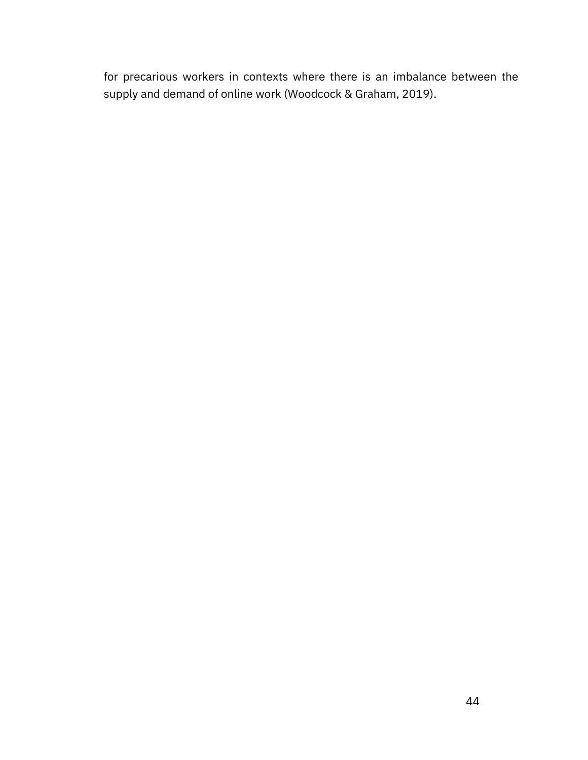for precarious workers in contexts where there is an imbalance between the supply and demand of online work (Woodcock & Graham, 2019).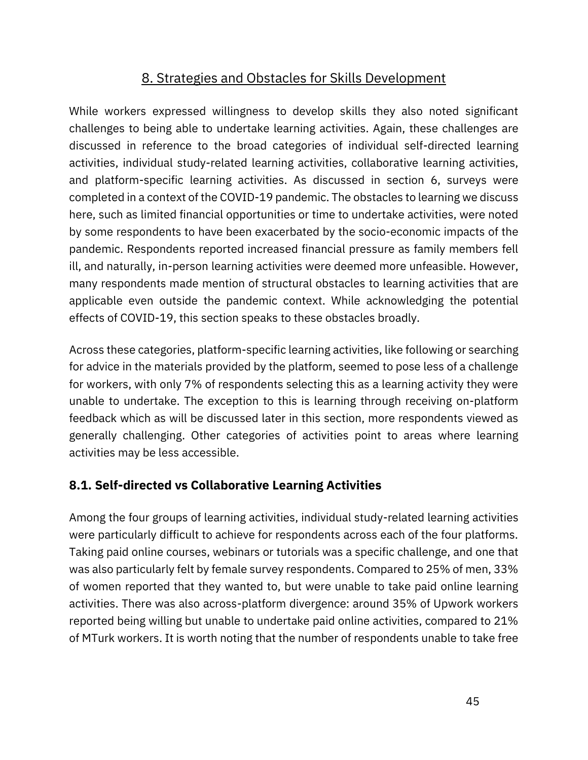# 8. Strategies and Obstacles for Skills Development

While workers expressed willingness to develop skills they also noted significant challenges to being able to undertake learning activities. Again, these challenges are discussed in reference to the broad categories of individual self-directed learning activities, individual study-related learning activities, collaborative learning activities, and platform-specific learning activities. As discussed in section 6, surveys were completed in a context of the COVID-19 pandemic. The obstacles to learning we discuss here, such as limited financial opportunities or time to undertake activities, were noted by some respondents to have been exacerbated by the socio-economic impacts of the pandemic. Respondents reported increased financial pressure as family members fell ill, and naturally, in-person learning activities were deemed more unfeasible. However, many respondents made mention of structural obstacles to learning activities that are applicable even outside the pandemic context. While acknowledging the potential effects of COVID-19, this section speaks to these obstacles broadly.

Across these categories, platform-specific learning activities, like following or searching for advice in the materials provided by the platform, seemed to pose less of a challenge for workers, with only 7% of respondents selecting this as a learning activity they were unable to undertake. The exception to this is learning through receiving on-platform feedback which as will be discussed later in this section, more respondents viewed as generally challenging. Other categories of activities point to areas where learning activities may be less accessible.

## **8.1. Self-directed vs Collaborative Learning Activities**

Among the four groups of learning activities, individual study-related learning activities were particularly difficult to achieve for respondents across each of the four platforms. Taking paid online courses, webinars or tutorials was a specific challenge, and one that was also particularly felt by female survey respondents. Compared to 25% of men, 33% of women reported that they wanted to, but were unable to take paid online learning activities. There was also across-platform divergence: around 35% of Upwork workers reported being willing but unable to undertake paid online activities, compared to 21% of MTurk workers. It is worth noting that the number of respondents unable to take free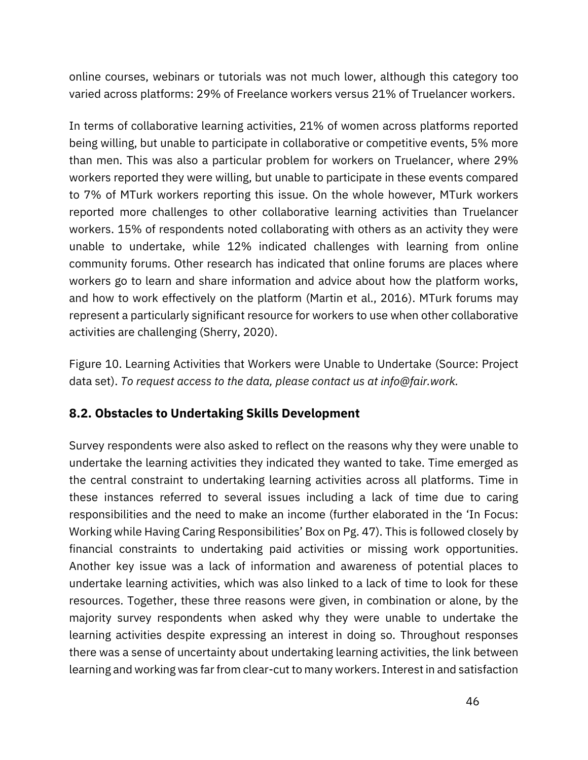online courses, webinars or tutorials was not much lower, although this category too varied across platforms: 29% of Freelance workers versus 21% of Truelancer workers.

In terms of collaborative learning activities, 21% of women across platforms reported being willing, but unable to participate in collaborative or competitive events, 5% more than men. This was also a particular problem for workers on Truelancer, where 29% workers reported they were willing, but unable to participate in these events compared to 7% of MTurk workers reporting this issue. On the whole however, MTurk workers reported more challenges to other collaborative learning activities than Truelancer workers. 15% of respondents noted collaborating with others as an activity they were unable to undertake, while 12% indicated challenges with learning from online community forums. Other research has indicated that online forums are places where workers go to learn and share information and advice about how the platform works, and how to work effectively on the platform [\(Martin et al., 2016\).](https://www.zotero.org/google-docs/?gf1bze) MTurk forums may represent a particularly significant resource for workers to use when other collaborative activities are challenging [\(Sherry, 2020\)](https://www.zotero.org/google-docs/?4CzjaE).

Figure 10. Learning Activities that Workers were Unable to Undertake (Source: Project data set). *To request access to the data, please contact us at info@fair.work.*

## **8.2. Obstacles to Undertaking Skills Development**

Survey respondents were also asked to reflect on the reasons why they were unable to undertake the learning activities they indicated they wanted to take. Time emerged as the central constraint to undertaking learning activities across all platforms. Time in these instances referred to several issues including a lack of time due to caring responsibilities and the need to make an income (further elaborated in the 'In Focus: Working while Having Caring Responsibilities' Box on Pg. 47). This is followed closely by financial constraints to undertaking paid activities or missing work opportunities. Another key issue was a lack of information and awareness of potential places to undertake learning activities, which was also linked to a lack of time to look for these resources. Together, these three reasons were given, in combination or alone, by the majority survey respondents when asked why they were unable to undertake the learning activities despite expressing an interest in doing so. Throughout responses there was a sense of uncertainty about undertaking learning activities, the link between learning and working was far from clear-cut to many workers. Interest in and satisfaction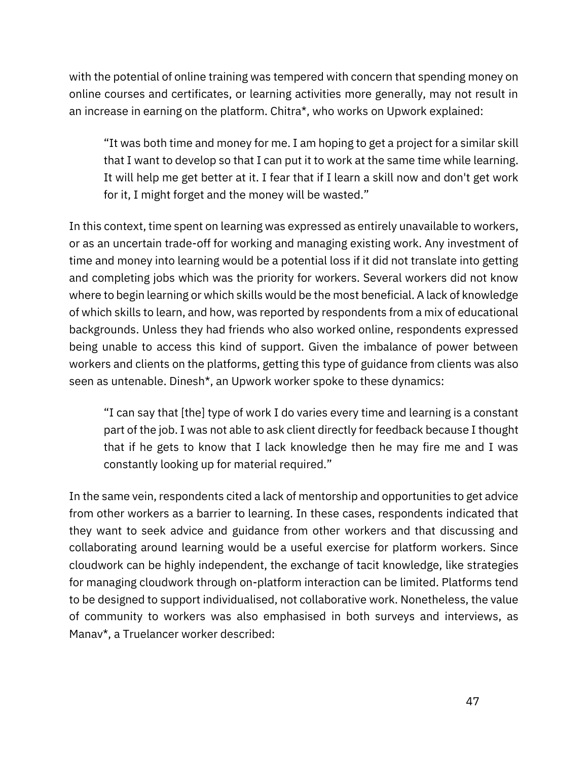with the potential of online training was tempered with concern that spending money on online courses and certificates, or learning activities more generally, may not result in an increase in earning on the platform. Chitra\*, who works on Upwork explained:

"It was both time and money for me. I am hoping to get a project for a similar skill that I want to develop so that I can put it to work at the same time while learning. It will help me get better at it. I fear that if I learn a skill now and don't get work for it, I might forget and the money will be wasted."

In this context, time spent on learning was expressed as entirely unavailable to workers, or as an uncertain trade-off for working and managing existing work. Any investment of time and money into learning would be a potential loss if it did not translate into getting and completing jobs which was the priority for workers. Several workers did not know where to begin learning or which skills would be the most beneficial. A lack of knowledge of which skills to learn, and how, was reported by respondents from a mix of educational backgrounds. Unless they had friends who also worked online, respondents expressed being unable to access this kind of support. Given the imbalance of power between workers and clients on the platforms, getting this type of guidance from clients was also seen as untenable. Dinesh\*, an Upwork worker spoke to these dynamics:

"I can say that [the] type of work I do varies every time and learning is a constant part of the job. I was not able to ask client directly for feedback because I thought that if he gets to know that I lack knowledge then he may fire me and I was constantly looking up for material required."

In the same vein, respondents cited a lack of mentorship and opportunities to get advice from other workers as a barrier to learning. In these cases, respondents indicated that they want to seek advice and guidance from other workers and that discussing and collaborating around learning would be a useful exercise for platform workers. Since cloudwork can be highly independent, the exchange of tacit knowledge, like strategies for managing cloudwork through on-platform interaction can be limited. Platforms tend to be designed to support individualised, not collaborative work. Nonetheless, the value of community to workers was also emphasised in both surveys and interviews, as Manav\*, a Truelancer worker described: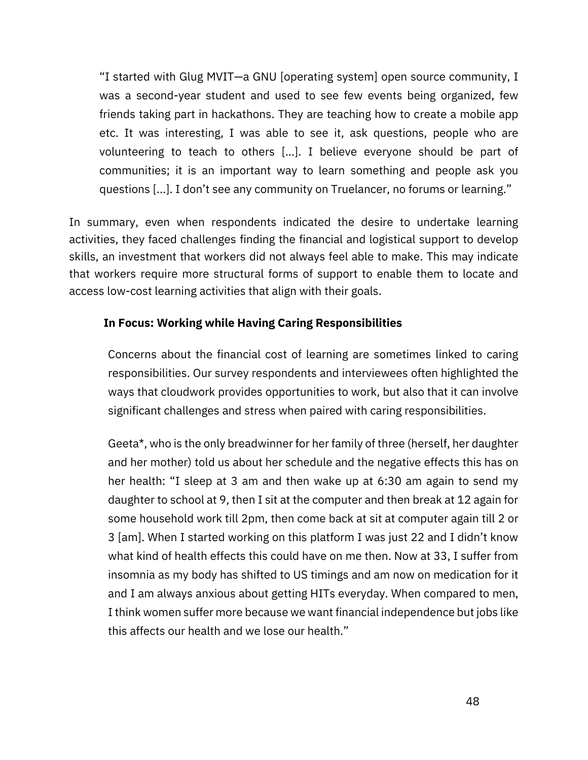"I started with Glug MVIT—a GNU [operating system] open source community, I was a second-year student and used to see few events being organized, few friends taking part in hackathons. They are teaching how to create a mobile app etc. It was interesting, I was able to see it, ask questions, people who are volunteering to teach to others […]. I believe everyone should be part of communities; it is an important way to learn something and people ask you questions [...]. I don't see any community on Truelancer, no forums or learning."

In summary, even when respondents indicated the desire to undertake learning activities, they faced challenges finding the financial and logistical support to develop skills, an investment that workers did not always feel able to make. This may indicate that workers require more structural forms of support to enable them to locate and access low-cost learning activities that align with their goals.

#### **In Focus: Working while Having Caring Responsibilities**

Concerns about the financial cost of learning are sometimes linked to caring responsibilities. Our survey respondents and interviewees often highlighted the ways that cloudwork provides opportunities to work, but also that it can involve significant challenges and stress when paired with caring responsibilities.

Geeta\*, who is the only breadwinner for her family of three (herself, her daughter and her mother) told us about her schedule and the negative effects this has on her health: "I sleep at 3 am and then wake up at 6:30 am again to send my daughter to school at 9, then I sit at the computer and then break at 12 again for some household work till 2pm, then come back at sit at computer again till 2 or 3 [am]. When I started working on this platform I was just 22 and I didn't know what kind of health effects this could have on me then. Now at 33, I suffer from insomnia as my body has shifted to US timings and am now on medication for it and I am always anxious about getting HITs everyday. When compared to men, I think women suffer more because we want financial independence but jobs like this affects our health and we lose our health."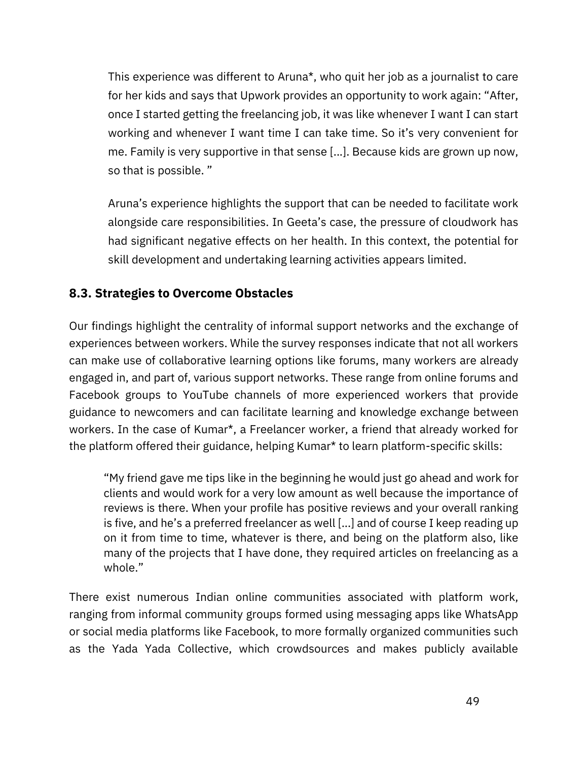This experience was different to Aruna\*, who quit her job as a journalist to care for her kids and says that Upwork provides an opportunity to work again: "After, once I started getting the freelancing job, it was like whenever I want I can start working and whenever I want time I can take time. So it's very convenient for me. Family is very supportive in that sense [...]. Because kids are grown up now, so that is possible. "

Aruna's experience highlights the support that can be needed to facilitate work alongside care responsibilities. In Geeta's case, the pressure of cloudwork has had significant negative effects on her health. In this context, the potential for skill development and undertaking learning activities appears limited.

## **8.3. Strategies to Overcome Obstacles**

Our findings highlight the centrality of informal support networks and the exchange of experiences between workers. While the survey responses indicate that not all workers can make use of collaborative learning options like forums, many workers are already engaged in, and part of, various support networks. These range from online forums and Facebook groups to YouTube channels of more experienced workers that provide guidance to newcomers and can facilitate learning and knowledge exchange between workers. In the case of Kumar\*, a Freelancer worker, a friend that already worked for the platform offered their guidance, helping Kumar\* to learn platform-specific skills:

"My friend gave me tips like in the beginning he would just go ahead and work for clients and would work for a very low amount as well because the importance of reviews is there. When your profile has positive reviews and your overall ranking is five, and he's a preferred freelancer as well [...] and of course I keep reading up on it from time to time, whatever is there, and being on the platform also, like many of the projects that I have done, they required articles on freelancing as a whole."

There exist numerous Indian online communities associated with platform work, ranging from informal community groups formed using messaging apps like WhatsApp or social media platforms like Facebook, to more formally organized communities such as the Yada Yada Collective, which crowdsources and makes publicly available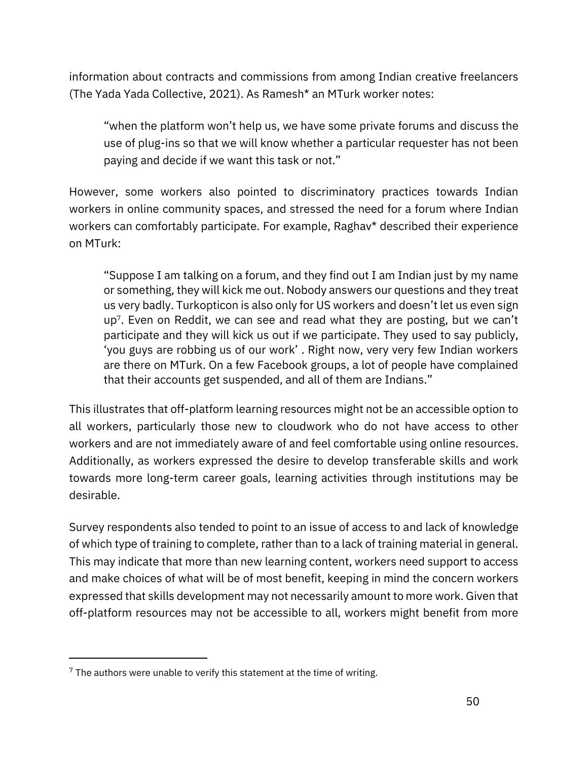information about contracts and commissions from among Indian creative freelancers [\(The Yada Yada Collective, 2](https://www.zotero.org/google-docs/?4gNXCL)021). As Ramesh\* an MTurk worker notes:

"when the platform won't help us, we have some private forums and discuss the use of plug-ins so that we will know whether a particular requester has not been paying and decide if we want this task or not."

However, some workers also pointed to discriminatory practices towards Indian workers in online community spaces, and stressed the need for a forum where Indian workers can comfortably participate. For example, Raghav\* described their experience on MTurk:

"Suppose I am talking on a forum, and they find out I am Indian just by my name or something, they will kick me out. Nobody answers our questions and they treat us very badly. Turkopticon is also only for US workers and doesn't let us even sign up<sup>7</sup> . Even on Reddit, we can see and read what they are posting, but we can't participate and they will kick us out if we participate. They used to say publicly, 'you guys are robbing us of our work' . Right now, very very few Indian workers are there on MTurk. On a few Facebook groups, a lot of people have complained that their accounts get suspended, and all of them are Indians."

This illustrates that off-platform learning resources might not be an accessible option to all workers, particularly those new to cloudwork who do not have access to other workers and are not immediately aware of and feel comfortable using online resources. Additionally, as workers expressed the desire to develop transferable skills and work towards more long-term career goals, learning activities through institutions may be desirable.

Survey respondents also tended to point to an issue of access to and lack of knowledge of which type of training to complete, rather than to a lack of training material in general. This may indicate that more than new learning content, workers need support to access and make choices of what will be of most benefit, keeping in mind the concern workers expressed that skills development may not necessarily amount to more work. Given that off-platform resources may not be accessible to all, workers might benefit from more

 $7$  The authors were unable to verify this statement at the time of writing.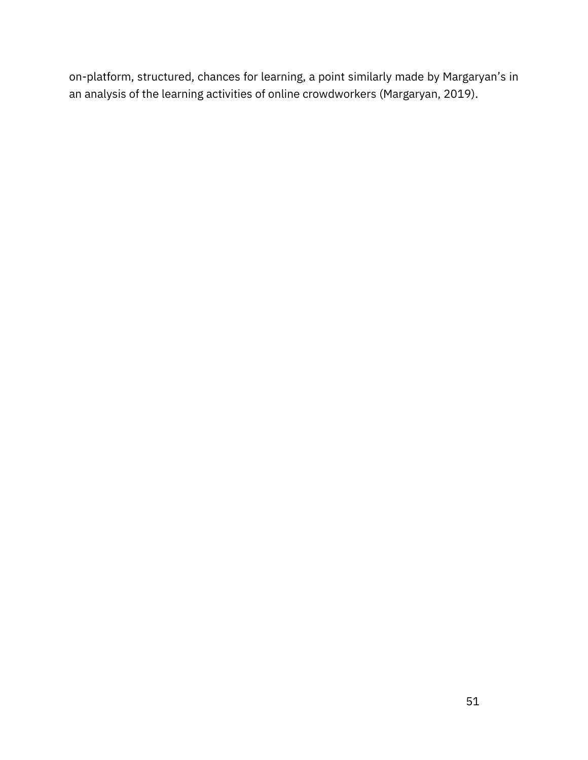on-platform, structured, chances for learning, a point similarly made by Margaryan's in an analysis of the learning activities of online crowdworkers [\(Margaryan, 2019\).](https://www.zotero.org/google-docs/?zbWgWK)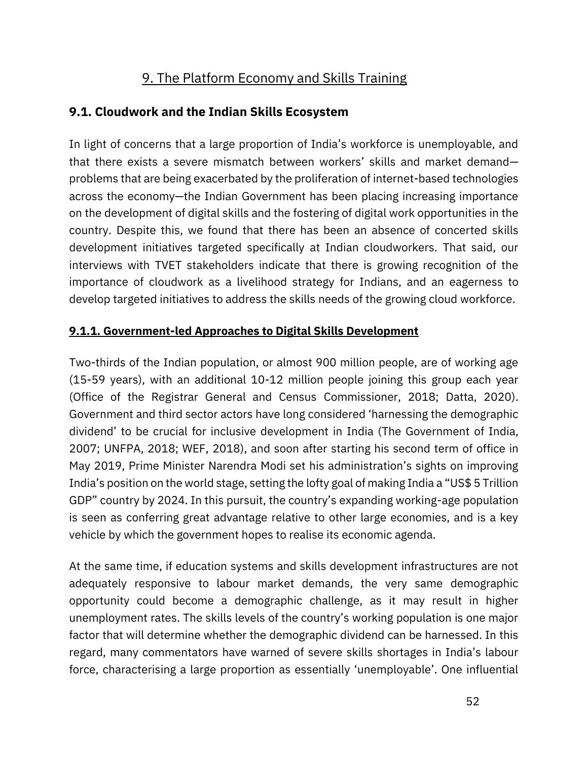# 9. The Platform Economy and Skills Training

### **9.1. Cloudwork and the Indian Skills Ecosystem**

In light of concerns that a large proportion of India's workforce is unemployable, and that there exists a severe mismatch between workers' skills and market demand problems that are being exacerbated by the proliferation of internet-based technologies across the economy—the Indian Government has been placing increasing importance on the development of digital skills and the fostering of digital work opportunities in the country. Despite this, we found that there has been an absence of concerted skills development initiatives targeted specifically at Indian cloudworkers. That said, our interviews with TVET stakeholders indicate that there is growing recognition of the importance of cloudwork as a livelihood strategy for Indians, and an eagerness to develop targeted initiatives to address the skills needs of the growing cloud workforce.

#### **9.1.1. Government-led Approaches to Digital Skills Development**

Two-thirds of the Indian population, or almost 900 million people, are of working age (15-59 years), with an additional 10-12 million people joining this group each year [\(Office of the Registrar General and Census Commissioner,](https://www.zotero.org/google-docs/?Pn2Wry) 2018; [Datta, 2020\)](https://www.zotero.org/google-docs/?XdfR0V). Government and third sector actors have long considered 'harnessing the demographic dividend' to be crucial for inclusive development in India [\(The Government of India,](https://www.zotero.org/google-docs/?ezgN9D)  [2007;](https://www.zotero.org/google-docs/?ezgN9D) [UNFPA, 2018;](https://www.zotero.org/google-docs/?krYnea) WEF, 2018), and soon after starting his second term of office in May 2019, Prime Minister Narendra Modi set his administration's sights on improving India's position on the world stage, setting the lofty goal of making India a "US\$ 5 Trillion GDP" country by 2024. In this pursuit, the country's expanding working-age population is seen as conferring great advantage relative to other large economies, and is a key vehicle by which the government hopes to realise its economic agenda.

At the same time, if education systems and skills development infrastructures are not adequately responsive to labour market demands, the very same demographic opportunity could become a demographic challenge, as it may result in higher unemployment rates. The skills levels of the country's working population is one major factor that will determine whether the demographic dividend can be harnessed. In this regard, many commentators have warned of severe skills shortages in India's labour force, characterising a large proportion as essentially 'unemployable'. One influential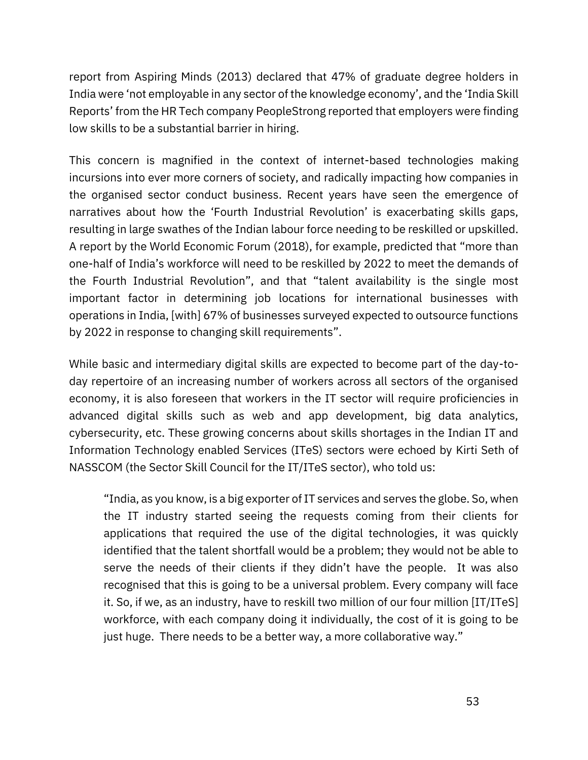report from [Aspiring Minds](https://www.zotero.org/google-docs/?xLST4K) [\(2013\)](https://www.zotero.org/google-docs/?xLST4K) declared that 47% of graduate degree holders in India were 'not employable in any sector of the knowledge economy', and the 'India Skill Reports' from the HR Tech company PeopleStrong reported that employers were finding low skills to be a substantial barrier in hiring.

This concern is magnified in the context of internet-based technologies making incursions into ever more corners of society, and radically impacting how companies in the organised sector conduct business. Recent years have seen the emergence of narratives about how the 'Fourth Industrial Revolution' is exacerbating skills gaps, resulting in large swathes of the Indian labour force needing to be reskilled or upskilled. A report by the World Economic Forum [\(2018\)](https://www.zotero.org/google-docs/?vWbsFA), for example, predicted that "more than one-half of India's workforce will need to be reskilled by 2022 to meet the demands of the Fourth Industrial Revolution", and that "talent availability is the single most important factor in determining job locations for international businesses with operations in India, [with] 67% of businesses surveyed expected to outsource functions by 2022 in response to changing skill requirements".

While basic and intermediary digital skills are expected to become part of the day-today repertoire of an increasing number of workers across all sectors of the organised economy, it is also foreseen that workers in the IT sector will require proficiencies in advanced digital skills such as web and app development, big data analytics, cybersecurity, etc. These growing concerns about skills shortages in the Indian IT and Information Technology enabled Services (ITeS) sectors were echoed by Kirti Seth of NASSCOM (the Sector Skill Council for the IT/ITeS sector), who told us:

"India, as you know, is a big exporter of IT services and serves the globe. So, when the IT industry started seeing the requests coming from their clients for applications that required the use of the digital technologies, it was quickly identified that the talent shortfall would be a problem; they would not be able to serve the needs of their clients if they didn't have the people. It was also recognised that this is going to be a universal problem. Every company will face it. So, if we, as an industry, have to reskill two million of our four million [IT/ITeS] workforce, with each company doing it individually, the cost of it is going to be just huge. There needs to be a better way, a more collaborative way."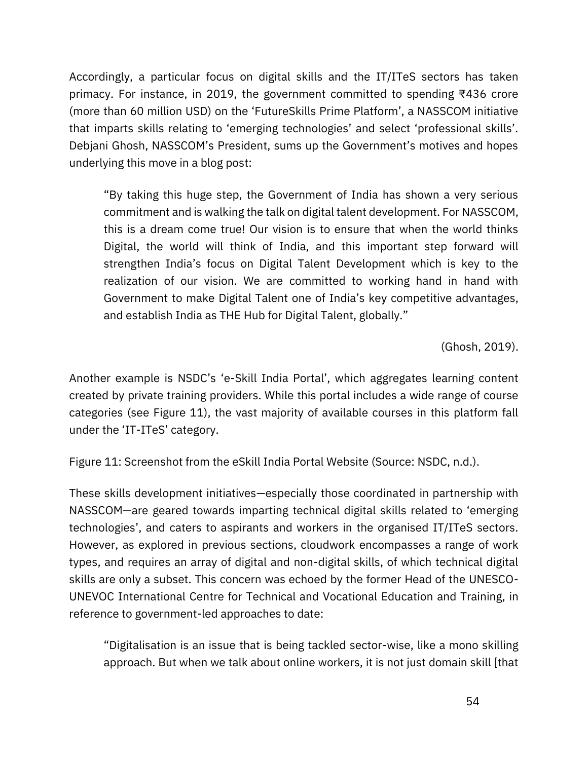Accordingly, a particular focus on digital skills and the IT/ITeS sectors has taken primacy. For instance, in 2019, the government committed to spending ₹436 crore (more than 60 million USD) on the 'FutureSkills Prime Platform', a NASSCOM initiative that imparts skills relating to 'emerging technologies' and select 'professional skills'. Debjani Ghosh, NASSCOM's President, sums up the Government's motives and hopes underlying this move in a blog post:

"By taking this huge step, the Government of India has shown a very serious commitment and is walking the talk on digital talent development. For NASSCOM, this is a dream come true! Our vision is to ensure that when the world thinks Digital, the world will think of India, and this important step forward will strengthen India's focus on Digital Talent Development which is key to the realization of our vision. We are committed to working hand in hand with Government to make Digital Talent one of India's key competitive advantages, and establish India as THE Hub for Digital Talent, globally."

[\(Ghosh, 2019\)](https://www.zotero.org/google-docs/?kI3HW1).

Another example is NSDC's 'e-Skill India Portal', which aggregates learning content created by private training providers. While this portal includes a wide range of course categories (see Figure 11), the vast majority of available courses in this platform fall under the 'IT-ITeS' category.

Figure 11: Screenshot from the eSkill India Portal Website (Source: [NSDC, n.d.\).](https://www.zotero.org/google-docs/?2C8CXT)

These skills development initiatives—especially those coordinated in partnership with NASSCOM—are geared towards imparting technical digital skills related to 'emerging technologies', and caters to aspirants and workers in the organised IT/ITeS sectors. However, as explored in previous sections, cloudwork encompasses a range of work types, and requires an array of digital and non-digital skills, of which technical digital skills are only a subset. This concern was echoed by the former Head of the UNESCO-UNEVOC International Centre for Technical and Vocational Education and Training, in reference to government-led approaches to date:

"Digitalisation is an issue that is being tackled sector-wise, like a mono skilling approach. But when we talk about online workers, it is not just domain skill [that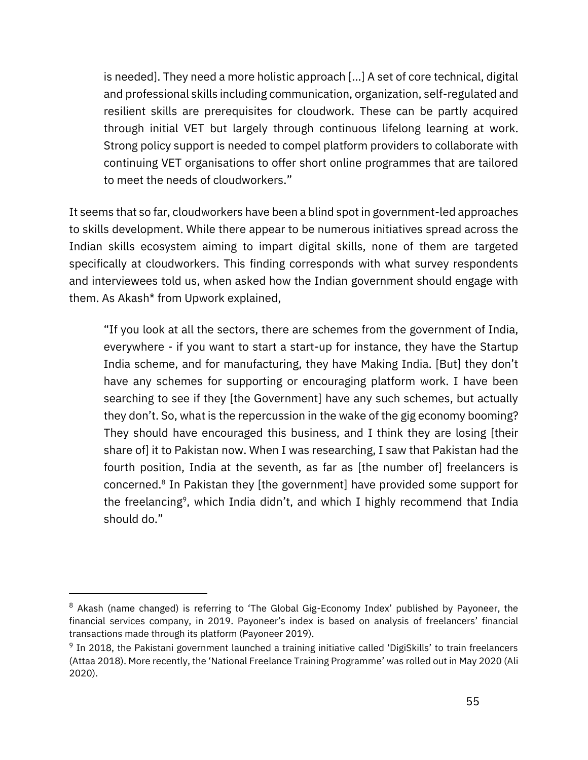is needed]. They need a more holistic approach […] A set of core technical, digital and professional skills including communication, organization, self-regulated and resilient skills are prerequisites for cloudwork. These can be partly acquired through initial VET but largely through continuous lifelong learning at work. Strong policy support is needed to compel platform providers to collaborate with continuing VET organisations to offer short online programmes that are tailored to meet the needs of cloudworkers."

It seems that so far, cloudworkers have been a blind spot in government-led approaches to skills development. While there appear to be numerous initiatives spread across the Indian skills ecosystem aiming to impart digital skills, none of them are targeted specifically at cloudworkers. This finding corresponds with what survey respondents and interviewees told us, when asked how the Indian government should engage with them. As Akash\* from Upwork explained,

"If you look at all the sectors, there are schemes from the government of India, everywhere - if you want to start a start-up for instance, they have the Startup India scheme, and for manufacturing, they have Making India. [But] they don't have any schemes for supporting or encouraging platform work. I have been searching to see if they [the Government] have any such schemes, but actually they don't. So, what is the repercussion in the wake of the gig economy booming? They should have encouraged this business, and I think they are losing [their share of] it to Pakistan now. When I was researching, I saw that Pakistan had the fourth position, India at the seventh, as far as [the number of] freelancers is concerned.<sup>8</sup> In Pakistan they [the government] have provided some support for the freelancing<sup>9</sup>, which India didn't, and which I highly recommend that India should do."

<sup>&</sup>lt;sup>8</sup> Akash (name changed) is referring to 'The Global Gig-Economy Index' published by Payoneer, the financial services company, in 2019. Payoneer's index is based on analysis of freelancers' financial transactions made through its platform (Payoneer 2019).

<sup>&</sup>lt;sup>9</sup> In 2018, the Pakistani government launched a training initiative called 'DigiSkills' to train freelancers (Attaa 2018). More recently, the 'National Freelance Training Programme' was rolled out in May 2020 (Ali 2020).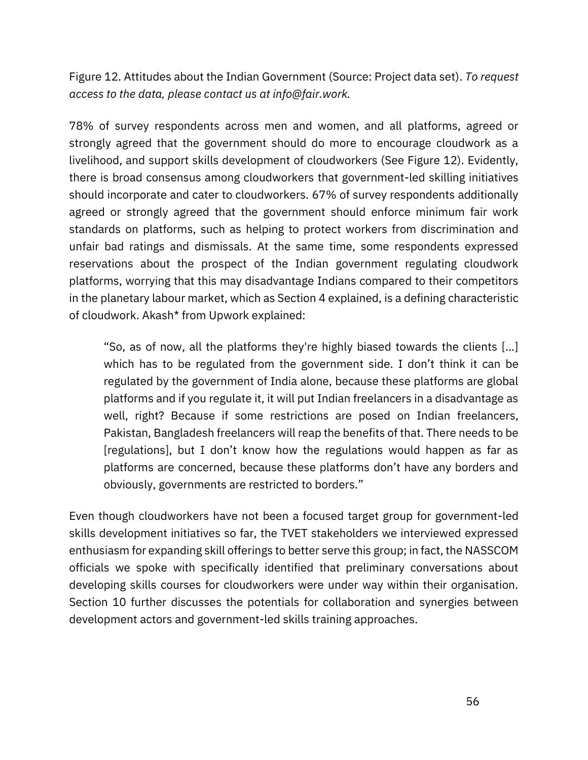Figure 12. Attitudes about the Indian Government (Source: Project data set). *To request access to the data, please contact us at info@fair.work.*

78% of survey respondents across men and women, and all platforms, agreed or strongly agreed that the government should do more to encourage cloudwork as a livelihood, and support skills development of cloudworkers (See Figure 12). Evidently, there is broad consensus among cloudworkers that government-led skilling initiatives should incorporate and cater to cloudworkers. 67% of survey respondents additionally agreed or strongly agreed that the government should enforce minimum fair work standards on platforms, such as helping to protect workers from discrimination and unfair bad ratings and dismissals. At the same time, some respondents expressed reservations about the prospect of the Indian government regulating cloudwork platforms, worrying that this may disadvantage Indians compared to their competitors in the planetary labour market, which as Section 4 explained, is a defining characteristic of cloudwork. Akash\* from Upwork explained:

"So, as of now, all the platforms they're highly biased towards the clients [...] which has to be regulated from the government side. I don't think it can be regulated by the government of India alone, because these platforms are global platforms and if you regulate it, it will put Indian freelancers in a disadvantage as well, right? Because if some restrictions are posed on Indian freelancers, Pakistan, Bangladesh freelancers will reap the benefits of that. There needs to be [regulations], but I don't know how the regulations would happen as far as platforms are concerned, because these platforms don't have any borders and obviously, governments are restricted to borders."

Even though cloudworkers have not been a focused target group for government-led skills development initiatives so far, the TVET stakeholders we interviewed expressed enthusiasm for expanding skill offerings to better serve this group; in fact, the NASSCOM officials we spoke with specifically identified that preliminary conversations about developing skills courses for cloudworkers were under way within their organisation. Section 10 further discusses the potentials for collaboration and synergies between development actors and government-led skills training approaches.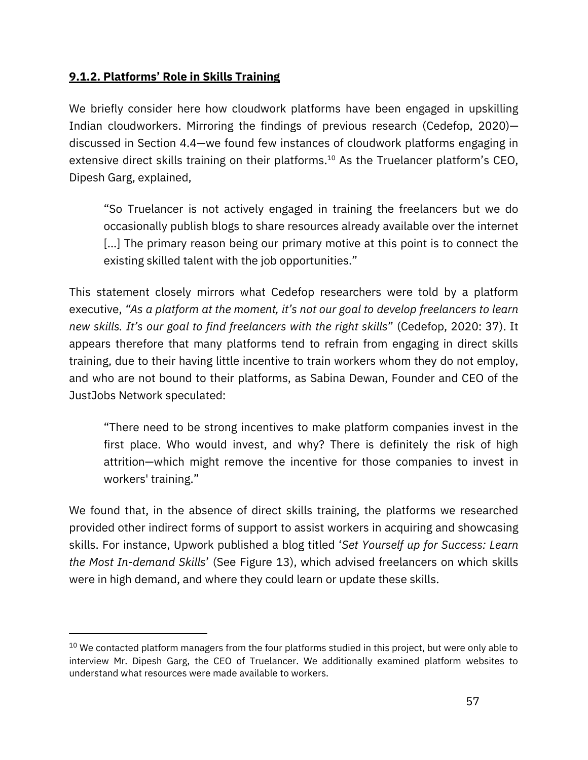#### **9.1.2. Platforms' Role in Skills Training**

We briefly consider here how cloudwork platforms have been engaged in upskilling Indian cloudworkers. Mirroring the findings of previous research [\(Cedefop, 2020\)](https://www.zotero.org/google-docs/?CuP5dM) discussed in Section 4.4—we found few instances of cloudwork platforms engaging in extensive direct skills training on their platforms.<sup>10</sup> As the Truelancer platform's CEO, Dipesh Garg, explained,

"So Truelancer is not actively engaged in training the freelancers but we do occasionally publish blogs to share resources already available over the internet [...] The primary reason being our primary motive at this point is to connect the existing skilled talent with the job opportunities."

This statement closely mirrors what Cedefop researchers were told by a platform executive, *"As a platform at the moment, it's not our goal to develop freelancers to learn new skills. It's our goal to find freelancers with the right skills*" (Cedefop, 2020: 37). It appears therefore that many platforms tend to refrain from engaging in direct skills training, due to their having little incentive to train workers whom they do not employ, and who are not bound to their platforms, as Sabina Dewan, Founder and CEO of the JustJobs Network speculated:

"There need to be strong incentives to make platform companies invest in the first place. Who would invest, and why? There is definitely the risk of high attrition—which might remove the incentive for those companies to invest in workers' training."

We found that, in the absence of direct skills training, the platforms we researched provided other indirect forms of support to assist workers in acquiring and showcasing skills. For instance, Upwork published a blog titled '*Set Yourself up for Success: Learn the Most In-demand Skills*' (See Figure 13), which advised freelancers on which skills were in high demand, and where they could learn or update these skills.

 $10$  We contacted platform managers from the four platforms studied in this project, but were only able to interview Mr. Dipesh Garg, the CEO of Truelancer. We additionally examined platform websites to understand what resources were made available to workers.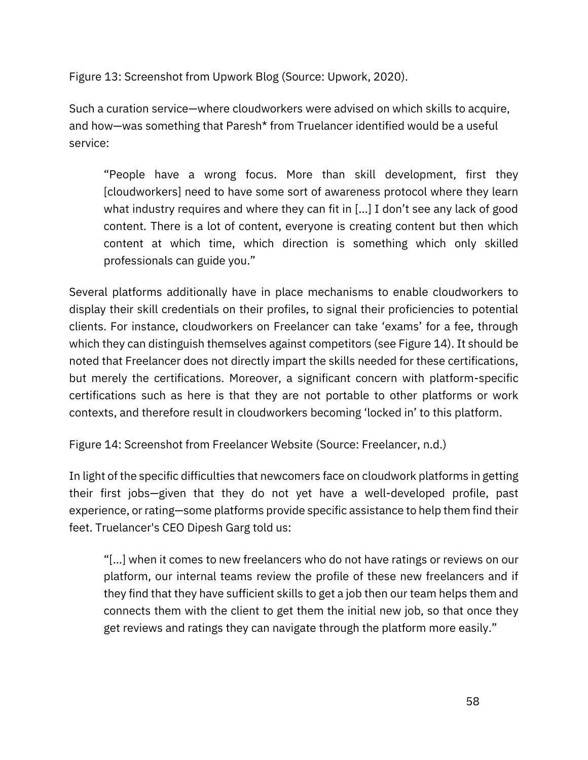Figure 13: Screenshot from Upwork Blog (Source: [Upwork, 2020\)](https://www.zotero.org/google-docs/?1Y4wbJ).

Such a curation service—where cloudworkers were advised on which skills to acquire, and how—was something that Paresh\* from Truelancer identified would be a useful service:

"People have a wrong focus. More than skill development, first they [cloudworkers] need to have some sort of awareness protocol where they learn what industry requires and where they can fit in [...] I don't see any lack of good content. There is a lot of content, everyone is creating content but then which content at which time, which direction is something which only skilled professionals can guide you."

Several platforms additionally have in place mechanisms to enable cloudworkers to display their skill credentials on their profiles, to signal their proficiencies to potential clients. For instance, cloudworkers on Freelancer can take 'exams' for a fee, through which they can distinguish themselves against competitors (see Figure 14). It should be noted that Freelancer does not directly impart the skills needed for these certifications, but merely the certifications. Moreover, a significant concern with platform-specific certifications such as here is that they are not portable to other platforms or work contexts, and therefore result in cloudworkers becoming 'locked in' to this platform.

Figure 14: Screenshot from Freelancer Website (Source: [Freelancer, n.d.\)](https://www.zotero.org/google-docs/?Zs7oiW)

In light of the specific difficulties that newcomers face on cloudwork platforms in getting their first jobs—given that they do not yet have a well-developed profile, past experience, or rating—some platforms provide specific assistance to help them find their feet. Truelancer's CEO Dipesh Garg told us:

"[...] when it comes to new freelancers who do not have ratings or reviews on our platform, our internal teams review the profile of these new freelancers and if they find that they have sufficient skills to get a job then our team helps them and connects them with the client to get them the initial new job, so that once they get reviews and ratings they can navigate through the platform more easily."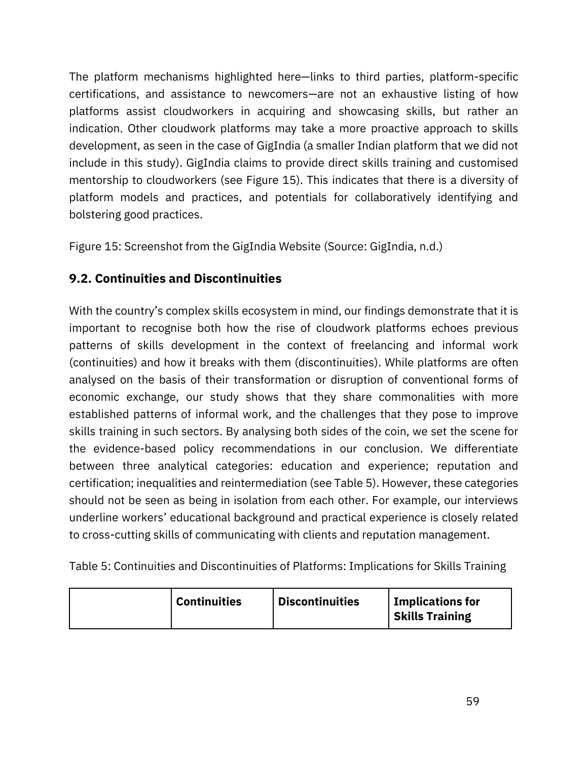The platform mechanisms highlighted here—links to third parties, platform-specific certifications, and assistance to newcomers—are not an exhaustive listing of how platforms assist cloudworkers in acquiring and showcasing skills, but rather an indication. Other cloudwork platforms may take a more proactive approach to skills development, as seen in the case of GigIndia (a smaller Indian platform that we did not include in this study). GigIndia claims to provide direct skills training and customised mentorship to cloudworkers (see Figure 15). This indicates that there is a diversity of platform models and practices, and potentials for collaboratively identifying and bolstering good practices.

Figure 15: Screenshot from the GigIndia Website (Source: [GigIndia, n.d.\)](https://www.zotero.org/google-docs/?d8dJ5R)

# **9.2. Continuities and Discontinuities**

With the country's complex skills ecosystem in mind, our findings demonstrate that it is important to recognise both how the rise of cloudwork platforms echoes previous patterns of skills development in the context of freelancing and informal work (continuities) and how it breaks with them (discontinuities). While platforms are often analysed on the basis of their transformation or disruption of conventional forms of economic exchange, our study shows that they share commonalities with more established patterns of informal work, and the challenges that they pose to improve skills training in such sectors. By analysing both sides of the coin, we set the scene for the evidence-based policy recommendations in our conclusion. We differentiate between three analytical categories: education and experience; reputation and certification; inequalities and reintermediation (see Table 5). However, these categories should not be seen as being in isolation from each other. For example, our interviews underline workers' educational background and practical experience is closely related to cross-cutting skills of communicating with clients and reputation management.

Table 5: Continuities and Discontinuities of Platforms: Implications for Skills Training

| Implications for<br><b>Discontinuities</b><br><b>Continuities</b><br><b>Skills Training</b> |
|---------------------------------------------------------------------------------------------|
|---------------------------------------------------------------------------------------------|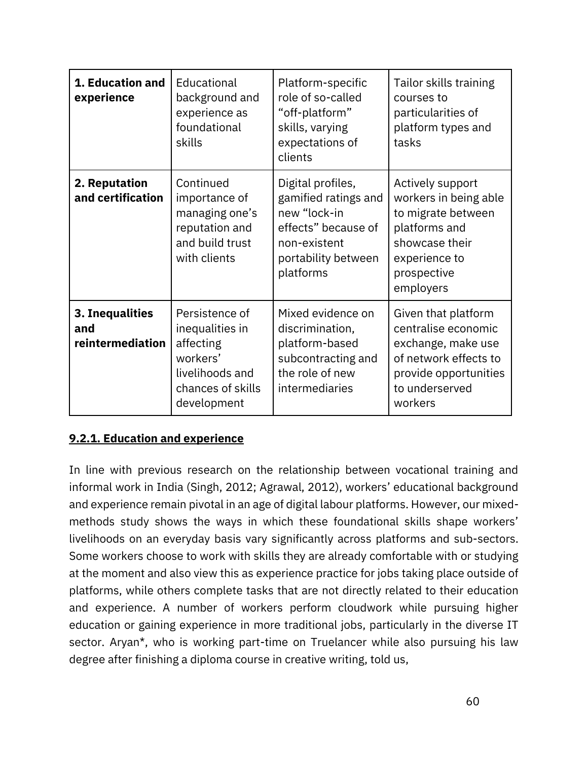| 1. Education and<br>experience             | Educational<br>background and<br>experience as<br>foundational<br>skills                                          | Platform-specific<br>role of so-called<br>"off-platform"<br>skills, varying<br>expectations of<br>clients                            | Tailor skills training<br>courses to<br>particularities of<br>platform types and<br>tasks                                                       |
|--------------------------------------------|-------------------------------------------------------------------------------------------------------------------|--------------------------------------------------------------------------------------------------------------------------------------|-------------------------------------------------------------------------------------------------------------------------------------------------|
| 2. Reputation<br>and certification         | Continued<br>importance of<br>managing one's<br>reputation and<br>and build trust<br>with clients                 | Digital profiles,<br>gamified ratings and<br>new "lock-in<br>effects" because of<br>non-existent<br>portability between<br>platforms | Actively support<br>workers in being able<br>to migrate between<br>platforms and<br>showcase their<br>experience to<br>prospective<br>employers |
| 3. Inequalities<br>and<br>reintermediation | Persistence of<br>inequalities in<br>affecting<br>workers'<br>livelihoods and<br>chances of skills<br>development | Mixed evidence on<br>discrimination,<br>platform-based<br>subcontracting and<br>the role of new<br>intermediaries                    | Given that platform<br>centralise economic<br>exchange, make use<br>of network effects to<br>provide opportunities<br>to underserved<br>workers |

#### **9.2.1. Education and experience**

In line with previous research on the relationship between vocational training and informal work in India [\(Singh, 2012;](https://www.zotero.org/google-docs/?gY6lyj) [Agrawal, 2012](https://www.zotero.org/google-docs/?ATza3C)), workers' educational background and experience remain pivotal in an age of digital labour platforms. However, our mixedmethods study shows the ways in which these foundational skills shape workers' livelihoods on an everyday basis vary significantly across platforms and sub-sectors. Some workers choose to work with skills they are already comfortable with or studying at the moment and also view this as experience practice for jobs taking place outside of platforms, while others complete tasks that are not directly related to their education and experience. A number of workers perform cloudwork while pursuing higher education or gaining experience in more traditional jobs, particularly in the diverse IT sector. Aryan\*, who is working part-time on Truelancer while also pursuing his law degree after finishing a diploma course in creative writing, told us,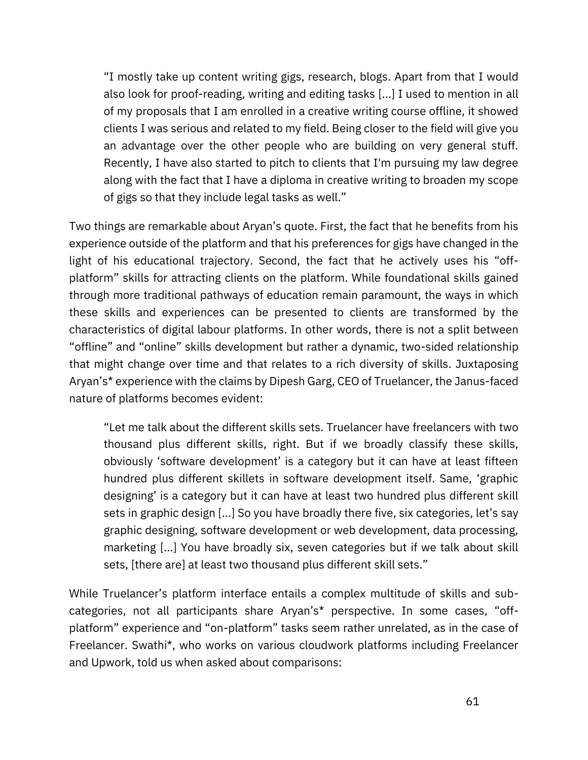"I mostly take up content writing gigs, research, blogs. Apart from that I would also look for proof-reading, writing and editing tasks [...] I used to mention in all of my proposals that I am enrolled in a creative writing course offline, it showed clients I was serious and related to my field. Being closer to the field will give you an advantage over the other people who are building on very general stuff. Recently, I have also started to pitch to clients that I'm pursuing my law degree along with the fact that I have a diploma in creative writing to broaden my scope of gigs so that they include legal tasks as well."

Two things are remarkable about Aryan's quote. First, the fact that he benefits from his experience outside of the platform and that his preferences for gigs have changed in the light of his educational trajectory. Second, the fact that he actively uses his "offplatform" skills for attracting clients on the platform. While foundational skills gained through more traditional pathways of education remain paramount, the ways in which these skills and experiences can be presented to clients are transformed by the characteristics of digital labour platforms. In other words, there is not a split between "offline" and "online" skills development but rather a dynamic, two-sided relationship that might change over time and that relates to a rich diversity of skills. Juxtaposing Aryan's\* experience with the claims by Dipesh Garg, CEO of Truelancer, the Janus-faced nature of platforms becomes evident:

"Let me talk about the different skills sets. Truelancer have freelancers with two thousand plus different skills, right. But if we broadly classify these skills, obviously 'software development' is a category but it can have at least fifteen hundred plus different skillets in software development itself. Same, 'graphic designing' is a category but it can have at least two hundred plus different skill sets in graphic design [...] So you have broadly there five, six categories, let's say graphic designing, software development or web development, data processing, marketing [...] You have broadly six, seven categories but if we talk about skill sets, [there are] at least two thousand plus different skill sets."

While Truelancer's platform interface entails a complex multitude of skills and subcategories, not all participants share Aryan's\* perspective. In some cases, "offplatform" experience and "on-platform" tasks seem rather unrelated, as in the case of Freelancer. Swathi\*, who works on various cloudwork platforms including Freelancer and Upwork, told us when asked about comparisons: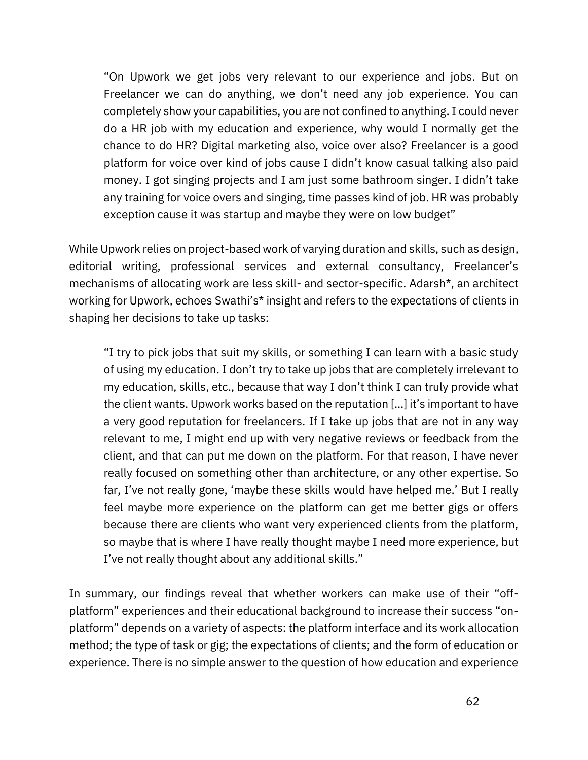"On Upwork we get jobs very relevant to our experience and jobs. But on Freelancer we can do anything, we don't need any job experience. You can completely show your capabilities, you are not confined to anything. I could never do a HR job with my education and experience, why would I normally get the chance to do HR? Digital marketing also, voice over also? Freelancer is a good platform for voice over kind of jobs cause I didn't know casual talking also paid money. I got singing projects and I am just some bathroom singer. I didn't take any training for voice overs and singing, time passes kind of job. HR was probably exception cause it was startup and maybe they were on low budget"

While Upwork relies on project-based work of varying duration and skills, such as design, editorial writing, professional services and external consultancy, Freelancer's mechanisms of allocating work are less skill- and sector-specific. Adarsh\*, an architect working for Upwork, echoes Swathi's\* insight and refers to the expectations of clients in shaping her decisions to take up tasks:

"I try to pick jobs that suit my skills, or something I can learn with a basic study of using my education. I don't try to take up jobs that are completely irrelevant to my education, skills, etc., because that way I don't think I can truly provide what the client wants. Upwork works based on the reputation […] it's important to have a very good reputation for freelancers. If I take up jobs that are not in any way relevant to me, I might end up with very negative reviews or feedback from the client, and that can put me down on the platform. For that reason, I have never really focused on something other than architecture, or any other expertise. So far, I've not really gone, 'maybe these skills would have helped me.' But I really feel maybe more experience on the platform can get me better gigs or offers because there are clients who want very experienced clients from the platform, so maybe that is where I have really thought maybe I need more experience, but I've not really thought about any additional skills."

In summary, our findings reveal that whether workers can make use of their "offplatform" experiences and their educational background to increase their success "onplatform" depends on a variety of aspects: the platform interface and its work allocation method; the type of task or gig; the expectations of clients; and the form of education or experience. There is no simple answer to the question of how education and experience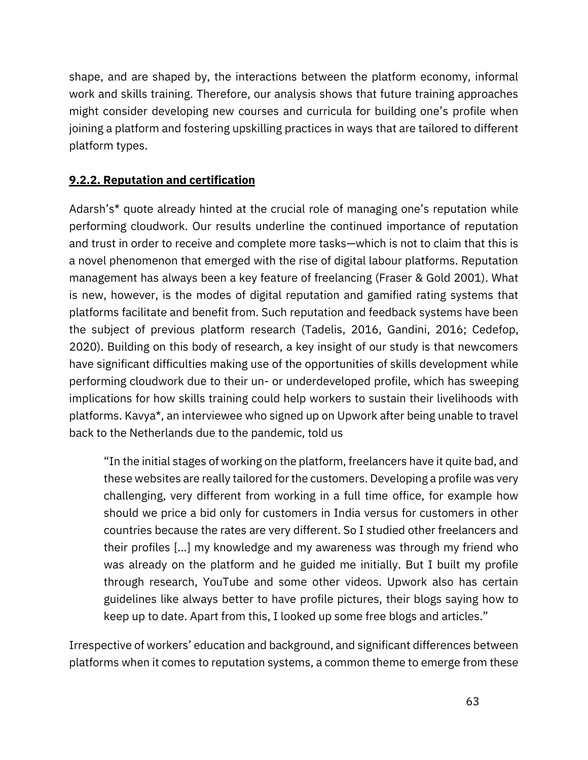shape, and are shaped by, the interactions between the platform economy, informal work and skills training. Therefore, our analysis shows that future training approaches might consider developing new courses and curricula for building one's profile when joining a platform and fostering upskilling practices in ways that are tailored to different platform types.

### **9.2.2. Reputation and certification**

Adarsh's\* quote already hinted at the crucial role of managing one's reputation while performing cloudwork. Our results underline the continued importance of reputation and trust in order to receive and complete more tasks—which is not to claim that this is a novel phenomenon that emerged with the rise of digital labour platforms. Reputation management has always been a key feature of freelancing (Fraser & Gold 2001). What is new, however, is the modes of digital reputation and gamified rating systems that platforms facilitate and benefit from. Such reputation and feedback systems have been the subject of previous platform research [\(Tadelis, 2016,](https://www.zotero.org/google-docs/?EappU1) [Gandini, 2016;](https://www.zotero.org/google-docs/?SdWuFF) [Cedefop,](https://www.zotero.org/google-docs/?5oEt43)  [2020\)](https://www.zotero.org/google-docs/?5oEt43). Building on this body of research, a key insight of our study is that newcomers have significant difficulties making use of the opportunities of skills development while performing cloudwork due to their un- or underdeveloped profile, which has sweeping implications for how skills training could help workers to sustain their livelihoods with platforms. Kavya\*, an interviewee who signed up on Upwork after being unable to travel back to the Netherlands due to the pandemic, told us

"In the initial stages of working on the platform, freelancers have it quite bad, and these websites are really tailored for the customers. Developing a profile was very challenging, very different from working in a full time office, for example how should we price a bid only for customers in India versus for customers in other countries because the rates are very different. So I studied other freelancers and their profiles [...] my knowledge and my awareness was through my friend who was already on the platform and he guided me initially. But I built my profile through research, YouTube and some other videos. Upwork also has certain guidelines like always better to have profile pictures, their blogs saying how to keep up to date. Apart from this, I looked up some free blogs and articles."

Irrespective of workers' education and background, and significant differences between platforms when it comes to reputation systems, a common theme to emerge from these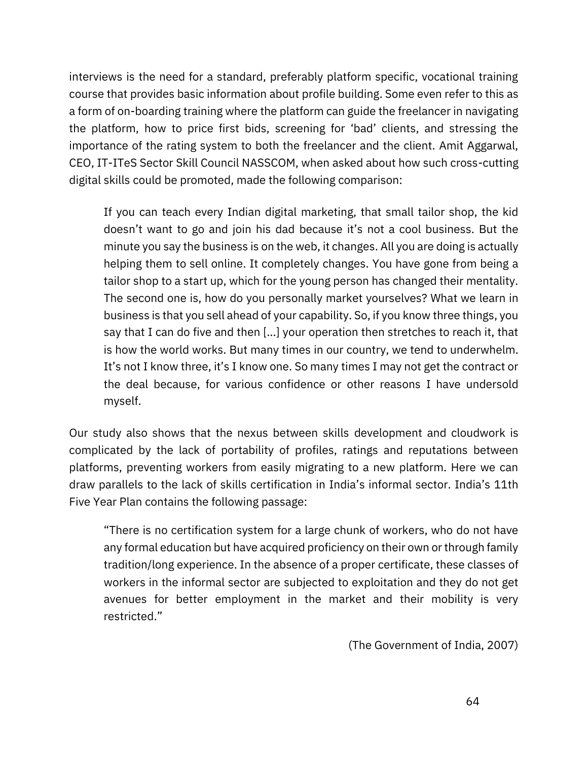interviews is the need for a standard, preferably platform specific, vocational training course that provides basic information about profile building. Some even refer to this as a form of on-boarding training where the platform can guide the freelancer in navigating the platform, how to price first bids, screening for 'bad' clients, and stressing the importance of the rating system to both the freelancer and the client. Amit Aggarwal, CEO, IT-ITeS Sector Skill Council NASSCOM, when asked about how such cross-cutting digital skills could be promoted, made the following comparison:

If you can teach every Indian digital marketing, that small tailor shop, the kid doesn't want to go and join his dad because it's not a cool business. But the minute you say the business is on the web, it changes. All you are doing is actually helping them to sell online. It completely changes. You have gone from being a tailor shop to a start up, which for the young person has changed their mentality. The second one is, how do you personally market yourselves? What we learn in business is that you sell ahead of your capability. So, if you know three things, you say that I can do five and then […] your operation then stretches to reach it, that is how the world works. But many times in our country, we tend to underwhelm. It's not I know three, it's I know one. So many times I may not get the contract or the deal because, for various confidence or other reasons I have undersold myself.

Our study also shows that the nexus between skills development and cloudwork is complicated by the lack of portability of profiles, ratings and reputations between platforms, preventing workers from easily migrating to a new platform. Here we can draw parallels to the lack of skills certification in India's informal sector. India's 11th Five Year Plan contains the following passage:

"There is no certification system for a large chunk of workers, who do not have any formal education but have acquired proficiency on their own or through family tradition/long experience. In the absence of a proper certificate, these classes of workers in the informal sector are subjected to exploitation and they do not get avenues for better employment in the market and their mobility is very restricted."

(The Government of India, 2007)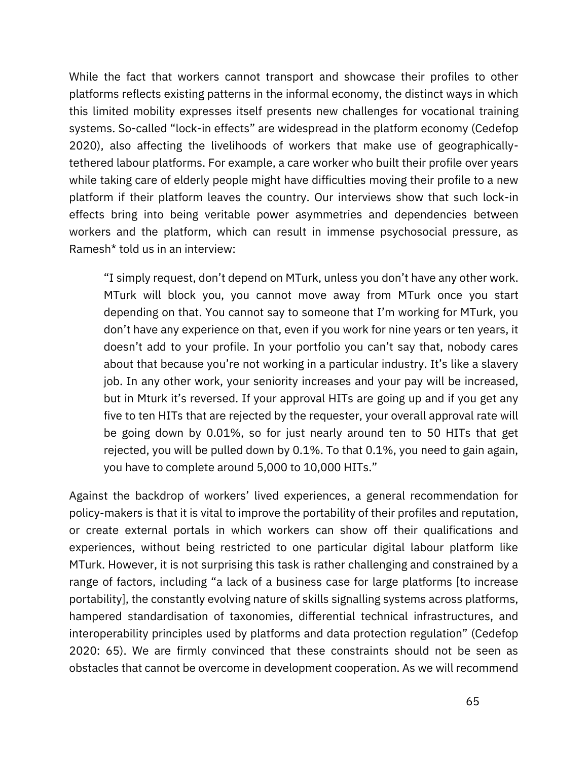While the fact that workers cannot transport and showcase their profiles to other platforms reflects existing patterns in the informal economy, the distinct ways in which this limited mobility expresses itself presents new challenges for vocational training systems. So-called "lock-in effects" are widespread in the platform economy (Cedefop 2020), also affecting the livelihoods of workers that make use of geographicallytethered labour platforms. For example, a care worker who built their profile over years while taking care of elderly people might have difficulties moving their profile to a new platform if their platform leaves the country. Our interviews show that such lock-in effects bring into being veritable power asymmetries and dependencies between workers and the platform, which can result in immense psychosocial pressure, as Ramesh\* told us in an interview:

"I simply request, don't depend on MTurk, unless you don't have any other work. MTurk will block you, you cannot move away from MTurk once you start depending on that. You cannot say to someone that I'm working for MTurk, you don't have any experience on that, even if you work for nine years or ten years, it doesn't add to your profile. In your portfolio you can't say that, nobody cares about that because you're not working in a particular industry. It's like a slavery job. In any other work, your seniority increases and your pay will be increased, but in Mturk it's reversed. If your approval HITs are going up and if you get any five to ten HITs that are rejected by the requester, your overall approval rate will be going down by 0.01%, so for just nearly around ten to 50 HITs that get rejected, you will be pulled down by 0.1%. To that 0.1%, you need to gain again, you have to complete around 5,000 to 10,000 HITs."

Against the backdrop of workers' lived experiences, a general recommendation for policy-makers is that it is vital to improve the portability of their profiles and reputation, or create external portals in which workers can show off their qualifications and experiences, without being restricted to one particular digital labour platform like MTurk. However, it is not surprising this task is rather challenging and constrained by a range of factors, including "a lack of a business case for large platforms [to increase portability], the constantly evolving nature of skills signalling systems across platforms, hampered standardisation of taxonomies, differential technical infrastructures, and interoperability principles used by platforms and data protection regulation" (Cedefop 2020: 65). We are firmly convinced that these constraints should not be seen as obstacles that cannot be overcome in development cooperation. As we will recommend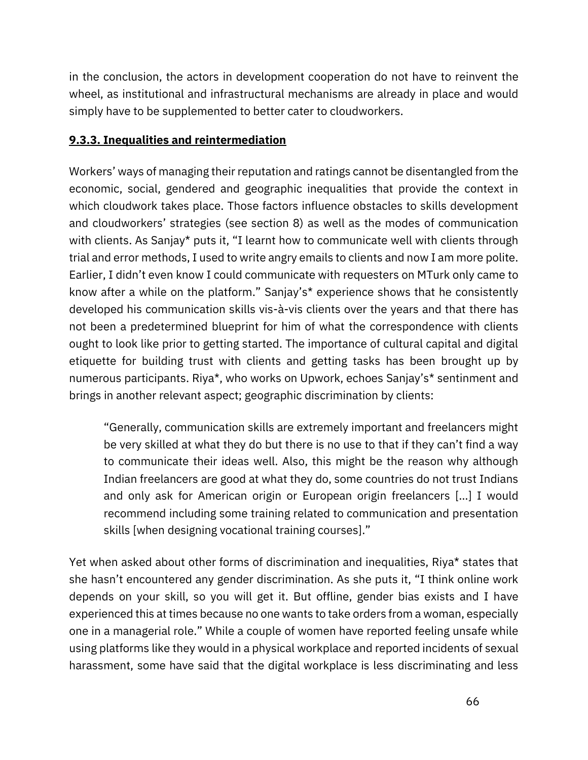in the conclusion, the actors in development cooperation do not have to reinvent the wheel, as institutional and infrastructural mechanisms are already in place and would simply have to be supplemented to better cater to cloudworkers.

### **9.3.3. Inequalities and reintermediation**

Workers' ways of managing their reputation and ratings cannot be disentangled from the economic, social, gendered and geographic inequalities that provide the context in which cloudwork takes place. Those factors influence obstacles to skills development and cloudworkers' strategies (see section 8) as well as the modes of communication with clients. As Sanjay<sup>\*</sup> puts it, "I learnt how to communicate well with clients through trial and error methods, I used to write angry emails to clients and now I am more polite. Earlier, I didn't even know I could communicate with requesters on MTurk only came to know after a while on the platform." Sanjay's\* experience shows that he consistently developed his communication skills vis-à-vis clients over the years and that there has not been a predetermined blueprint for him of what the correspondence with clients ought to look like prior to getting started. The importance of cultural capital and digital etiquette for building trust with clients and getting tasks has been brought up by numerous participants. Riya\*, who works on Upwork, echoes Sanjay's\* sentinment and brings in another relevant aspect; geographic discrimination by clients:

"Generally, communication skills are extremely important and freelancers might be very skilled at what they do but there is no use to that if they can't find a way to communicate their ideas well. Also, this might be the reason why although Indian freelancers are good at what they do, some countries do not trust Indians and only ask for American origin or European origin freelancers […] I would recommend including some training related to communication and presentation skills [when designing vocational training courses]."

Yet when asked about other forms of discrimination and inequalities, Riya\* states that she hasn't encountered any gender discrimination. As she puts it, "I think online work depends on your skill, so you will get it. But offline, gender bias exists and I have experienced this at times because no one wants to take orders from a woman, especially one in a managerial role." While a couple of women have reported feeling unsafe while using platforms like they would in a physical workplace and reported incidents of sexual harassment, some have said that the digital workplace is less discriminating and less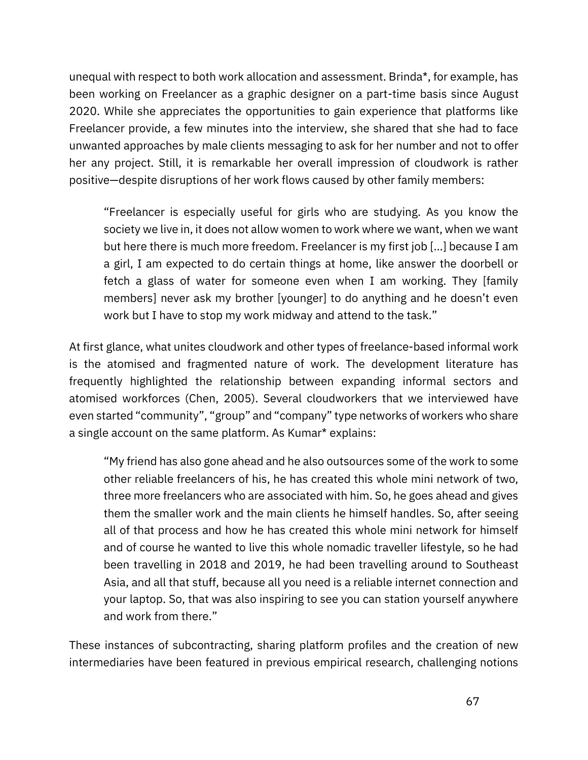unequal with respect to both work allocation and assessment. Brinda\*, for example, has been working on Freelancer as a graphic designer on a part-time basis since August 2020. While she appreciates the opportunities to gain experience that platforms like Freelancer provide, a few minutes into the interview, she shared that she had to face unwanted approaches by male clients messaging to ask for her number and not to offer her any project. Still, it is remarkable her overall impression of cloudwork is rather positive—despite disruptions of her work flows caused by other family members:

"Freelancer is especially useful for girls who are studying. As you know the society we live in, it does not allow women to work where we want, when we want but here there is much more freedom. Freelancer is my first job […] because I am a girl, I am expected to do certain things at home, like answer the doorbell or fetch a glass of water for someone even when I am working. They [family members] never ask my brother [younger] to do anything and he doesn't even work but I have to stop my work midway and attend to the task."

At first glance, what unites cloudwork and other types of freelance-based informal work is the atomised and fragmented nature of work. The development literature has frequently highlighted the relationship between expanding informal sectors and atomised workforces [\(Chen, 2005\)](https://www.zotero.org/google-docs/?8nnK9J). Several cloudworkers that we interviewed have even started "community", "group" and "company" type networks of workers who share a single account on the same platform. As Kumar\* explains:

"My friend has also gone ahead and he also outsources some of the work to some other reliable freelancers of his, he has created this whole mini network of two, three more freelancers who are associated with him. So, he goes ahead and gives them the smaller work and the main clients he himself handles. So, after seeing all of that process and how he has created this whole mini network for himself and of course he wanted to live this whole nomadic traveller lifestyle, so he had been travelling in 2018 and 2019, he had been travelling around to Southeast Asia, and all that stuff, because all you need is a reliable internet connection and your laptop. So, that was also inspiring to see you can station yourself anywhere and work from there."

These instances of subcontracting, sharing platform profiles and the creation of new intermediaries have been featured in previous empirical research, challenging notions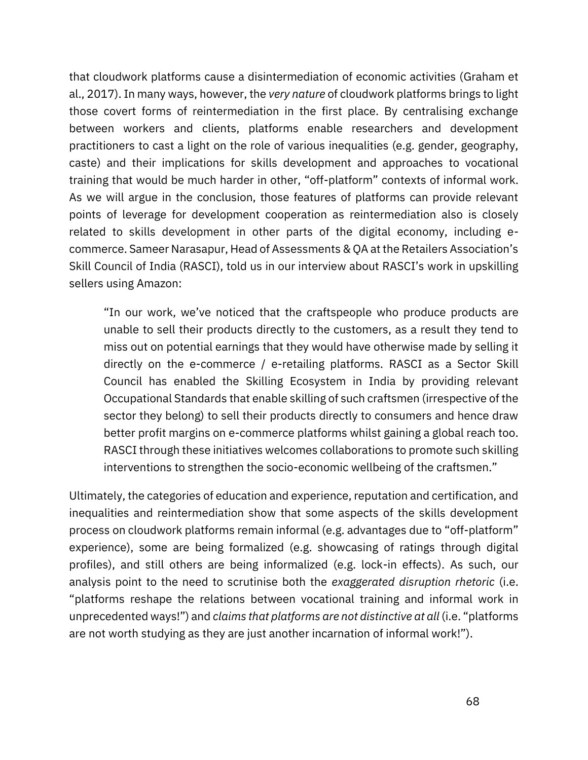that cloudwork platforms cause a disintermediation of economic activities [\(Graham et](https://www.zotero.org/google-docs/?1CKcPR)  [al., 2017\)](https://www.zotero.org/google-docs/?1CKcPR). In many ways, however, the *very nature* of cloudwork platforms brings to light those covert forms of reintermediation in the first place. By centralising exchange between workers and clients, platforms enable researchers and development practitioners to cast a light on the role of various inequalities (e.g. gender, geography, caste) and their implications for skills development and approaches to vocational training that would be much harder in other, "off-platform" contexts of informal work. As we will argue in the conclusion, those features of platforms can provide relevant points of leverage for development cooperation as reintermediation also is closely related to skills development in other parts of the digital economy, including ecommerce. Sameer Narasapur, Head of Assessments & QA at the Retailers Association's Skill Council of India (RASCI), told us in our interview about RASCI's work in upskilling sellers using Amazon:

"In our work, we've noticed that the craftspeople who produce products are unable to sell their products directly to the customers, as a result they tend to miss out on potential earnings that they would have otherwise made by selling it directly on the e-commerce / e-retailing platforms. RASCI as a Sector Skill Council has enabled the Skilling Ecosystem in India by providing relevant Occupational Standards that enable skilling of such craftsmen (irrespective of the sector they belong) to sell their products directly to consumers and hence draw better profit margins on e-commerce platforms whilst gaining a global reach too. RASCI through these initiatives welcomes collaborations to promote such skilling interventions to strengthen the socio-economic wellbeing of the craftsmen."

Ultimately, the categories of education and experience, reputation and certification, and inequalities and reintermediation show that some aspects of the skills development process on cloudwork platforms remain informal (e.g. advantages due to "off-platform" experience), some are being formalized (e.g. showcasing of ratings through digital profiles), and still others are being informalized (e.g. lock-in effects). As such, our analysis point to the need to scrutinise both the *exaggerated disruption rhetoric* (i.e. "platforms reshape the relations between vocational training and informal work in unprecedented ways!") and *claims that platforms are not distinctive at all* (i.e. "platforms are not worth studying as they are just another incarnation of informal work!").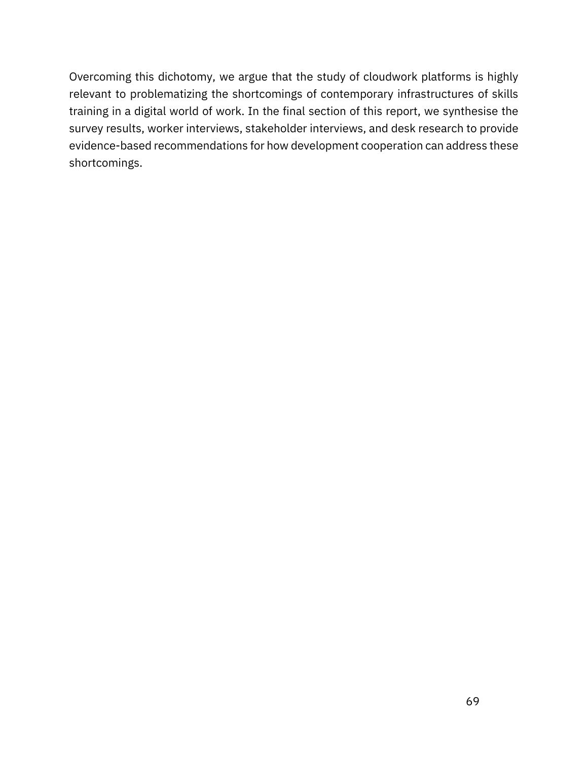Overcoming this dichotomy, we argue that the study of cloudwork platforms is highly relevant to problematizing the shortcomings of contemporary infrastructures of skills training in a digital world of work. In the final section of this report, we synthesise the survey results, worker interviews, stakeholder interviews, and desk research to provide evidence-based recommendations for how development cooperation can address these shortcomings.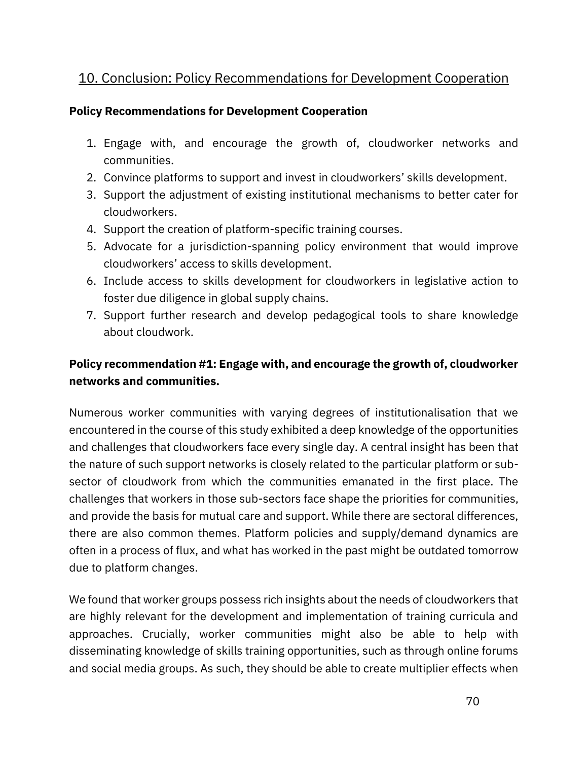# 10. Conclusion: Policy Recommendations for Development Cooperation

#### **Policy Recommendations for Development Cooperation**

- 1. Engage with, and encourage the growth of, cloudworker networks and communities.
- 2. Convince platforms to support and invest in cloudworkers' skills development.
- 3. Support the adjustment of existing institutional mechanisms to better cater for cloudworkers.
- 4. Support the creation of platform-specific training courses.
- 5. Advocate for a jurisdiction-spanning policy environment that would improve cloudworkers' access to skills development.
- 6. Include access to skills development for cloudworkers in legislative action to foster due diligence in global supply chains.
- 7. Support further research and develop pedagogical tools to share knowledge about cloudwork.

## **Policy recommendation #1: Engage with, and encourage the growth of, cloudworker networks and communities.**

Numerous worker communities with varying degrees of institutionalisation that we encountered in the course of this study exhibited a deep knowledge of the opportunities and challenges that cloudworkers face every single day. A central insight has been that the nature of such support networks is closely related to the particular platform or subsector of cloudwork from which the communities emanated in the first place. The challenges that workers in those sub-sectors face shape the priorities for communities, and provide the basis for mutual care and support. While there are sectoral differences, there are also common themes. Platform policies and supply/demand dynamics are often in a process of flux, and what has worked in the past might be outdated tomorrow due to platform changes.

We found that worker groups possess rich insights about the needs of cloudworkers that are highly relevant for the development and implementation of training curricula and approaches. Crucially, worker communities might also be able to help with disseminating knowledge of skills training opportunities, such as through online forums and social media groups. As such, they should be able to create multiplier effects when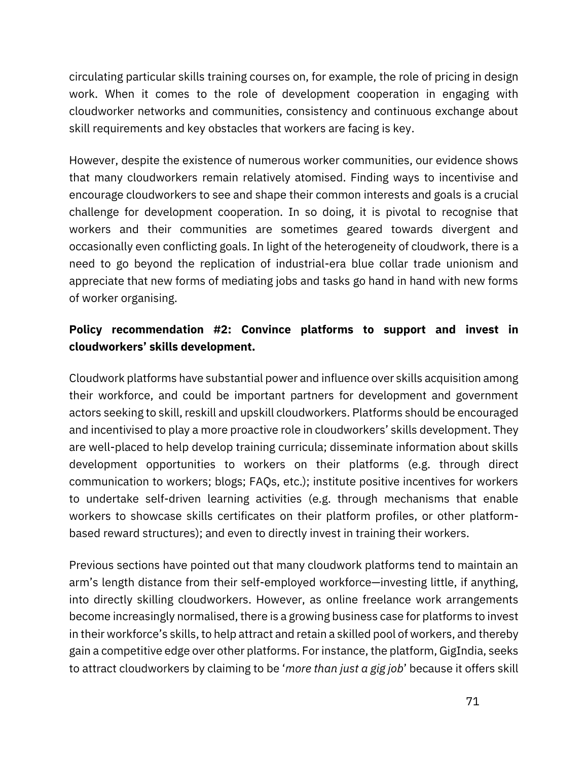circulating particular skills training courses on, for example, the role of pricing in design work. When it comes to the role of development cooperation in engaging with cloudworker networks and communities, consistency and continuous exchange about skill requirements and key obstacles that workers are facing is key.

However, despite the existence of numerous worker communities, our evidence shows that many cloudworkers remain relatively atomised. Finding ways to incentivise and encourage cloudworkers to see and shape their common interests and goals is a crucial challenge for development cooperation. In so doing, it is pivotal to recognise that workers and their communities are sometimes geared towards divergent and occasionally even conflicting goals. In light of the heterogeneity of cloudwork, there is a need to go beyond the replication of industrial-era blue collar trade unionism and appreciate that new forms of mediating jobs and tasks go hand in hand with new forms of worker organising.

## **Policy recommendation #2: Convince platforms to support and invest in cloudworkers' skills development.**

Cloudwork platforms have substantial power and influence over skills acquisition among their workforce, and could be important partners for development and government actors seeking to skill, reskill and upskill cloudworkers. Platforms should be encouraged and incentivised to play a more proactive role in cloudworkers' skills development. They are well-placed to help develop training curricula; disseminate information about skills development opportunities to workers on their platforms (e.g. through direct communication to workers; blogs; FAQs, etc.); institute positive incentives for workers to undertake self-driven learning activities (e.g. through mechanisms that enable workers to showcase skills certificates on their platform profiles, or other platformbased reward structures); and even to directly invest in training their workers.

Previous sections have pointed out that many cloudwork platforms tend to maintain an arm's length distance from their self-employed workforce—investing little, if anything, into directly skilling cloudworkers. However, as online freelance work arrangements become increasingly normalised, there is a growing business case for platforms to invest in their workforce's skills, to help attract and retain a skilled pool of workers, and thereby gain a competitive edge over other platforms. For instance, the platform, GigIndia, seeks to attract cloudworkers by claiming to be '*more than just a gig job*' because it offers skill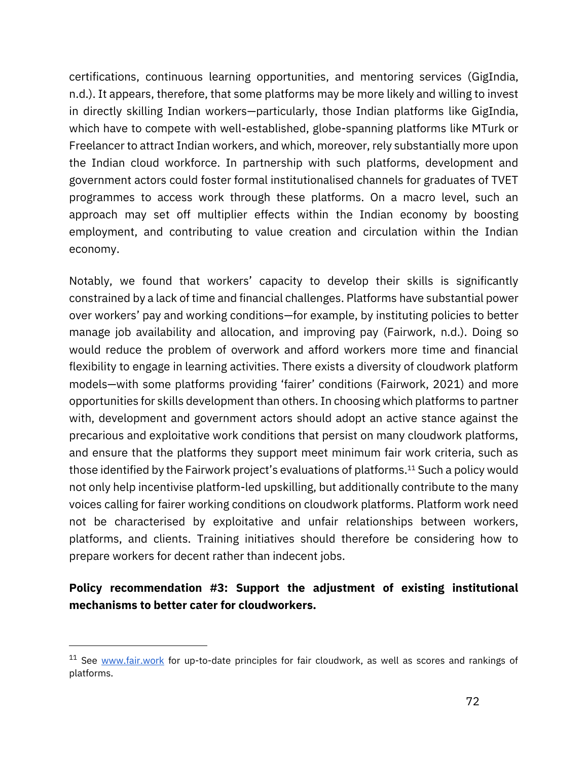certifications, continuous learning opportunities, and mentoring services [\(GigIndia,](https://www.zotero.org/google-docs/?DB5KBj)  [n.d.\)](https://www.zotero.org/google-docs/?DB5KBj). It appears, therefore, that some platforms may be more likely and willing to invest in directly skilling Indian workers—particularly, those Indian platforms like GigIndia, which have to compete with well-established, globe-spanning platforms like MTurk or Freelancer to attract Indian workers, and which, moreover, rely substantially more upon the Indian cloud workforce. In partnership with such platforms, development and government actors could foster formal institutionalised channels for graduates of TVET programmes to access work through these platforms. On a macro level, such an approach may set off multiplier effects within the Indian economy by boosting employment, and contributing to value creation and circulation within the Indian economy.

Notably, we found that workers' capacity to develop their skills is significantly constrained by a lack of time and financial challenges. Platforms have substantial power over workers' pay and working conditions—for example, by instituting policies to better manage job availability and allocation, and improving pay [\(Fairwork,](https://www.zotero.org/google-docs/?Arf2b5) n.d.). Doing so would reduce the problem of overwork and afford workers more time and financial flexibility to engage in learning activities. There exists a diversity of cloudwork platform models—with some platforms providing 'fairer' conditions [\(Fairwork, 2021\)](https://www.zotero.org/google-docs/?hScxJM) and more opportunities for skills development than others. In choosing which platforms to partner with, development and government actors should adopt an active stance against the precarious and exploitative work conditions that persist on many cloudwork platforms, and ensure that the platforms they support meet minimum fair work criteria, such as those identified by the Fairwork project's evaluations of platforms.<sup>11</sup> Such a policy would not only help incentivise platform-led upskilling, but additionally contribute to the many voices calling for fairer working conditions on cloudwork platforms. Platform work need not be characterised by exploitative and unfair relationships between workers, platforms, and clients. Training initiatives should therefore be considering how to prepare workers for decent rather than indecent jobs.

# **Policy recommendation #3: Support the adjustment of existing institutional mechanisms to better cater for cloudworkers.**

 $11$  See [www.fair.work](http://www.fair.work/) for up-to-date principles for fair cloudwork, as well as scores and rankings of platforms.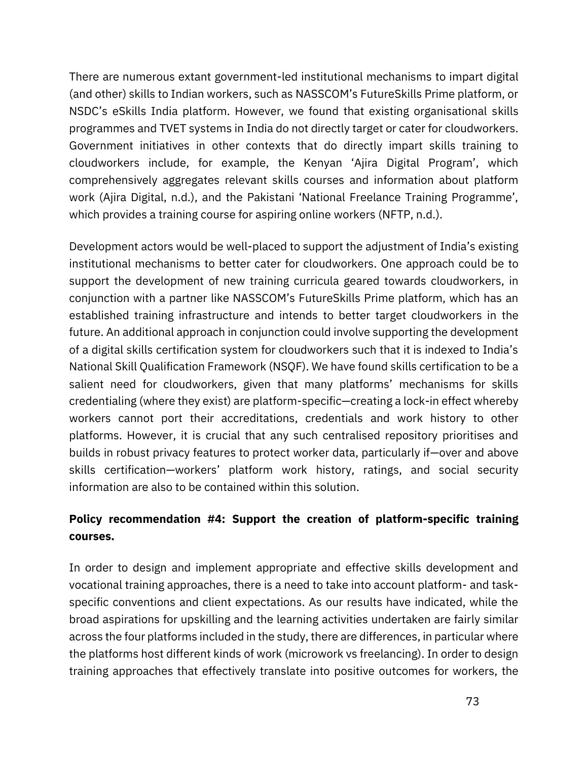There are numerous extant government-led institutional mechanisms to impart digital (and other) skills to Indian workers, such as NASSCOM's FutureSkills Prime platform, or NSDC's eSkills India platform. However, we found that existing organisational skills programmes and TVET systems in India do not directly target or cater for cloudworkers. Government initiatives in other contexts that do directly impart skills training to cloudworkers include, for example, the Kenyan 'Ajira Digital Program', which comprehensively aggregates relevant skills courses and information about platform work [\(Ajira Digital, n.d.\)](https://www.zotero.org/google-docs/?3VKEDL), and the Pakistani 'National Freelance Training Programme', which provides a training course for aspiring online workers [\(NFTP, n.d.\)](https://www.zotero.org/google-docs/?vmCTfV).

Development actors would be well-placed to support the adjustment of India's existing institutional mechanisms to better cater for cloudworkers. One approach could be to support the development of new training curricula geared towards cloudworkers, in conjunction with a partner like NASSCOM's FutureSkills Prime platform, which has an established training infrastructure and intends to better target cloudworkers in the future. An additional approach in conjunction could involve supporting the development of a digital skills certification system for cloudworkers such that it is indexed to India's National Skill Qualification Framework (NSQF). We have found skills certification to be a salient need for cloudworkers, given that many platforms' mechanisms for skills credentialing (where they exist) are platform-specific—creating a lock-in effect whereby workers cannot port their accreditations, credentials and work history to other platforms. However, it is crucial that any such centralised repository prioritises and builds in robust privacy features to protect worker data, particularly if—over and above skills certification—workers' platform work history, ratings, and social security information are also to be contained within this solution.

# **Policy recommendation #4: Support the creation of platform-specific training courses.**

In order to design and implement appropriate and effective skills development and vocational training approaches, there is a need to take into account platform- and taskspecific conventions and client expectations. As our results have indicated, while the broad aspirations for upskilling and the learning activities undertaken are fairly similar across the four platforms included in the study, there are differences, in particular where the platforms host different kinds of work (microwork vs freelancing). In order to design training approaches that effectively translate into positive outcomes for workers, the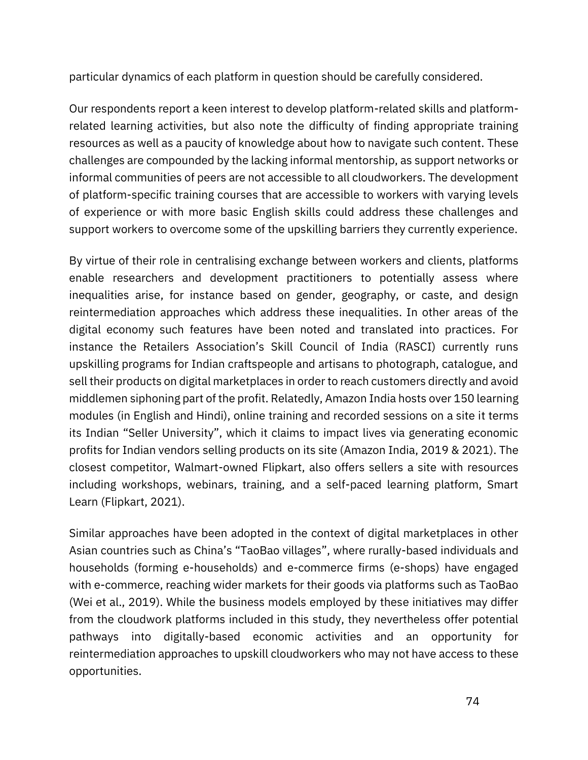particular dynamics of each platform in question should be carefully considered.

Our respondents report a keen interest to develop platform-related skills and platformrelated learning activities, but also note the difficulty of finding appropriate training resources as well as a paucity of knowledge about how to navigate such content. These challenges are compounded by the lacking informal mentorship, as support networks or informal communities of peers are not accessible to all cloudworkers. The development of platform-specific training courses that are accessible to workers with varying levels of experience or with more basic English skills could address these challenges and support workers to overcome some of the upskilling barriers they currently experience.

By virtue of their role in centralising exchange between workers and clients, platforms enable researchers and development practitioners to potentially assess where inequalities arise, for instance based on gender, geography, or caste, and design reintermediation approaches which address these inequalities. In other areas of the digital economy such features have been noted and translated into practices. For instance the Retailers Association's Skill Council of India (RASCI) currently runs upskilling programs for Indian craftspeople and artisans to photograph, catalogue, and sell their products on digital marketplaces in order to reach customers directly and avoid middlemen siphoning part of the profit. Relatedly, Amazon India hosts over 150 learning modules (in English and Hindi), online training and recorded sessions on a site it terms its Indian "Seller University", which it claims to impact lives via generating economic profits for Indian vendors selling products on its site [\(Amazon India, 2019](https://www.zotero.org/google-docs/?VBVxiD) & [2021\)](https://www.zotero.org/google-docs/?RtP3TP). The closest competitor, Walmart-owned Flipkart, also offers sellers a site with resources including workshops, webinars, training, and a self-paced learning platform, Smart Learn [\(Flipkart, 2021\).](https://www.zotero.org/google-docs/?Zz0Nqf)

Similar approaches have been adopted in the context of digital marketplaces in other Asian countries such as China's "TaoBao villages", where rurally-based individuals and households (forming e-households) and e-commerce firms (e-shops) have engaged with e-commerce, reaching wider markets for their goods via platforms such as TaoBao [\(Wei et al., 2019\)](https://www.zotero.org/google-docs/?ARWOx9). While the business models employed by these initiatives may differ from the cloudwork platforms included in this study, they nevertheless offer potential pathways into digitally-based economic activities and an opportunity for reintermediation approaches to upskill cloudworkers who may not have access to these opportunities.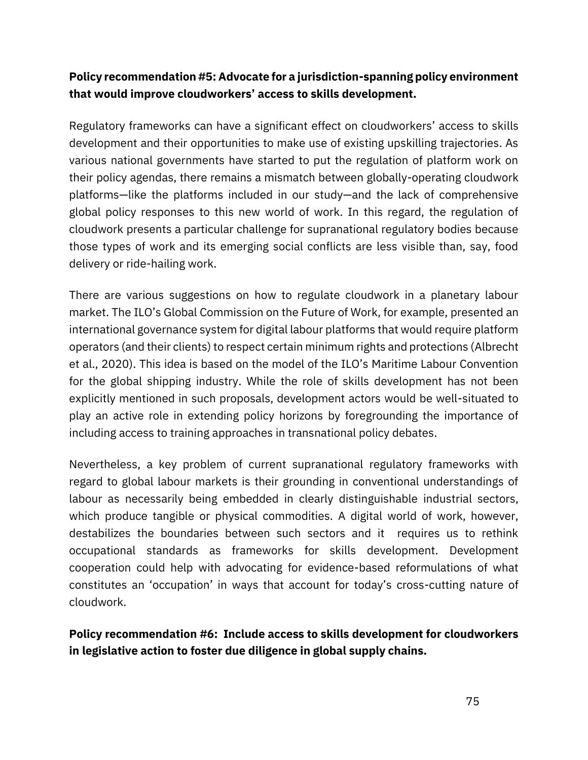# **Policy recommendation #5: Advocate for a jurisdiction-spanning policy environment that would improve cloudworkers' access to skills development.**

Regulatory frameworks can have a significant effect on cloudworkers' access to skills development and their opportunities to make use of existing upskilling trajectories. As various national governments have started to put the regulation of platform work on their policy agendas, there remains a mismatch between globally-operating cloudwork platforms—like the platforms included in our study—and the lack of comprehensive global policy responses to this new world of work. In this regard, the regulation of cloudwork presents a particular challenge for supranational regulatory bodies because those types of work and its emerging social conflicts are less visible than, say, food delivery or ride-hailing work.

There are various suggestions on how to regulate cloudwork in a planetary labour market. The ILO's Global Commission on the Future of Work, for example, presented an international governance system for digital labour platforms that would require platform operators (and their clients) to respect certain minimum rights and protections [\(Albrecht](https://www.zotero.org/google-docs/?4dIFiw) [et al., 2020](https://www.zotero.org/google-docs/?4dIFiw)). This idea is based on the model of the ILO's Maritime Labour Convention for the global shipping industry. While the role of skills development has not been explicitly mentioned in such proposals, development actors would be well-situated to play an active role in extending policy horizons by foregrounding the importance of including access to training approaches in transnational policy debates.

Nevertheless, a key problem of current supranational regulatory frameworks with regard to global labour markets is their grounding in conventional understandings of labour as necessarily being embedded in clearly distinguishable industrial sectors, which produce tangible or physical commodities. A digital world of work, however, destabilizes the boundaries between such sectors and it requires us to rethink occupational standards as frameworks for skills development. Development cooperation could help with advocating for evidence-based reformulations of what constitutes an 'occupation' in ways that account for today's cross-cutting nature of cloudwork.

**Policy recommendation #6: Include access to skills development for cloudworkers in legislative action to foster due diligence in global supply chains.**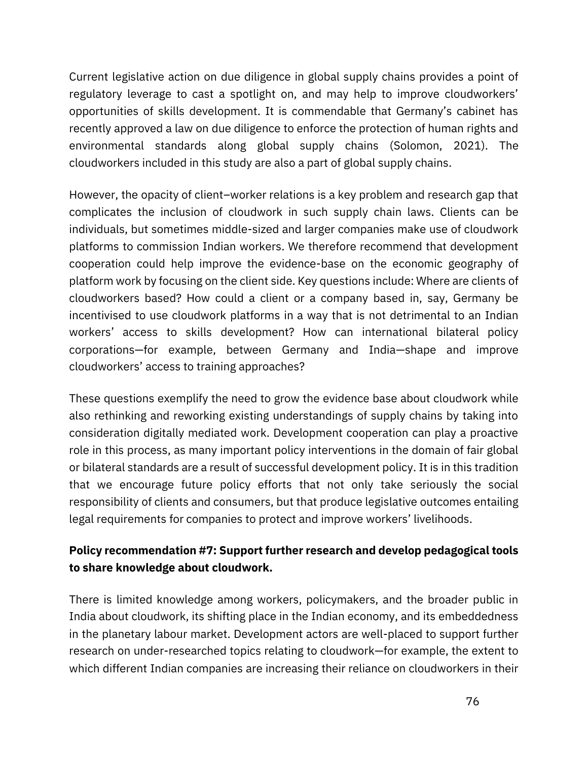Current legislative action on due diligence in global supply chains provides a point of regulatory leverage to cast a spotlight on, and may help to improve cloudworkers' opportunities of skills development. It is commendable that Germany's cabinet has recently approved a law on due diligence to enforce the protection of human rights and environmental standards along global supply chains [\(Solomon, 2021\)](https://www.zotero.org/google-docs/?evOcC8). The cloudworkers included in this study are also a part of global supply chains.

However, the opacity of client–worker relations is a key problem and research gap that complicates the inclusion of cloudwork in such supply chain laws. Clients can be individuals, but sometimes middle-sized and larger companies make use of cloudwork platforms to commission Indian workers. We therefore recommend that development cooperation could help improve the evidence-base on the economic geography of platform work by focusing on the client side. Key questions include: Where are clients of cloudworkers based? How could a client or a company based in, say, Germany be incentivised to use cloudwork platforms in a way that is not detrimental to an Indian workers' access to skills development? How can international bilateral policy corporations—for example, between Germany and India—shape and improve cloudworkers' access to training approaches?

These questions exemplify the need to grow the evidence base about cloudwork while also rethinking and reworking existing understandings of supply chains by taking into consideration digitally mediated work. Development cooperation can play a proactive role in this process, as many important policy interventions in the domain of fair global or bilateral standards are a result of successful development policy. It is in this tradition that we encourage future policy efforts that not only take seriously the social responsibility of clients and consumers, but that produce legislative outcomes entailing legal requirements for companies to protect and improve workers' livelihoods.

# **Policy recommendation #7: Support further research and develop pedagogical tools to share knowledge about cloudwork.**

There is limited knowledge among workers, policymakers, and the broader public in India about cloudwork, its shifting place in the Indian economy, and its embeddedness in the planetary labour market. Development actors are well-placed to support further research on under-researched topics relating to cloudwork—for example, the extent to which different Indian companies are increasing their reliance on cloudworkers in their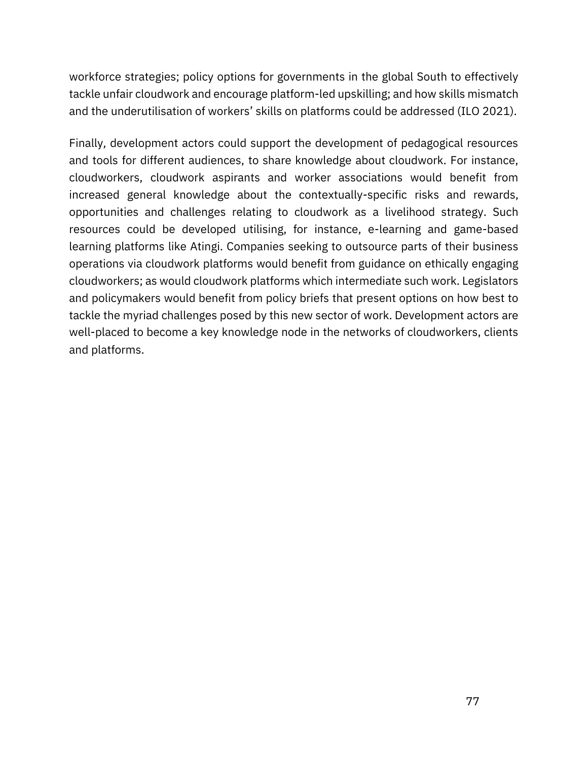workforce strategies; policy options for governments in the global South to effectively tackle unfair cloudwork and encourage platform-led upskilling; and how skills mismatch and the underutilisation of workers' skills on platforms could be addressed (ILO 2021).

Finally, development actors could support the development of pedagogical resources and tools for different audiences, to share knowledge about cloudwork. For instance, cloudworkers, cloudwork aspirants and worker associations would benefit from increased general knowledge about the contextually-specific risks and rewards, opportunities and challenges relating to cloudwork as a livelihood strategy. Such resources could be developed utilising, for instance, e-learning and game-based learning platforms like Atingi. Companies seeking to outsource parts of their business operations via cloudwork platforms would benefit from guidance on ethically engaging cloudworkers; as would cloudwork platforms which intermediate such work. Legislators and policymakers would benefit from policy briefs that present options on how best to tackle the myriad challenges posed by this new sector of work. Development actors are well-placed to become a key knowledge node in the networks of cloudworkers, clients and platforms.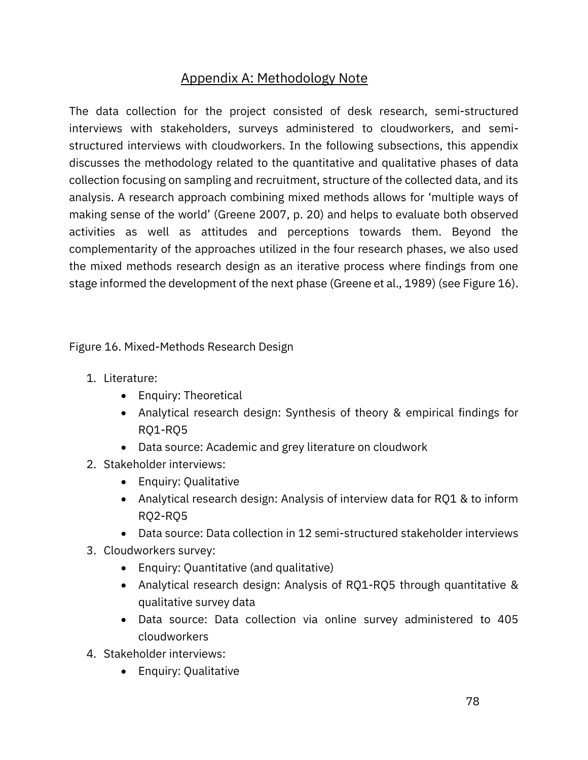# Appendix A: Methodology Note

The data collection for the project consisted of desk research, semi-structured interviews with stakeholders, surveys administered to cloudworkers, and semistructured interviews with cloudworkers. In the following subsections, this appendix discusses the methodology related to the quantitative and qualitative phases of data collection focusing on sampling and recruitment, structure of the collected data, and its analysis. A research approach combining mixed methods allows for 'multiple ways of making sense of the world' ([Greene](https://www.zotero.org/google-docs/?ajjKZg) [2007,](https://www.zotero.org/google-docs/?ajjKZg) p. 20) and helps to evaluate both observed activities as well as attitudes and perceptions towards them. Beyond the complementarity of the approaches utilized in the four research phases, we also used the mixed methods research design as an iterative process where findings from one stage informed the development of the next phase [\(Greene et al., 1989\)](https://www.zotero.org/google-docs/?uwY5bn) (see Figure 16).

Figure 16. Mixed-Methods Research Design

- 1. Literature:
	- Enquiry: Theoretical
	- Analytical research design: Synthesis of theory & empirical findings for RQ1-RQ5
	- Data source: Academic and grey literature on cloudwork
- 2. Stakeholder interviews:
	- Enquiry: Qualitative
	- Analytical research design: Analysis of interview data for RQ1 & to inform RQ2-RQ5
	- Data source: Data collection in 12 semi-structured stakeholder interviews
- 3. Cloudworkers survey:
	- Enquiry: Quantitative (and qualitative)
	- Analytical research design: Analysis of RQ1-RQ5 through quantitative & qualitative survey data
	- Data source: Data collection via online survey administered to 405 cloudworkers
- 4. Stakeholder interviews:
	- Enquiry: Qualitative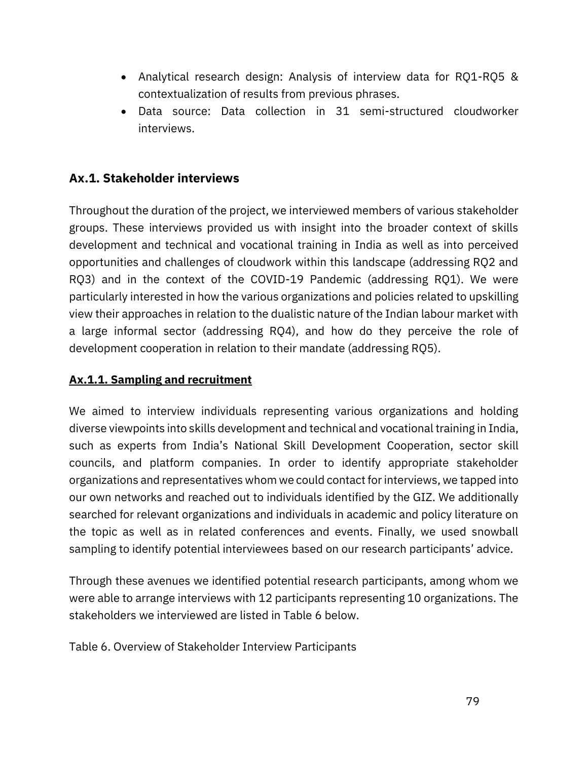- Analytical research design: Analysis of interview data for RQ1-RQ5 & contextualization of results from previous phrases.
- Data source: Data collection in 31 semi-structured cloudworker interviews.

# **Ax.1. Stakeholder interviews**

Throughout the duration of the project, we interviewed members of various stakeholder groups. These interviews provided us with insight into the broader context of skills development and technical and vocational training in India as well as into perceived opportunities and challenges of cloudwork within this landscape (addressing RQ2 and RQ3) and in the context of the COVID-19 Pandemic (addressing RQ1). We were particularly interested in how the various organizations and policies related to upskilling view their approaches in relation to the dualistic nature of the Indian labour market with a large informal sector (addressing RQ4), and how do they perceive the role of development cooperation in relation to their mandate (addressing RQ5).

### **Ax.1.1. Sampling and recruitment**

We aimed to interview individuals representing various organizations and holding diverse viewpoints into skills development and technical and vocational training in India, such as experts from India's National Skill Development Cooperation, sector skill councils, and platform companies. In order to identify appropriate stakeholder organizations and representatives whom we could contact for interviews, we tapped into our own networks and reached out to individuals identified by the GIZ. We additionally searched for relevant organizations and individuals in academic and policy literature on the topic as well as in related conferences and events. Finally, we used snowball sampling to identify potential interviewees based on our research participants' advice.

Through these avenues we identified potential research participants, among whom we were able to arrange interviews with 12 participants representing 10 organizations. The stakeholders we interviewed are listed in Table 6 below.

Table 6. Overview of Stakeholder Interview Participants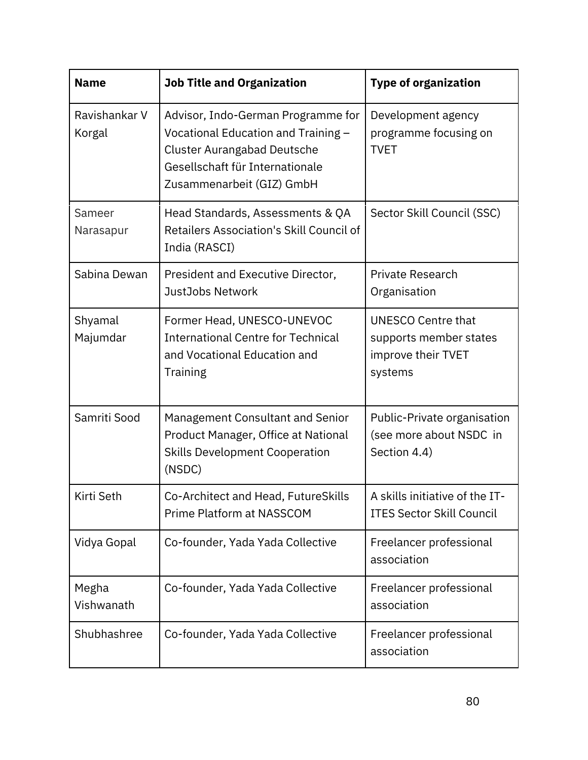| <b>Name</b>             | <b>Job Title and Organization</b>                                                                                                                                               | <b>Type of organization</b>                                                          |
|-------------------------|---------------------------------------------------------------------------------------------------------------------------------------------------------------------------------|--------------------------------------------------------------------------------------|
| Ravishankar V<br>Korgal | Advisor, Indo-German Programme for<br>Vocational Education and Training -<br><b>Cluster Aurangabad Deutsche</b><br>Gesellschaft für Internationale<br>Zusammenarbeit (GIZ) GmbH | Development agency<br>programme focusing on<br><b>TVET</b>                           |
| Sameer<br>Narasapur     | Head Standards, Assessments & QA<br>Retailers Association's Skill Council of<br>India (RASCI)                                                                                   | Sector Skill Council (SSC)                                                           |
| Sabina Dewan            | President and Executive Director,<br>JustJobs Network                                                                                                                           | <b>Private Research</b><br>Organisation                                              |
| Shyamal<br>Majumdar     | Former Head, UNESCO-UNEVOC<br><b>International Centre for Technical</b><br>and Vocational Education and<br>Training                                                             | <b>UNESCO Centre that</b><br>supports member states<br>improve their TVET<br>systems |
| Samriti Sood            | Management Consultant and Senior<br>Product Manager, Office at National<br><b>Skills Development Cooperation</b><br>(NSDC)                                                      | Public-Private organisation<br>(see more about NSDC in<br>Section 4.4)               |
| Kirti Seth              | Co-Architect and Head, FutureSkills<br>Prime Platform at NASSCOM                                                                                                                | A skills initiative of the IT-<br><b>ITES Sector Skill Council</b>                   |
| Vidya Gopal             | Co-founder, Yada Yada Collective                                                                                                                                                | Freelancer professional<br>association                                               |
| Megha<br>Vishwanath     | Co-founder, Yada Yada Collective                                                                                                                                                | Freelancer professional<br>association                                               |
| Shubhashree             | Co-founder, Yada Yada Collective                                                                                                                                                | Freelancer professional<br>association                                               |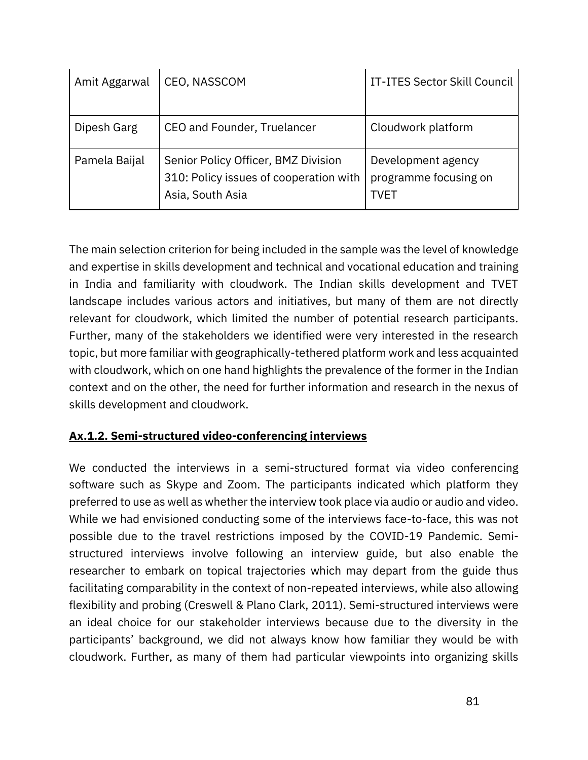| Amit Aggarwal | CEO, NASSCOM                                                                                      | <b>IT-ITES Sector Skill Council</b>                 |
|---------------|---------------------------------------------------------------------------------------------------|-----------------------------------------------------|
| Dipesh Garg   | CEO and Founder, Truelancer                                                                       | Cloudwork platform                                  |
| Pamela Baijal | Senior Policy Officer, BMZ Division<br>310: Policy issues of cooperation with<br>Asia, South Asia | Development agency<br>programme focusing on<br>TVET |

The main selection criterion for being included in the sample was the level of knowledge and expertise in skills development and technical and vocational education and training in India and familiarity with cloudwork. The Indian skills development and TVET landscape includes various actors and initiatives, but many of them are not directly relevant for cloudwork, which limited the number of potential research participants. Further, many of the stakeholders we identified were very interested in the research topic, but more familiar with geographically-tethered platform work and less acquainted with cloudwork, which on one hand highlights the prevalence of the former in the Indian context and on the other, the need for further information and research in the nexus of skills development and cloudwork.

# **Ax.1.2. Semi-structured video-conferencing interviews**

We conducted the interviews in a semi-structured format via video conferencing software such as Skype and Zoom. The participants indicated which platform they preferred to use as well as whether the interview took place via audio or audio and video. While we had envisioned conducting some of the interviews face-to-face, this was not possible due to the travel restrictions imposed by the COVID-19 Pandemic. Semistructured interviews involve following an interview guide, but also enable the researcher to embark on topical trajectories which may depart from the guide thus facilitating comparability in the context of non-repeated interviews, while also allowing flexibility and probing [\(Creswell & Plano Clark, 2011\)](https://www.zotero.org/google-docs/?cOrSFY). Semi-structured interviews were an ideal choice for our stakeholder interviews because due to the diversity in the participants' background, we did not always know how familiar they would be with cloudwork. Further, as many of them had particular viewpoints into organizing skills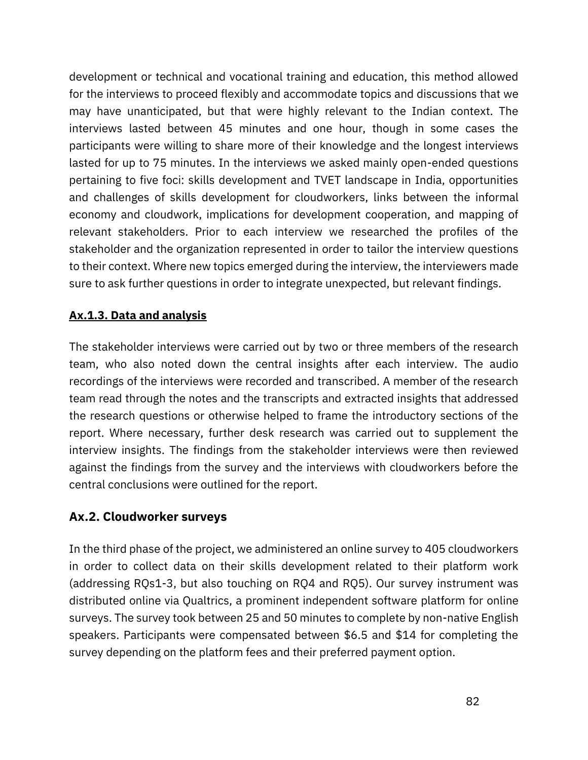development or technical and vocational training and education, this method allowed for the interviews to proceed flexibly and accommodate topics and discussions that we may have unanticipated, but that were highly relevant to the Indian context. The interviews lasted between 45 minutes and one hour, though in some cases the participants were willing to share more of their knowledge and the longest interviews lasted for up to 75 minutes. In the interviews we asked mainly open-ended questions pertaining to five foci: skills development and TVET landscape in India, opportunities and challenges of skills development for cloudworkers, links between the informal economy and cloudwork, implications for development cooperation, and mapping of relevant stakeholders. Prior to each interview we researched the profiles of the stakeholder and the organization represented in order to tailor the interview questions to their context. Where new topics emerged during the interview, the interviewers made sure to ask further questions in order to integrate unexpected, but relevant findings.

# **Ax.1.3. Data and analysis**

The stakeholder interviews were carried out by two or three members of the research team, who also noted down the central insights after each interview. The audio recordings of the interviews were recorded and transcribed. A member of the research team read through the notes and the transcripts and extracted insights that addressed the research questions or otherwise helped to frame the introductory sections of the report. Where necessary, further desk research was carried out to supplement the interview insights. The findings from the stakeholder interviews were then reviewed against the findings from the survey and the interviews with cloudworkers before the central conclusions were outlined for the report.

# **Ax.2. Cloudworker surveys**

In the third phase of the project, we administered an online survey to 405 cloudworkers in order to collect data on their skills development related to their platform work (addressing RQs1-3, but also touching on RQ4 and RQ5). Our survey instrument was distributed online via Qualtrics, a prominent independent software platform for online surveys. The survey took between 25 and 50 minutes to complete by non-native English speakers. Participants were compensated between \$6.5 and \$14 for completing the survey depending on the platform fees and their preferred payment option.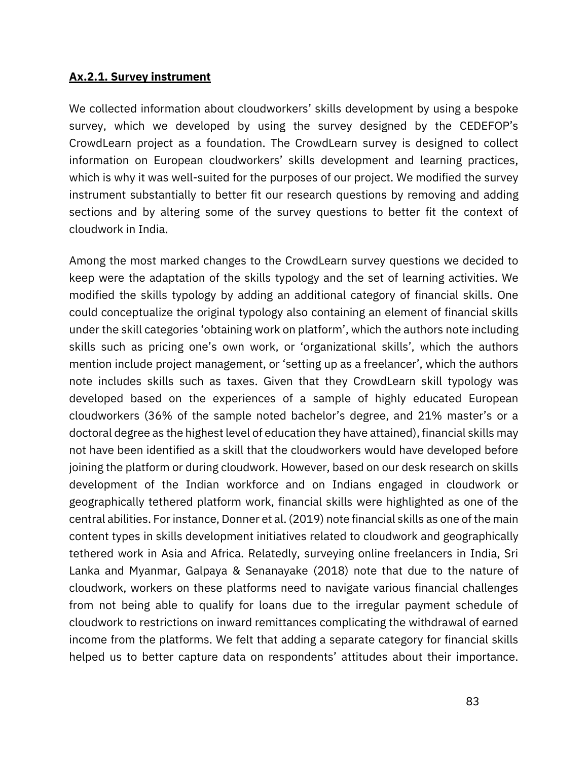#### **Ax.2.1. Survey instrument**

We collected information about cloudworkers' skills development by using a bespoke survey, which we developed by using the survey designed by the CEDEFOP's CrowdLearn project as a foundation. The CrowdLearn survey is designed to collect information on European cloudworkers' skills development and learning practices, which is why it was well-suited for the purposes of our project. We modified the survey instrument substantially to better fit our research questions by removing and adding sections and by altering some of the survey questions to better fit the context of cloudwork in India.

Among the most marked changes to the CrowdLearn survey questions we decided to keep were the adaptation of the skills typology and the set of learning activities. We modified the skills typology by adding an additional category of financial skills. One could conceptualize the original typology also containing an element of financial skills under the skill categories 'obtaining work on platform', which the authors note including skills such as pricing one's own work, or 'organizational skills', which the authors mention include project management, or 'setting up as a freelancer', which the authors note includes skills such as taxes. Given that they CrowdLearn skill typology was developed based on the experiences of a sample of highly educated European cloudworkers (36% of the sample noted bachelor's degree, and 21% master's or a doctoral degree as the highest level of education they have attained), financial skills may not have been identified as a skill that the cloudworkers would have developed before joining the platform or during cloudwork. However, based on our desk research on skills development of the Indian workforce and on Indians engaged in cloudwork or geographically tethered platform work, financial skills were highlighted as one of the central abilities. For instance, Donner et al. (2019) note financial skills as one of the main content types in skills development initiatives related to cloudwork and geographically tethered work in Asia and Africa. Relatedly, surveying online freelancers in India, Sri Lanka and Myanmar, [Galpaya & Senanayake](https://www.zotero.org/google-docs/?ur05qC) (2018) note that due to the nature of cloudwork, workers on these platforms need to navigate various financial challenges from not being able to qualify for loans due to the irregular payment schedule of cloudwork to restrictions on inward remittances complicating the withdrawal of earned income from the platforms. We felt that adding a separate category for financial skills helped us to better capture data on respondents' attitudes about their importance.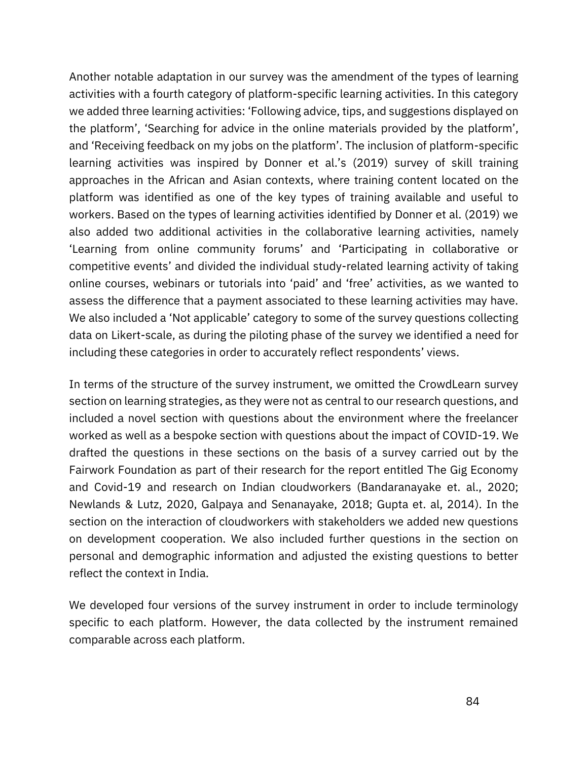Another notable adaptation in our survey was the amendment of the types of learning activities with a fourth category of platform-specific learning activities. In this category we added three learning activities: 'Following advice, tips, and suggestions displayed on the platform', 'Searching for advice in the online materials provided by the platform', and 'Receiving feedback on my jobs on the platform'. The inclusion of platform-specific learning activities was inspired by Donner et al.'s (2019) survey of skill training approaches in the African and Asian contexts, where training content located on the platform was identified as one of the key types of training available and useful to workers. Based on the types of learning activities identified by Donner et al. (2019) we also added two additional activities in the collaborative learning activities, namely 'Learning from online community forums' and 'Participating in collaborative or competitive events' and divided the individual study-related learning activity of taking online courses, webinars or tutorials into 'paid' and 'free' activities, as we wanted to assess the difference that a payment associated to these learning activities may have. We also included a 'Not applicable' category to some of the survey questions collecting data on Likert-scale, as during the piloting phase of the survey we identified a need for including these categories in order to accurately reflect respondents' views.

In terms of the structure of the survey instrument, we omitted the CrowdLearn survey section on learning strategies, as they were not as central to our research questions, and included a novel section with questions about the environment where the freelancer worked as well as a bespoke section with questions about the impact of COVID-19. We drafted the questions in these sections on the basis of a survey carried out by the Fairwork Foundation as part of their research for the report entitled The Gig Economy and Covid-19 and research on Indian cloudworkers (Bandaranayake et. al., 2020; Newlands & Lutz, 2020, Galpaya and Senanayake, 2018; Gupta et. al, 2014). In the section on the interaction of cloudworkers with stakeholders we added new questions on development cooperation. We also included further questions in the section on personal and demographic information and adjusted the existing questions to better reflect the context in India.

We developed four versions of the survey instrument in order to include terminology specific to each platform. However, the data collected by the instrument remained comparable across each platform.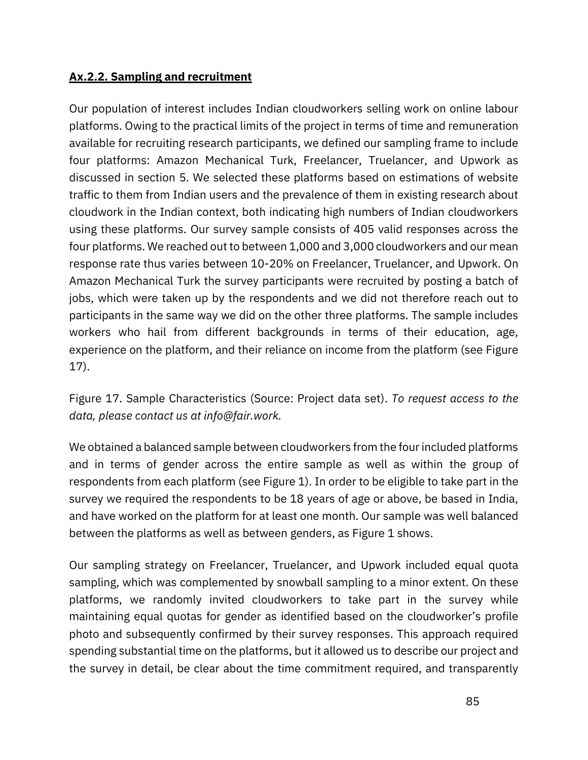### **Ax.2.2. Sampling and recruitment**

Our population of interest includes Indian cloudworkers selling work on online labour platforms. Owing to the practical limits of the project in terms of time and remuneration available for recruiting research participants, we defined our sampling frame to include four platforms: Amazon Mechanical Turk, Freelancer, Truelancer, and Upwork as discussed in section 5. We selected these platforms based on estimations of website traffic to them from Indian users and the prevalence of them in existing research about cloudwork in the Indian context, both indicating high numbers of Indian cloudworkers using these platforms. Our survey sample consists of 405 valid responses across the four platforms. We reached out to between 1,000 and 3,000 cloudworkers and our mean response rate thus varies between 10-20% on Freelancer, Truelancer, and Upwork. On Amazon Mechanical Turk the survey participants were recruited by posting a batch of jobs, which were taken up by the respondents and we did not therefore reach out to participants in the same way we did on the other three platforms. The sample includes workers who hail from different backgrounds in terms of their education, age, experience on the platform, and their reliance on income from the platform (see Figure 17).

Figure 17. Sample Characteristics (Source: Project data set). *To request access to the data, please contact us at info@fair.work.*

We obtained a balanced sample between cloudworkers from the four included platforms and in terms of gender across the entire sample as well as within the group of respondents from each platform (see Figure 1). In order to be eligible to take part in the survey we required the respondents to be 18 years of age or above, be based in India, and have worked on the platform for at least one month. Our sample was well balanced between the platforms as well as between genders, as Figure 1 shows.

Our sampling strategy on Freelancer, Truelancer, and Upwork included equal quota sampling, which was complemented by snowball sampling to a minor extent. On these platforms, we randomly invited cloudworkers to take part in the survey while maintaining equal quotas for gender as identified based on the cloudworker's profile photo and subsequently confirmed by their survey responses. This approach required spending substantial time on the platforms, but it allowed us to describe our project and the survey in detail, be clear about the time commitment required, and transparently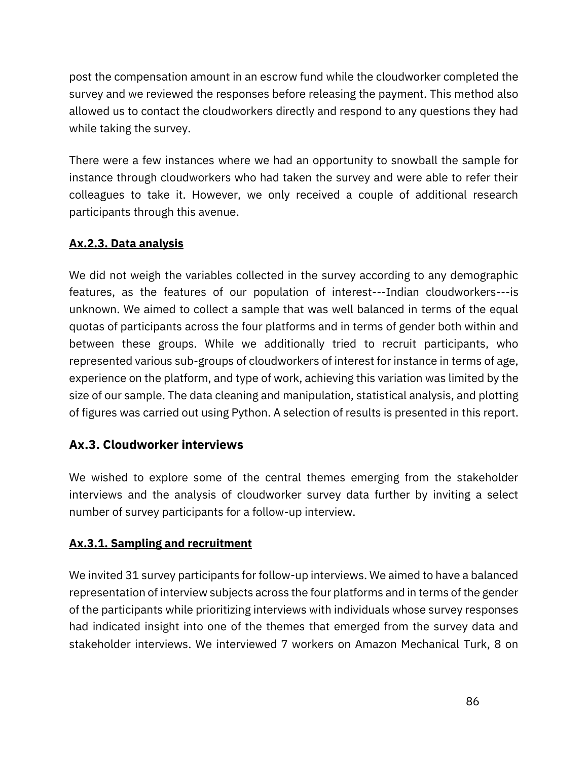post the compensation amount in an escrow fund while the cloudworker completed the survey and we reviewed the responses before releasing the payment. This method also allowed us to contact the cloudworkers directly and respond to any questions they had while taking the survey.

There were a few instances where we had an opportunity to snowball the sample for instance through cloudworkers who had taken the survey and were able to refer their colleagues to take it. However, we only received a couple of additional research participants through this avenue.

### **Ax.2.3. Data analysis**

We did not weigh the variables collected in the survey according to any demographic features, as the features of our population of interest---Indian cloudworkers---is unknown. We aimed to collect a sample that was well balanced in terms of the equal quotas of participants across the four platforms and in terms of gender both within and between these groups. While we additionally tried to recruit participants, who represented various sub-groups of cloudworkers of interest for instance in terms of age, experience on the platform, and type of work, achieving this variation was limited by the size of our sample. The data cleaning and manipulation, statistical analysis, and plotting of figures was carried out using Python. A selection of results is presented in this report.

# **Ax.3. Cloudworker interviews**

We wished to explore some of the central themes emerging from the stakeholder interviews and the analysis of cloudworker survey data further by inviting a select number of survey participants for a follow-up interview.

# **Ax.3.1. Sampling and recruitment**

We invited 31 survey participants for follow-up interviews. We aimed to have a balanced representation of interview subjects across the four platforms and in terms of the gender of the participants while prioritizing interviews with individuals whose survey responses had indicated insight into one of the themes that emerged from the survey data and stakeholder interviews. We interviewed 7 workers on Amazon Mechanical Turk, 8 on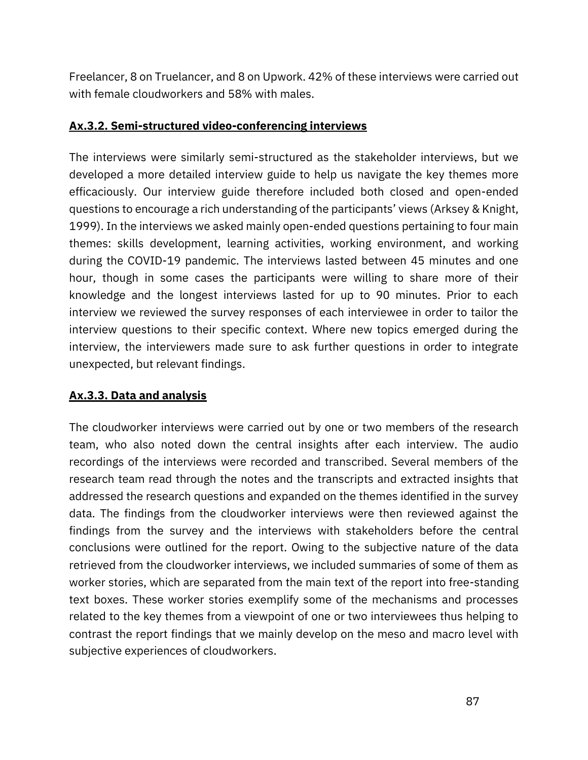Freelancer, 8 on Truelancer, and 8 on Upwork. 42% of these interviews were carried out with female cloudworkers and 58% with males.

### **Ax.3.2. Semi-structured video-conferencing interviews**

The interviews were similarly semi-structured as the stakeholder interviews, but we developed a more detailed interview guide to help us navigate the key themes more efficaciously. Our interview guide therefore included both closed and open-ended questions to encourage a rich understanding of the participants' views ([Arksey & Knight,](https://www.zotero.org/google-docs/?kpxVX8)  [1999\)](https://www.zotero.org/google-docs/?kpxVX8). In the interviews we asked mainly open-ended questions pertaining to four main themes: skills development, learning activities, working environment, and working during the COVID-19 pandemic. The interviews lasted between 45 minutes and one hour, though in some cases the participants were willing to share more of their knowledge and the longest interviews lasted for up to 90 minutes. Prior to each interview we reviewed the survey responses of each interviewee in order to tailor the interview questions to their specific context. Where new topics emerged during the interview, the interviewers made sure to ask further questions in order to integrate unexpected, but relevant findings.

# **Ax.3.3. Data and analysis**

The cloudworker interviews were carried out by one or two members of the research team, who also noted down the central insights after each interview. The audio recordings of the interviews were recorded and transcribed. Several members of the research team read through the notes and the transcripts and extracted insights that addressed the research questions and expanded on the themes identified in the survey data. The findings from the cloudworker interviews were then reviewed against the findings from the survey and the interviews with stakeholders before the central conclusions were outlined for the report. Owing to the subjective nature of the data retrieved from the cloudworker interviews, we included summaries of some of them as worker stories, which are separated from the main text of the report into free-standing text boxes. These worker stories exemplify some of the mechanisms and processes related to the key themes from a viewpoint of one or two interviewees thus helping to contrast the report findings that we mainly develop on the meso and macro level with subjective experiences of cloudworkers.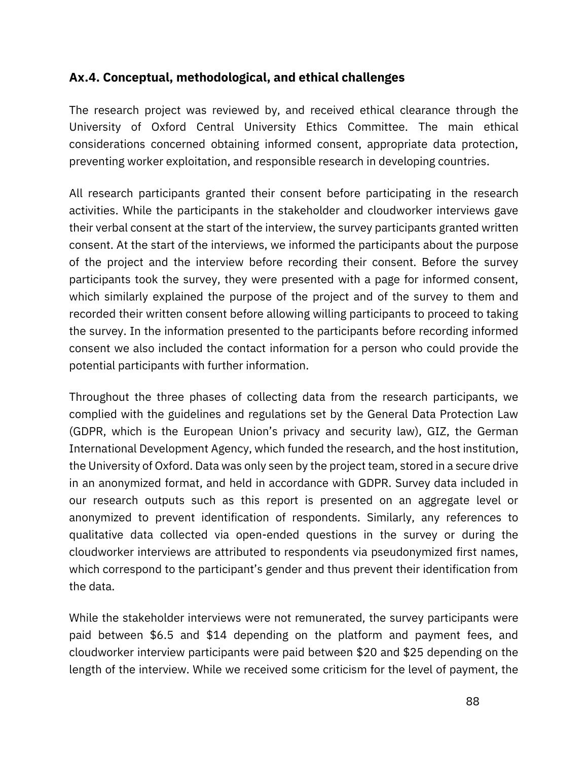# **Ax.4. Conceptual, methodological, and ethical challenges**

The research project was reviewed by, and received ethical clearance through the University of Oxford Central University Ethics Committee. The main ethical considerations concerned obtaining informed consent, appropriate data protection, preventing worker exploitation, and responsible research in developing countries.

All research participants granted their consent before participating in the research activities. While the participants in the stakeholder and cloudworker interviews gave their verbal consent at the start of the interview, the survey participants granted written consent. At the start of the interviews, we informed the participants about the purpose of the project and the interview before recording their consent. Before the survey participants took the survey, they were presented with a page for informed consent, which similarly explained the purpose of the project and of the survey to them and recorded their written consent before allowing willing participants to proceed to taking the survey. In the information presented to the participants before recording informed consent we also included the contact information for a person who could provide the potential participants with further information.

Throughout the three phases of collecting data from the research participants, we complied with the guidelines and regulations set by the General Data Protection Law (GDPR, which is the European Union's privacy and security law), GIZ, the German International Development Agency, which funded the research, and the host institution, the University of Oxford. Data was only seen by the project team, stored in a secure drive in an anonymized format, and held in accordance with GDPR. Survey data included in our research outputs such as this report is presented on an aggregate level or anonymized to prevent identification of respondents. Similarly, any references to qualitative data collected via open-ended questions in the survey or during the cloudworker interviews are attributed to respondents via pseudonymized first names, which correspond to the participant's gender and thus prevent their identification from the data.

While the stakeholder interviews were not remunerated, the survey participants were paid between \$6.5 and \$14 depending on the platform and payment fees, and cloudworker interview participants were paid between \$20 and \$25 depending on the length of the interview. While we received some criticism for the level of payment, the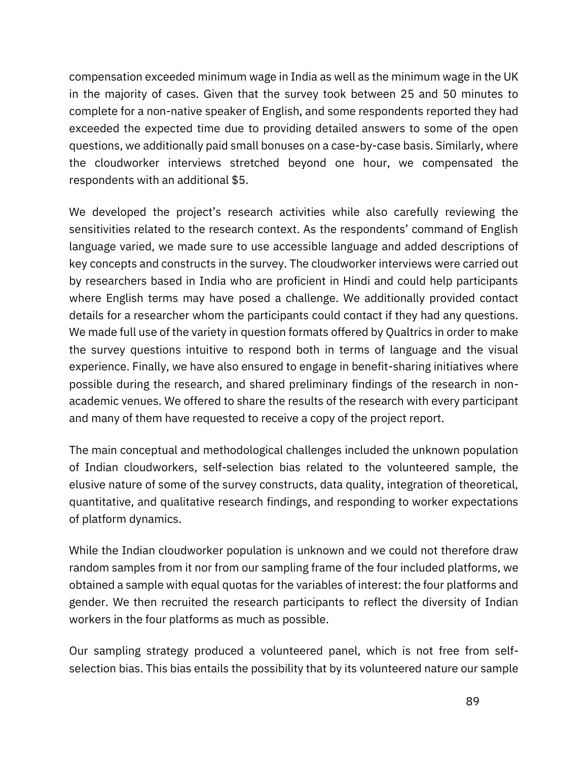compensation exceeded minimum wage in India as well as the minimum wage in the UK in the majority of cases. Given that the survey took between 25 and 50 minutes to complete for a non-native speaker of English, and some respondents reported they had exceeded the expected time due to providing detailed answers to some of the open questions, we additionally paid small bonuses on a case-by-case basis. Similarly, where the cloudworker interviews stretched beyond one hour, we compensated the respondents with an additional \$5.

We developed the project's research activities while also carefully reviewing the sensitivities related to the research context. As the respondents' command of English language varied, we made sure to use accessible language and added descriptions of key concepts and constructs in the survey. The cloudworker interviews were carried out by researchers based in India who are proficient in Hindi and could help participants where English terms may have posed a challenge. We additionally provided contact details for a researcher whom the participants could contact if they had any questions. We made full use of the variety in question formats offered by Qualtrics in order to make the survey questions intuitive to respond both in terms of language and the visual experience. Finally, we have also ensured to engage in benefit-sharing initiatives where possible during the research, and shared preliminary findings of the research in nonacademic venues. We offered to share the results of the research with every participant and many of them have requested to receive a copy of the project report.

The main conceptual and methodological challenges included the unknown population of Indian cloudworkers, self-selection bias related to the volunteered sample, the elusive nature of some of the survey constructs, data quality, integration of theoretical, quantitative, and qualitative research findings, and responding to worker expectations of platform dynamics.

While the Indian cloudworker population is unknown and we could not therefore draw random samples from it nor from our sampling frame of the four included platforms, we obtained a sample with equal quotas for the variables of interest: the four platforms and gender. We then recruited the research participants to reflect the diversity of Indian workers in the four platforms as much as possible.

Our sampling strategy produced a volunteered panel, which is not free from selfselection bias. This bias entails the possibility that by its volunteered nature our sample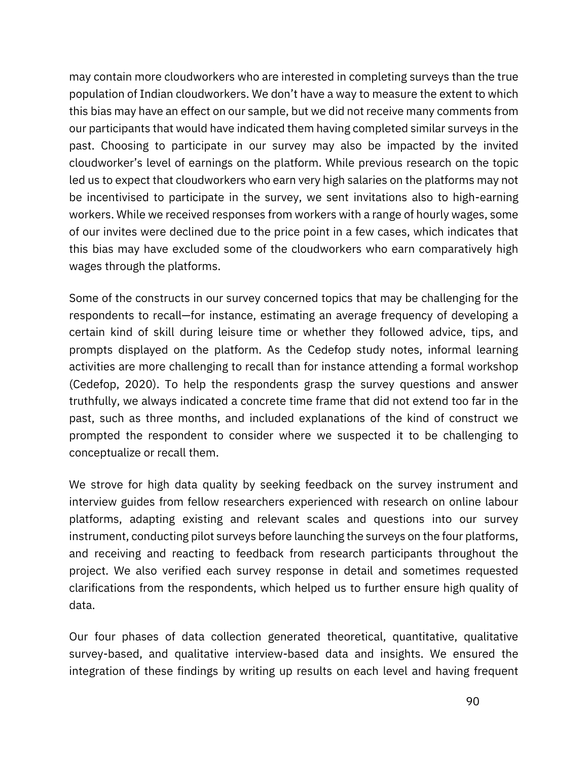may contain more cloudworkers who are interested in completing surveys than the true population of Indian cloudworkers. We don't have a way to measure the extent to which this bias may have an effect on our sample, but we did not receive many comments from our participants that would have indicated them having completed similar surveys in the past. Choosing to participate in our survey may also be impacted by the invited cloudworker's level of earnings on the platform. While previous research on the topic led us to expect that cloudworkers who earn very high salaries on the platforms may not be incentivised to participate in the survey, we sent invitations also to high-earning workers. While we received responses from workers with a range of hourly wages, some of our invites were declined due to the price point in a few cases, which indicates that this bias may have excluded some of the cloudworkers who earn comparatively high wages through the platforms.

Some of the constructs in our survey concerned topics that may be challenging for the respondents to recall—for instance, estimating an average frequency of developing a certain kind of skill during leisure time or whether they followed advice, tips, and prompts displayed on the platform. As the Cedefop study notes, informal learning activities are more challenging to recall than for instance attending a formal workshop (Cedefop, 2020). To help the respondents grasp the survey questions and answer truthfully, we always indicated a concrete time frame that did not extend too far in the past, such as three months, and included explanations of the kind of construct we prompted the respondent to consider where we suspected it to be challenging to conceptualize or recall them.

We strove for high data quality by seeking feedback on the survey instrument and interview guides from fellow researchers experienced with research on online labour platforms, adapting existing and relevant scales and questions into our survey instrument, conducting pilot surveys before launching the surveys on the four platforms, and receiving and reacting to feedback from research participants throughout the project. We also verified each survey response in detail and sometimes requested clarifications from the respondents, which helped us to further ensure high quality of data.

Our four phases of data collection generated theoretical, quantitative, qualitative survey-based, and qualitative interview-based data and insights. We ensured the integration of these findings by writing up results on each level and having frequent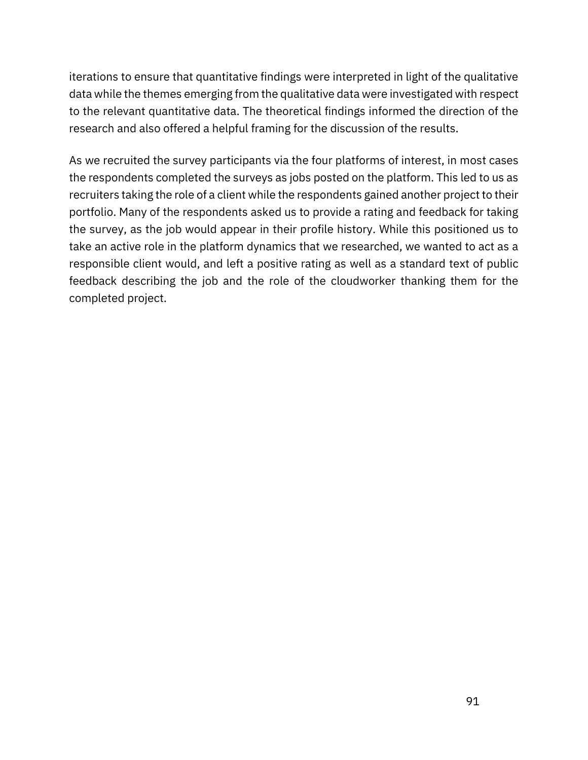iterations to ensure that quantitative findings were interpreted in light of the qualitative data while the themes emerging from the qualitative data were investigated with respect to the relevant quantitative data. The theoretical findings informed the direction of the research and also offered a helpful framing for the discussion of the results.

As we recruited the survey participants via the four platforms of interest, in most cases the respondents completed the surveys as jobs posted on the platform. This led to us as recruiters taking the role of a client while the respondents gained another project to their portfolio. Many of the respondents asked us to provide a rating and feedback for taking the survey, as the job would appear in their profile history. While this positioned us to take an active role in the platform dynamics that we researched, we wanted to act as a responsible client would, and left a positive rating as well as a standard text of public feedback describing the job and the role of the cloudworker thanking them for the completed project.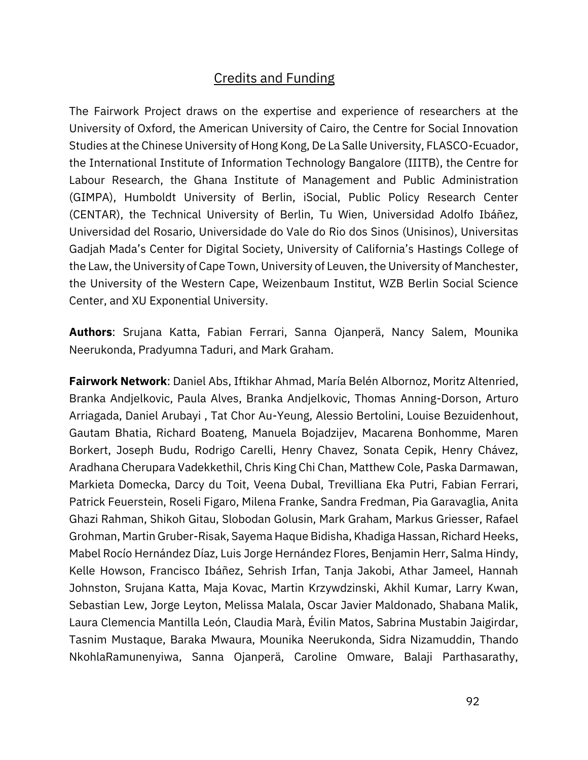# Credits and Funding

The Fairwork Project draws on the expertise and experience of researchers at the University of Oxford, the American University of Cairo, the Centre for Social Innovation Studies at the Chinese University of Hong Kong, De La Salle University, FLASCO-Ecuador, the International Institute of Information Technology Bangalore (IIITB), the Centre for Labour Research, the Ghana Institute of Management and Public Administration (GIMPA), Humboldt University of Berlin, iSocial, Public Policy Research Center (CENTAR), the Technical University of Berlin, Tu Wien, Universidad Adolfo Ibáñez, Universidad del Rosario, Universidade do Vale do Rio dos Sinos (Unisinos), Universitas Gadjah Mada's Center for Digital Society, University of California's Hastings College of the Law, the University of Cape Town, University of Leuven, the University of Manchester, the University of the Western Cape, Weizenbaum Institut, WZB Berlin Social Science Center, and XU Exponential University.

**Authors**: Srujana Katta, Fabian Ferrari, Sanna Ojanperä, Nancy Salem, Mounika Neerukonda, Pradyumna Taduri, and Mark Graham.

**Fairwork Network**: Daniel Abs, Iftikhar Ahmad, María Belén Albornoz, Moritz Altenried, Branka Andjelkovic, Paula Alves, Branka Andjelkovic, Thomas Anning-Dorson, Arturo Arriagada, Daniel Arubayi , Tat Chor Au-Yeung, Alessio Bertolini, Louise Bezuidenhout, Gautam Bhatia, Richard Boateng, Manuela Bojadzijev, Macarena Bonhomme, Maren Borkert, Joseph Budu, Rodrigo Carelli, Henry Chavez, Sonata Cepik, Henry Chávez, Aradhana Cherupara Vadekkethil, Chris King Chi Chan, Matthew Cole, Paska Darmawan, Markieta Domecka, Darcy du Toit, Veena Dubal, Trevilliana Eka Putri, Fabian Ferrari, Patrick Feuerstein, Roseli Figaro, Milena Franke, Sandra Fredman, Pia Garavaglia, Anita Ghazi Rahman, Shikoh Gitau, Slobodan Golusin, Mark Graham, Markus Griesser, Rafael Grohman, Martin Gruber-Risak, Sayema Haque Bidisha, Khadiga Hassan, Richard Heeks, Mabel Rocío Hernández Díaz, Luis Jorge Hernández Flores, Benjamin Herr, Salma Hindy, Kelle Howson, Francisco Ibáñez, Sehrish Irfan, Tanja Jakobi, Athar Jameel, Hannah Johnston, Srujana Katta, Maja Kovac, Martin Krzywdzinski, Akhil Kumar, Larry Kwan, Sebastian Lew, Jorge Leyton, Melissa Malala, Oscar Javier Maldonado, Shabana Malik, Laura Clemencia Mantilla León, Claudia Marà, Évilin Matos, Sabrina Mustabin Jaigirdar, Tasnim Mustaque, Baraka Mwaura, Mounika Neerukonda, Sidra Nizamuddin, Thando NkohlaRamunenyiwa, Sanna Ojanperä, Caroline Omware, Balaji Parthasarathy,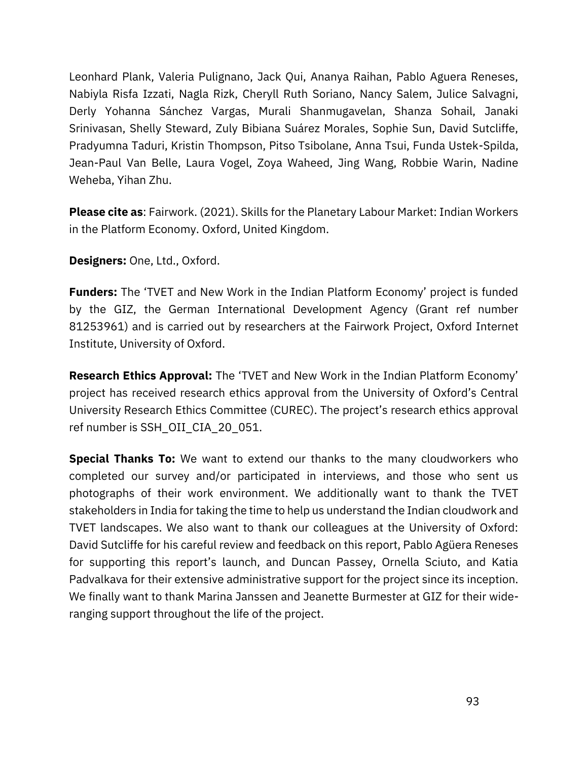Leonhard Plank, Valeria Pulignano, Jack Qui, Ananya Raihan, Pablo Aguera Reneses, Nabiyla Risfa Izzati, Nagla Rizk, Cheryll Ruth Soriano, Nancy Salem, Julice Salvagni, Derly Yohanna Sánchez Vargas, Murali Shanmugavelan, Shanza Sohail, Janaki Srinivasan, Shelly Steward, Zuly Bibiana Suárez Morales, Sophie Sun, David Sutcliffe, Pradyumna Taduri, Kristin Thompson, Pitso Tsibolane, Anna Tsui, Funda Ustek-Spilda, Jean-Paul Van Belle, Laura Vogel, Zoya Waheed, Jing Wang, Robbie Warin, Nadine Weheba, Yihan Zhu.

**Please cite as**: Fairwork. (2021). Skills for the Planetary Labour Market: Indian Workers in the Platform Economy. Oxford, United Kingdom.

**Designers:** One, Ltd., Oxford.

**Funders:** The 'TVET and New Work in the Indian Platform Economy' project is funded by the GIZ, the German International Development Agency (Grant ref number 81253961) and is carried out by researchers at the Fairwork Project, Oxford Internet Institute, University of Oxford.

**Research Ethics Approval:** The 'TVET and New Work in the Indian Platform Economy' project has received research ethics approval from the University of Oxford's Central University Research Ethics Committee (CUREC). The project's research ethics approval ref number is SSH\_OII\_CIA\_20\_051.

**Special Thanks To:** We want to extend our thanks to the many cloudworkers who completed our survey and/or participated in interviews, and those who sent us photographs of their work environment. We additionally want to thank the TVET stakeholders in India for taking the time to help us understand the Indian cloudwork and TVET landscapes. We also want to thank our colleagues at the University of Oxford: David Sutcliffe for his careful review and feedback on this report, Pablo Agüera Reneses for supporting this report's launch, and Duncan Passey, Ornella Sciuto, and Katia Padvalkava for their extensive administrative support for the project since its inception. We finally want to thank Marina Janssen and Jeanette Burmester at GIZ for their wideranging support throughout the life of the project.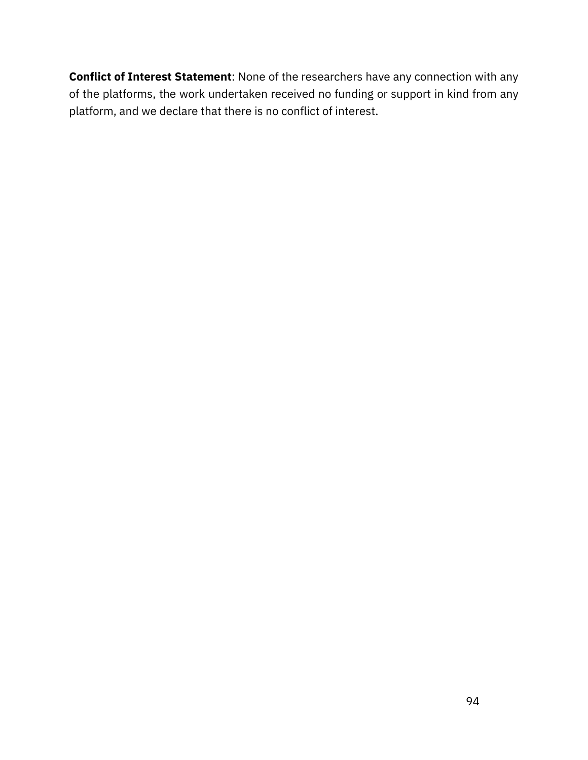**Conflict of Interest Statement**: None of the researchers have any connection with any of the platforms, the work undertaken received no funding or support in kind from any platform, and we declare that there is no conflict of interest.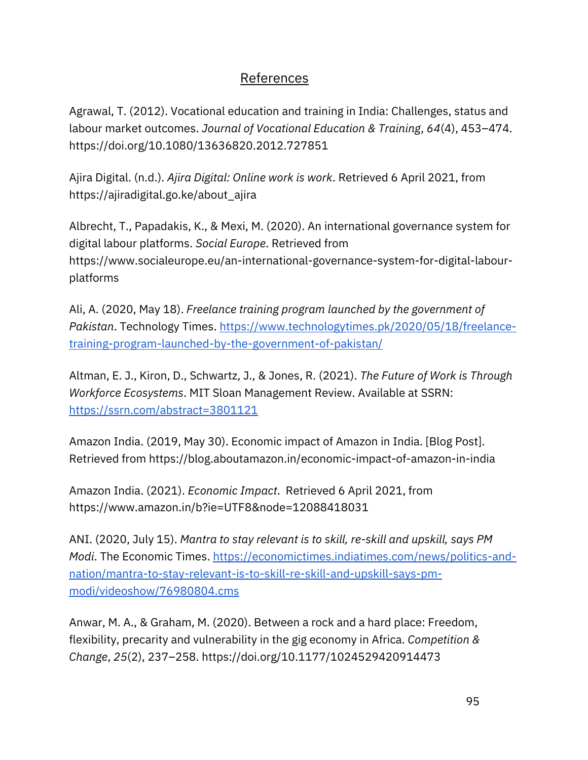# References

[Agrawal, T. \(2012\). Vocational education and training in India: Challenges, status and](https://www.zotero.org/google-docs/?cFjZNe)  [labour market outcomes.](https://www.zotero.org/google-docs/?cFjZNe) *[Journal of Vocational Education & Training](https://www.zotero.org/google-docs/?cFjZNe)*[,](https://www.zotero.org/google-docs/?cFjZNe) *[64](https://www.zotero.org/google-docs/?cFjZNe)*[\(4\), 453](https://www.zotero.org/google-docs/?cFjZNe)–474. [https://doi.org/10.1080/13636820.2012.727851](https://www.zotero.org/google-docs/?cFjZNe)

[Ajira Digital. \(n.d.\).](https://www.zotero.org/google-docs/?cFjZNe) *[Ajira Digital: Online work is work](https://www.zotero.org/google-docs/?cFjZNe)*[. Retrieved 6 April 2021, from](https://www.zotero.org/google-docs/?cFjZNe)  [https://ajiradigital.go.ke/about\\_ajira](https://www.zotero.org/google-docs/?cFjZNe)

[Albrecht, T., Papadakis, K., & Mexi, M. \(2020\). An international governance system for](https://www.zotero.org/google-docs/?cFjZNe)  [digital labour platforms.](https://www.zotero.org/google-docs/?cFjZNe) *[Social Europe](https://www.zotero.org/google-docs/?cFjZNe)*[. R](https://www.zotero.org/google-docs/?cFjZNe)etrieved from [https://www.socialeurope.eu/an-international-governance-system-for-digital-labour](https://www.socialeurope.eu/an-international-governance-system-for-digital-labour-platforms)[platforms](https://www.socialeurope.eu/an-international-governance-system-for-digital-labour-platforms)

Ali, A. (2020, May 18). *Freelance training program launched by the government of Pakistan*. Technology Times. [https://www.technologytimes.pk/2020/05/18/freelance](https://www.technologytimes.pk/2020/05/18/freelance-training-program-launched-by-the-government-of-pakistan/)[training-program-launched-by-the-government-of-pakistan/](https://www.technologytimes.pk/2020/05/18/freelance-training-program-launched-by-the-government-of-pakistan/)

[Altman, E. J., Kiron, D., Schwartz, J., & Jones, R. \(2021\).](https://www.zotero.org/google-docs/?cFjZNe) *[The Future of Work is Through](https://www.zotero.org/google-docs/?cFjZNe)  [Workforce Ecosystems](https://www.zotero.org/google-docs/?cFjZNe)*. MIT Sloan Management Review. Available at SSRN[:](https://ssrn.com/abstract=3801121) <https://ssrn.com/abstract=3801121>

[Amazon India. \(2019, May 30\). Economic impact of Amazon in India. \[Blog Post\].](https://www.zotero.org/google-docs/?cFjZNe)  [Retrieved from https://blog.aboutamazon.in/economic-impact-of-amazon-in-india](https://www.zotero.org/google-docs/?cFjZNe)

[Amazon India. \(2021\).](https://www.zotero.org/google-docs/?cFjZNe) *[Economic Impact](https://www.zotero.org/google-docs/?cFjZNe)*[. Retrieved 6 April 2021, from](https://www.zotero.org/google-docs/?cFjZNe)  <https://www.amazon.in/b?ie=UTF8&node=12088418031>

ANI. (2020, July 15). *Mantra to stay relevant is to skill, re-skill and upskill, says PM Modi*. The Economic Times. [https://economictimes.indiatimes.com/news/politics-and](https://economictimes.indiatimes.com/news/politics-and-nation/mantra-to-stay-relevant-is-to-skill-re-skill-and-upskill-says-pm-modi/videoshow/76980804.cms)[nation/mantra-to-stay-relevant-is-to-skill-re-skill-and-upskill-says-pm](https://economictimes.indiatimes.com/news/politics-and-nation/mantra-to-stay-relevant-is-to-skill-re-skill-and-upskill-says-pm-modi/videoshow/76980804.cms)[modi/videoshow/76980804.cms](https://economictimes.indiatimes.com/news/politics-and-nation/mantra-to-stay-relevant-is-to-skill-re-skill-and-upskill-says-pm-modi/videoshow/76980804.cms)

[Anwar, M. A., & Graham, M. \(2020\). Between a rock and a hard place: Freedom,](https://www.zotero.org/google-docs/?cFjZNe)  [flexibility, precarity and vulnerability in the gig economy in Africa.](https://www.zotero.org/google-docs/?cFjZNe) *[Competition &](https://www.zotero.org/google-docs/?cFjZNe)  [Change](https://www.zotero.org/google-docs/?cFjZNe)*[,](https://www.zotero.org/google-docs/?cFjZNe) *[25](https://www.zotero.org/google-docs/?cFjZNe)*(2), 237–[258. https://doi.org/10.1177/1024529420914473](https://www.zotero.org/google-docs/?cFjZNe)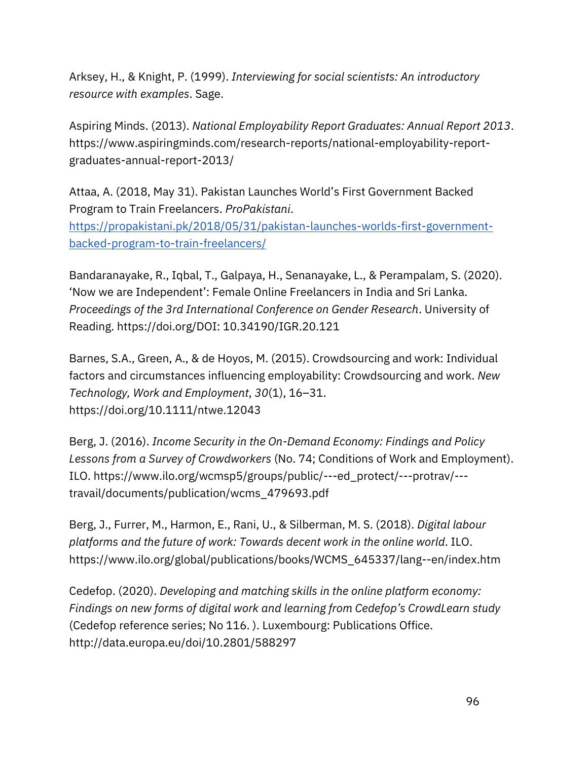[Arksey, H., & Knight, P. \(1999\).](https://www.zotero.org/google-docs/?cFjZNe) *[Interviewing for social scientists: An introductory](https://www.zotero.org/google-docs/?cFjZNe)  [resource with examples](https://www.zotero.org/google-docs/?cFjZNe)*[. Sage.](https://www.zotero.org/google-docs/?cFjZNe)

[Aspiring Minds. \(2013\).](https://www.zotero.org/google-docs/?cFjZNe) *[National Employability Report Graduates: Annual Report 2013](https://www.zotero.org/google-docs/?cFjZNe)*[.](https://www.zotero.org/google-docs/?cFjZNe)  [https://www.aspiringminds.com/research-reports/national-employability-report](https://www.aspiringminds.com/research-reports/national-employability-report-graduates-annual-report-2013/)[graduates-annual-report-2013/](https://www.aspiringminds.com/research-reports/national-employability-report-graduates-annual-report-2013/)

Attaa, A. (2018, May 31). Pakistan Launches World's First Government Backed Program to Train Freelancers. *ProPakistani*[.](https://propakistani.pk/2018/05/31/pakistan-launches-worlds-first-government-backed-program-to-train-freelancers/)

[https://propakistani.pk/2018/05/31/pakistan-launches-worlds-first-government](https://propakistani.pk/2018/05/31/pakistan-launches-worlds-first-government-backed-program-to-train-freelancers/)[backed-program-to-train-freelancers/](https://propakistani.pk/2018/05/31/pakistan-launches-worlds-first-government-backed-program-to-train-freelancers/)

[Bandaranayake, R., Iqbal, T., Galpaya, H., Senanayake, L., & Perampalam, S. \(2020\).](https://www.zotero.org/google-docs/?cFjZNe)  ['Now we are Independent': Female Online Freelancers in India and Sri Lanka.](https://www.zotero.org/google-docs/?cFjZNe)  *[Proceedings of the 3rd International Conference on Gender Research](https://www.zotero.org/google-docs/?cFjZNe)*[. University of](https://www.zotero.org/google-docs/?cFjZNe)  [Reading. https://doi.org/DOI: 10.34190/IGR.20.121](https://www.zotero.org/google-docs/?cFjZNe)

[Barnes, S.A., Green, A., & de Hoyos, M. \(2015\). Crowdsourcing and work: Individual](https://www.zotero.org/google-docs/?cFjZNe)  [factors and circumstances influencing employability: Crowdsourcing and work.](https://www.zotero.org/google-docs/?cFjZNe) *[New](https://www.zotero.org/google-docs/?cFjZNe)  [Technology, Work and Employment](https://www.zotero.org/google-docs/?cFjZNe)*[,](https://www.zotero.org/google-docs/?cFjZNe) *[30](https://www.zotero.org/google-docs/?cFjZNe)*[\(1\), 16](https://www.zotero.org/google-docs/?cFjZNe)–31. [https://doi.org/10.1111/ntwe.12043](https://www.zotero.org/google-docs/?cFjZNe)

[Berg, J. \(2016\).](https://www.zotero.org/google-docs/?cFjZNe) *[Income Security in the On-Demand Economy: Findings and Policy](https://www.zotero.org/google-docs/?cFjZNe)  [Lessons from a Survey of Crowdworkers](https://www.zotero.org/google-docs/?cFjZNe)* [\(No. 74; Conditions of Work and Employment\).](https://www.zotero.org/google-docs/?cFjZNe)  [ILO.](https://www.zotero.org/google-docs/?cFjZNe) https://www.ilo.org/wcmsp5/groups/public/---ed\_protect/---protrav/-- travail/documents/publication/wcms\_479693.pdf

[Berg, J., Furrer, M., Harmon, E., Rani, U., & Silberman, M. S. \(2018\).](https://www.zotero.org/google-docs/?cFjZNe) *[Digital labour](https://www.zotero.org/google-docs/?cFjZNe)  [platforms and the future of work: Towards decent work in the online world](https://www.zotero.org/google-docs/?cFjZNe)*[. ILO.](https://www.zotero.org/google-docs/?cFjZNe) https://www.ilo.org/global/publications/books/WCMS\_645337/lang--en/index.htm

[Cedefop. \(2020\).](https://www.zotero.org/google-docs/?cFjZNe) *[Developing and matching skills in the online platform economy:](https://www.zotero.org/google-docs/?cFjZNe)  [Findings on new forms of digital work and learning from Cedefop's CrowdLearn study](https://www.zotero.org/google-docs/?cFjZNe)* (Cedefop reference series; No 116. ). Luxembourg: Publications Office. http://data.europa.eu/doi/10.2801/588297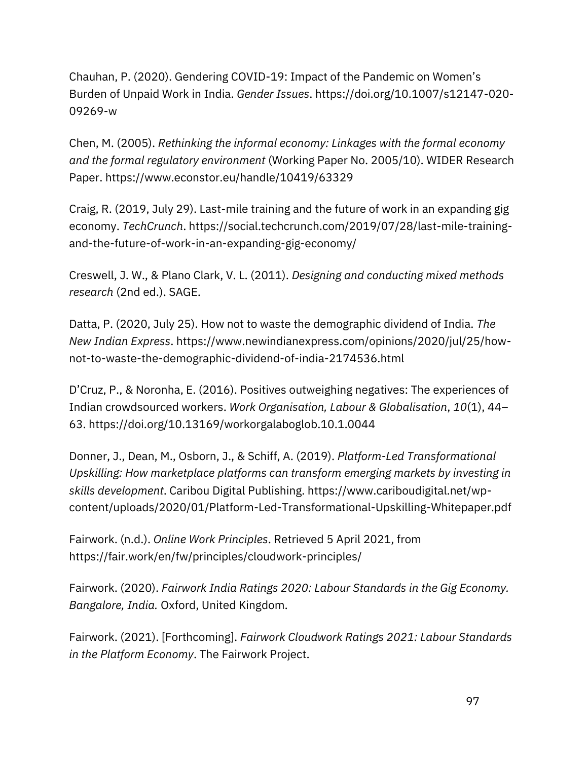Chauhan, P. (2020). Gendering COVID-[19: Impact of the Pandemic on Women's](https://www.zotero.org/google-docs/?cFjZNe)  [Burden of Unpaid Work in India.](https://www.zotero.org/google-docs/?cFjZNe) *[Gender Issues](https://www.zotero.org/google-docs/?cFjZNe)*[. https://doi.org/10.1007/s12147-020-](https://www.zotero.org/google-docs/?cFjZNe) [09269-w](https://www.zotero.org/google-docs/?cFjZNe)

[Chen, M. \(2005\).](https://www.zotero.org/google-docs/?cFjZNe) *[Rethinking the informal economy: Linkages with the formal economy](https://www.zotero.org/google-docs/?cFjZNe)  [and the formal regulatory environment](https://www.zotero.org/google-docs/?cFjZNe)* [\(Working Paper No. 2005/10\). WIDER Research](https://www.zotero.org/google-docs/?cFjZNe)  [Paper. https://www.econstor.eu/handle/10419/63329](https://www.zotero.org/google-docs/?cFjZNe)

[Craig, R. \(2019, July 29\). Last-mile training and the future of work in an expanding gig](https://www.zotero.org/google-docs/?cFjZNe)  [economy.](https://www.zotero.org/google-docs/?cFjZNe) *[TechCrunch](https://www.zotero.org/google-docs/?cFjZNe)*[. https://social.techcrunch.com/2019/07/28/last-mile-training](https://www.zotero.org/google-docs/?cFjZNe)[and-the-future-of-work-in-an-expanding-gig-economy/](https://www.zotero.org/google-docs/?cFjZNe)

[Creswell, J. W., & Plano Clark, V. L. \(2011\).](https://www.zotero.org/google-docs/?cFjZNe) *[Designing and conducting mixed methods](https://www.zotero.org/google-docs/?cFjZNe)  [research](https://www.zotero.org/google-docs/?cFjZNe)* [\(2nd ed.\). SAGE.](https://www.zotero.org/google-docs/?cFjZNe)

[Datta, P. \(2020, July 25\). How not to waste the demographic dividend of India.](https://www.zotero.org/google-docs/?cFjZNe) *[The](https://www.zotero.org/google-docs/?cFjZNe)  [New Indian Express](https://www.zotero.org/google-docs/?cFjZNe)*[. https://www.newindianexpress.com/opinions/2020/jul/25/how](https://www.zotero.org/google-docs/?cFjZNe)[not-to-waste-the-demographic-dividend-of-india-2174536.html](https://www.zotero.org/google-docs/?cFjZNe)

[D'Cruz, P., & Noronha, E. \(2016\). Positives o](https://www.zotero.org/google-docs/?cFjZNe)utweighing negatives: The experiences of [Indian crowdsourced workers.](https://www.zotero.org/google-docs/?cFjZNe) *[Work Organisation, Labour & Globalisation](https://www.zotero.org/google-docs/?cFjZNe)*[,](https://www.zotero.org/google-docs/?cFjZNe) *[10](https://www.zotero.org/google-docs/?cFjZNe)*[\(1\), 44](https://www.zotero.org/google-docs/?cFjZNe)– [63. https://doi.org/10.13169/workorgalaboglob.10.1.0044](https://www.zotero.org/google-docs/?cFjZNe)

[Donner, J., Dean, M., Osborn, J., & Schiff, A. \(2019\).](https://www.zotero.org/google-docs/?cFjZNe) *[Platform-Led Transformational](https://www.zotero.org/google-docs/?cFjZNe)  [Upskilling: How marketplace platforms can transform emerging markets by investing in](https://www.zotero.org/google-docs/?cFjZNe)  [skills development](https://www.zotero.org/google-docs/?cFjZNe)*[. Caribou Digital Publishing. https://www.cariboudigital.net/wp](https://www.zotero.org/google-docs/?cFjZNe)[content/uploads/2020/01/Platform-Led-Transformational-Upskilling-Whitepaper.pdf](https://www.zotero.org/google-docs/?cFjZNe)

[Fairwork. \(n.d.\).](https://www.zotero.org/google-docs/?cFjZNe) *[Online Work Principles](https://www.zotero.org/google-docs/?cFjZNe)*[. Retrieved 5 April 2021, from](https://www.zotero.org/google-docs/?cFjZNe)  <https://fair.work/en/fw/principles/cloudwork-principles/>

Fairwork. (2020). *Fairwork India Ratings 2020: Labour Standards in the Gig Economy. Bangalore, India.* Oxford, United Kingdom.

[Fairwork. \(2021\). \[Forthcoming\].](https://www.zotero.org/google-docs/?cFjZNe) *[Fairwork Cloudwork Ratings 2021: Labour Standards](https://www.zotero.org/google-docs/?cFjZNe)  [in the Platform Economy](https://www.zotero.org/google-docs/?cFjZNe)*[. The Fairwork Project.](https://www.zotero.org/google-docs/?cFjZNe)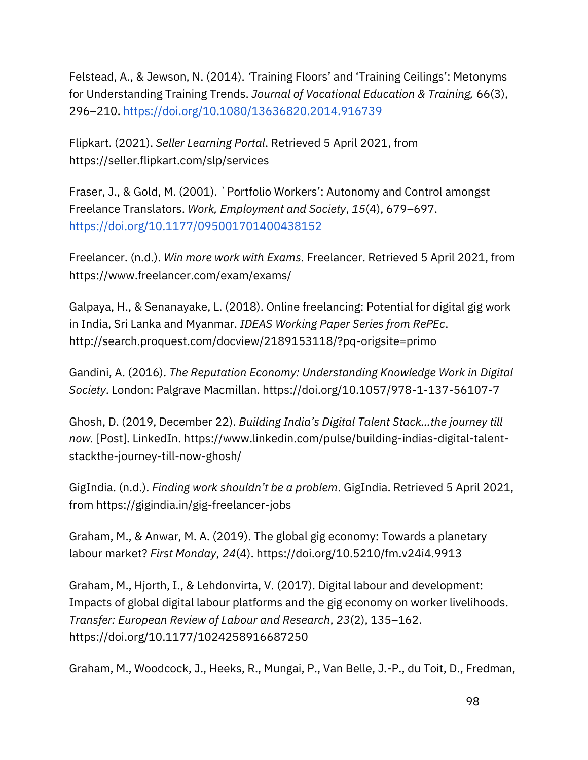Felstead, A., & Jewson, N. (2014). *'*[Training Floors' and 'Training Ceilings': Metonyms](https://www.zotero.org/google-docs/?cFjZNe)  [for Understanding Training Trends.](https://www.zotero.org/google-docs/?cFjZNe) *[Journal of Vocational Education & Training,](https://www.zotero.org/google-docs/?cFjZNe)* [66\(3\),](https://www.zotero.org/google-docs/?cFjZNe)  296–[210.](https://www.zotero.org/google-docs/?cFjZNe) <https://doi.org/10.1080/13636820.2014.916739>

[Flipkart. \(2021\).](https://www.zotero.org/google-docs/?cFjZNe) *[Seller Learning Portal](https://www.zotero.org/google-docs/?cFjZNe)*[. Retrieved 5 April 2021, from](https://www.zotero.org/google-docs/?cFjZNe)  <https://seller.flipkart.com/slp/services>

Fraser, J., & Gold, M. (2001). `Portfolio Workers': Autonomy and Control amongst Freelance Translators. *Work, Employment and Society*, *15*(4), 679–697[.](https://doi.org/10.1177/095001701400438152) <https://doi.org/10.1177/095001701400438152>

[Freelancer. \(n.d.\).](https://www.zotero.org/google-docs/?cFjZNe) *[Win more work with Exams](https://www.zotero.org/google-docs/?cFjZNe)*[. Freelancer. Retrieved 5 April 2021, from](https://www.zotero.org/google-docs/?cFjZNe)  [https://www.freelancer.com/exam/exams/](https://www.zotero.org/google-docs/?cFjZNe)

[Galpaya, H., & Senanayake, L. \(2018\). Online freelancing: Potential for digital gig work](https://www.zotero.org/google-docs/?cFjZNe)  [in India, Sri Lanka and Myanmar.](https://www.zotero.org/google-docs/?cFjZNe) *[IDEAS Working Paper Series from RePEc](https://www.zotero.org/google-docs/?cFjZNe)*[.](https://www.zotero.org/google-docs/?cFjZNe)  [http://search.proquest.com/docview/2189153118/?pq-origsite=primo](https://www.zotero.org/google-docs/?cFjZNe)

[Gandini, A. \(2016\).](https://www.zotero.org/google-docs/?cFjZNe) *[The Reputation Economy: Understanding Knowledge Work in Digital](https://www.zotero.org/google-docs/?cFjZNe)  [Society](https://www.zotero.org/google-docs/?cFjZNe)*[. London: Palgrave Macmillan. https://doi.org/10.1057/978-1-137-56107-7](https://www.zotero.org/google-docs/?cFjZNe)

[Ghosh, D. \(2019, December 22\).](https://www.zotero.org/google-docs/?cFjZNe) *[Building India's Digital Talent Stack…the journey till](https://www.zotero.org/google-docs/?cFjZNe)  [now.](https://www.zotero.org/google-docs/?cFjZNe)* [\[Post\]. LinkedIn. https://www.linkedin.com/pulse/building-indias-digital-talent](https://www.zotero.org/google-docs/?cFjZNe)[stackthe-journey-till-now-ghosh/](https://www.zotero.org/google-docs/?cFjZNe)

[GigIndia. \(n.d.\).](https://www.zotero.org/google-docs/?cFjZNe) *[Finding work shouldn't be a problem](https://www.zotero.org/google-docs/?cFjZNe)*[. GigIndia. Retrieved 5 April 2021,](https://www.zotero.org/google-docs/?cFjZNe)  [from](https://www.zotero.org/google-docs/?cFjZNe) <https://gigindia.in/gig-freelancer-jobs>

[Graham, M., & Anwar, M. A. \(2019\). The global gig economy: Towards a planetary](https://www.zotero.org/google-docs/?cFjZNe)  [labour market?](https://www.zotero.org/google-docs/?cFjZNe) *[First Monday](https://www.zotero.org/google-docs/?cFjZNe)*[,](https://www.zotero.org/google-docs/?cFjZNe) *[24](https://www.zotero.org/google-docs/?cFjZNe)*[\(4\). https://doi.org/10.5210/fm.v24i4.9913](https://www.zotero.org/google-docs/?cFjZNe)

[Graham, M., Hjorth, I., & Lehdonvirta, V. \(2017\). Digital labour and development:](https://www.zotero.org/google-docs/?cFjZNe)  [Impacts of global digital labour platforms and the gig economy on worker livelihoods.](https://www.zotero.org/google-docs/?cFjZNe)  *[Transfer: European Review of Labour and Research](https://www.zotero.org/google-docs/?cFjZNe)*[,](https://www.zotero.org/google-docs/?cFjZNe) *[23](https://www.zotero.org/google-docs/?cFjZNe)*[\(2\), 135](https://www.zotero.org/google-docs/?cFjZNe)–162. [https://doi.org/10.1177/1024258916687250](https://www.zotero.org/google-docs/?cFjZNe)

[Graham, M., Woodcock, J., Heeks, R., Mungai, P., Van Belle, J.-P., du Toit, D., Fredman,](https://www.zotero.org/google-docs/?cFjZNe)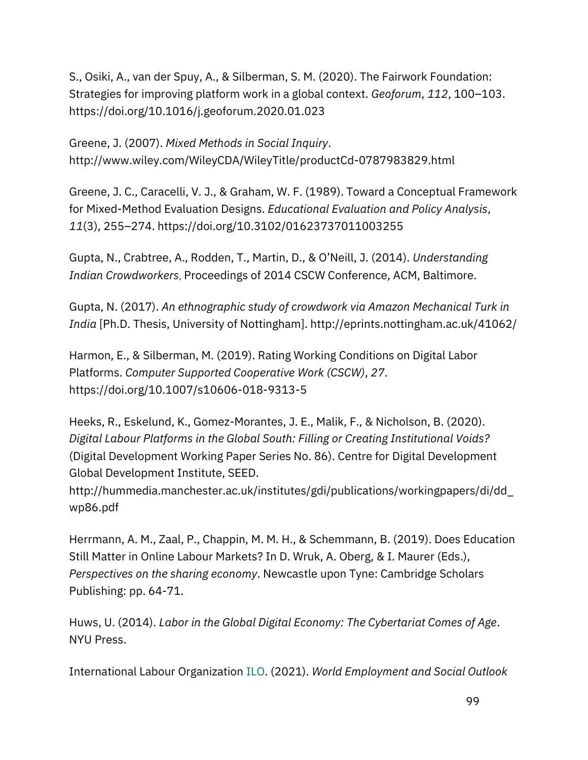[S., Osiki, A., van der Spuy, A., & Silberman, S. M. \(2020\). The Fairwork Foundation:](https://www.zotero.org/google-docs/?cFjZNe)  [Strategies for improving platform work in a global context.](https://www.zotero.org/google-docs/?cFjZNe) *[Geoforum](https://www.zotero.org/google-docs/?cFjZNe)*[,](https://www.zotero.org/google-docs/?cFjZNe) *[112](https://www.zotero.org/google-docs/?cFjZNe)*[, 100](https://www.zotero.org/google-docs/?cFjZNe)–103. [https://doi.org/10.1016/j.geoforum.2020.01.023](https://www.zotero.org/google-docs/?cFjZNe)

[Greene, J. \(2007\).](https://www.zotero.org/google-docs/?cFjZNe) *[Mixed Methods in Social Inquiry](https://www.zotero.org/google-docs/?cFjZNe)*[.](https://www.zotero.org/google-docs/?cFjZNe)  [http://www.wiley.com/WileyCDA/WileyTitle/productCd-0787983829.html](https://www.zotero.org/google-docs/?cFjZNe)

[Greene, J. C., Caracelli, V. J., & Graham, W. F. \(1989\). Toward a Conceptual Framework](https://www.zotero.org/google-docs/?cFjZNe)  [for Mixed-Method Evaluation Designs.](https://www.zotero.org/google-docs/?cFjZNe) *[Educational Evaluation and Policy Analysis](https://www.zotero.org/google-docs/?cFjZNe)*[,](https://www.zotero.org/google-docs/?cFjZNe)  *[11](https://www.zotero.org/google-docs/?cFjZNe)*[\(3\), 255](https://www.zotero.org/google-docs/?cFjZNe)–274.<https://doi.org/10.3102/01623737011003255>

Gupta, N., Crabtree, A., Rodden, T., Martin, D., & O'Neill, J. (2014). *Understanding Indian Crowdworkers*, Proceedings of 2014 CSCW Conference, ACM, Baltimore.

[Gupta, N. \(2017\).](https://www.zotero.org/google-docs/?cFjZNe) *[An ethnographic study of crowdwork via Amazon Mechanical Turk in](https://www.zotero.org/google-docs/?cFjZNe)  [India](https://www.zotero.org/google-docs/?cFjZNe)* [\[Ph.D. Thesis, University of Nottingham\]. http://eprints.nottingham.ac.uk/41062/](https://www.zotero.org/google-docs/?cFjZNe)

[Harmon, E., & Silberman, M. \(2019\). Rating Working Conditions on Digital Labor](https://www.zotero.org/google-docs/?cFjZNe)  [Platforms.](https://www.zotero.org/google-docs/?cFjZNe) *[Computer Supported Cooperative Work \(CSCW\)](https://www.zotero.org/google-docs/?cFjZNe)*[,](https://www.zotero.org/google-docs/?cFjZNe) *[27](https://www.zotero.org/google-docs/?cFjZNe)*[.](https://www.zotero.org/google-docs/?cFjZNe)  [https://doi.org/10.1007/s10606-018-9313-5](https://www.zotero.org/google-docs/?cFjZNe)

[Heeks, R., Eskelund, K., Gomez-Morantes, J. E., Malik, F., & Nicholson, B. \(2020\).](https://www.zotero.org/google-docs/?cFjZNe)  *Digital [Labour Platforms in the Global South: Filling or Creating Institutional Voids?](https://www.zotero.org/google-docs/?cFjZNe)* [\(Digital Development Working Paper Series No. 86\). Centre for Digital Development](https://www.zotero.org/google-docs/?cFjZNe)  [Global Development Institute, SEED.](https://www.zotero.org/google-docs/?cFjZNe)

http://hummedia.manchester.ac.uk/institutes/gdi/publications/workingpapers/di/dd\_ wp86.pdf

[Herrmann, A. M., Zaal, P., Chappin, M. M. H., & Schemmann, B. \(2019\). Does Education](https://www.zotero.org/google-docs/?cFjZNe)  Still Matter in [Online Labour Markets? In D. Wruk, A. Oberg, & I. Maurer \(Eds.\),](https://www.zotero.org/google-docs/?cFjZNe)  *[Perspectives on the sharing economy](https://www.zotero.org/google-docs/?cFjZNe)*[. N](https://www.zotero.org/google-docs/?cFjZNe)ewcastle upon Tyne: Cambridge Scholars Publishing: pp. 64-71.

[Huws, U. \(2014\).](https://www.zotero.org/google-docs/?cFjZNe) *[Labor in the Global Digital Economy: The Cybertariat Comes of Age](https://www.zotero.org/google-docs/?cFjZNe)*[.](https://www.zotero.org/google-docs/?cFjZNe)  [NYU Press.](https://www.zotero.org/google-docs/?cFjZNe)

International Labour Organization ILO. [\(2021\).](https://www.zotero.org/google-docs/?cFjZNe) *World Employment and Social Outlook*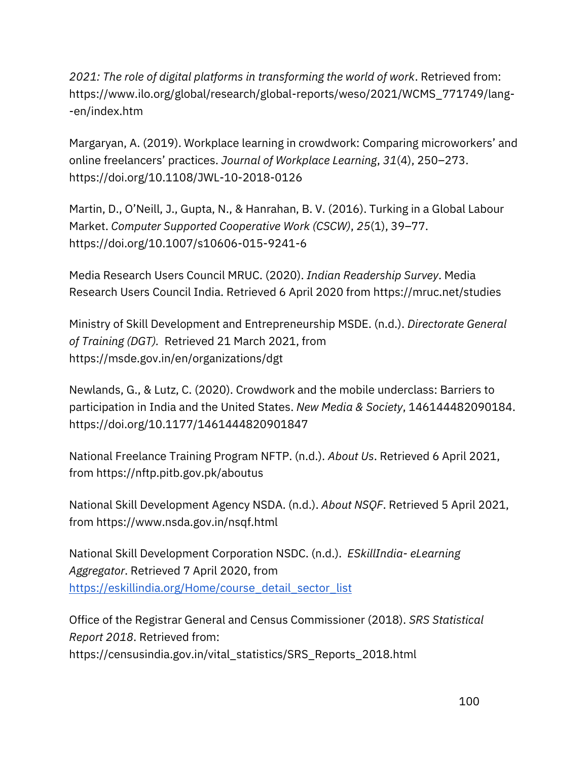*2021: [The role of digital platforms in transforming the world of work](https://www.zotero.org/google-docs/?cFjZNe)*. Retrieved from: https://www.ilo.org/global/research/global-reports/weso/2021/WCMS\_771749/lang- -en/index.htm

Mar[garyan, A. \(2019\). Workplace learning in crowdwork: Comparing microworkers' and](https://www.zotero.org/google-docs/?cFjZNe)  [online freelancers' practices.](https://www.zotero.org/google-docs/?cFjZNe) *[Journal of Workplace Learning](https://www.zotero.org/google-docs/?cFjZNe)*[,](https://www.zotero.org/google-docs/?cFjZNe) *[31](https://www.zotero.org/google-docs/?cFjZNe)*[\(4\), 250](https://www.zotero.org/google-docs/?cFjZNe)–273. [https://doi.org/10.1108/JWL-10-2018-0126](https://www.zotero.org/google-docs/?cFjZNe)

Mar[tin, D., O'Neill, J., Gupta, N., & Hanrahan, B. V. \(2016\). Turking in a Global Labour](https://www.zotero.org/google-docs/?cFjZNe)  [Market.](https://www.zotero.org/google-docs/?cFjZNe) *[Computer Supported Cooperative Work \(CSCW\)](https://www.zotero.org/google-docs/?cFjZNe)*[,](https://www.zotero.org/google-docs/?cFjZNe) *[25](https://www.zotero.org/google-docs/?cFjZNe)*[\(1\), 39](https://www.zotero.org/google-docs/?cFjZNe)–77. [https://doi.org/10.1007/s10606-015-9241-6](https://www.zotero.org/google-docs/?cFjZNe)

[Media Research Users Council MRUC. \(2020\).](https://www.zotero.org/google-docs/?cFjZNe) *[Indian Readership Survey](https://www.zotero.org/google-docs/?cFjZNe)*[. Media](https://www.zotero.org/google-docs/?cFjZNe)  [Research Users Council India. R](https://www.zotero.org/google-docs/?cFjZNe)etrieved 6 April 2020 fro[m https://mruc.net/studies](https://mruc.net/studies)

[Ministry of Skill Development and Entrepreneurship MSDE. \(n.d.\).](https://www.zotero.org/google-docs/?cFjZNe) *[Directorate General](https://www.zotero.org/google-docs/?cFjZNe)  [of Training \(DGT\).](https://www.zotero.org/google-docs/?cFjZNe)* [Retrieved 21 March 2021, from](https://www.zotero.org/google-docs/?cFjZNe)  [https://msde.gov.in/en/organizations/dgt](https://www.zotero.org/google-docs/?cFjZNe)

[Newlands, G., & Lutz, C. \(2020\). Crowdwork and the mobile underclass: Barriers to](https://www.zotero.org/google-docs/?cFjZNe)  [participation in India and the United States.](https://www.zotero.org/google-docs/?cFjZNe) *[New Media & Society](https://www.zotero.org/google-docs/?cFjZNe)*[, 146144482090184.](https://www.zotero.org/google-docs/?cFjZNe)  [https://doi.org/10.1177/1461444820901847](https://www.zotero.org/google-docs/?cFjZNe)

[National Freelance Training Program NFTP. \(n.d.\).](https://www.zotero.org/google-docs/?cFjZNe) *[About Us](https://www.zotero.org/google-docs/?cFjZNe)*[. Retrieved 6 April 2021,](https://www.zotero.org/google-docs/?cFjZNe)  [from https://nftp.pitb.gov.pk/aboutus](https://www.zotero.org/google-docs/?cFjZNe)

[National Skill Development Agency NSDA. \(n.d.\).](https://www.zotero.org/google-docs/?cFjZNe) *[About NSQF](https://www.zotero.org/google-docs/?cFjZNe)*[. Retrieved 5 April 2021,](https://www.zotero.org/google-docs/?cFjZNe)  [from](https://www.zotero.org/google-docs/?cFjZNe) <https://www.nsda.gov.in/nsqf.html>

National Skill Development Corporation NSDC. (n.d.). *[E](https://eskillindia.org/Home/course_detail_sector_list)SkillIndia- eLearning Aggregator*. Retrieved 7 April 2020, from [https://eskillindia.org/Home/course\\_detail\\_sector\\_list](https://eskillindia.org/Home/course_detail_sector_list)

[Office of the Registrar General and Census Commissioner \(2018\).](https://www.zotero.org/google-docs/?cFjZNe) *[SRS Statistical](https://www.zotero.org/google-docs/?cFjZNe)  [Report 2018](https://www.zotero.org/google-docs/?cFjZNe)*[. Retrieved from:](https://www.zotero.org/google-docs/?cFjZNe)  [https://censusindia.gov.in/vital\\_statistics/SRS\\_Reports\\_2018.html](https://www.zotero.org/google-docs/?cFjZNe)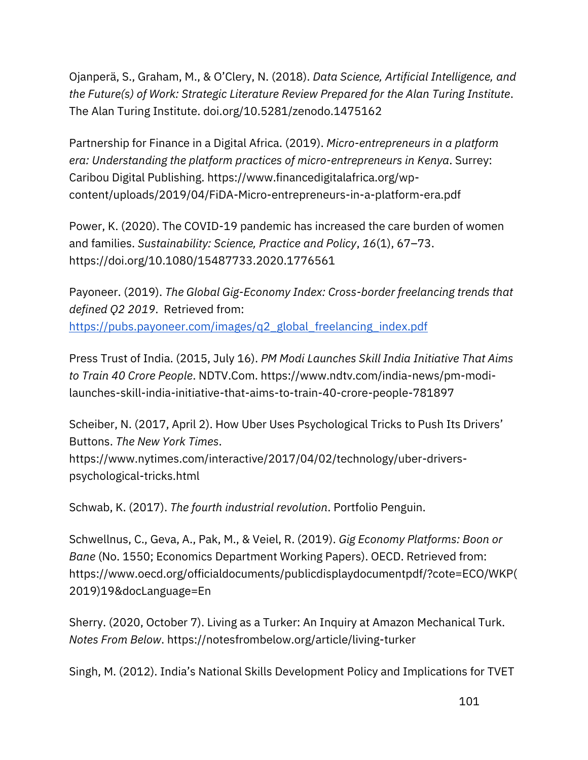Ojanperä, S., Graham, M., & O'Clery, N. (2018). *[Data Science, Artificial Intelligence, and](https://www.zotero.org/google-docs/?cFjZNe)  [the Future\(s\) of Work: Strategic Literature Review Prepared for the Alan Turing Institute](https://www.zotero.org/google-docs/?cFjZNe)*[.](https://www.zotero.org/google-docs/?cFjZNe)  [The Alan Turing Institute. doi.org/10.5281/zenodo.1475162](https://www.zotero.org/google-docs/?cFjZNe)

[Partnership for Finance in a Digital Africa. \(2019\).](https://www.zotero.org/google-docs/?cFjZNe) *[Micro-entrepreneurs in a platform](https://www.zotero.org/google-docs/?cFjZNe)  [era: Understanding the platform practices of micro-entrepreneurs in Kenya](https://www.zotero.org/google-docs/?cFjZNe)*[. Surrey:](https://www.zotero.org/google-docs/?cFjZNe)  [Caribou Digital Publishing. https://www.financedigitalafrica.org/wp](https://www.zotero.org/google-docs/?cFjZNe)[content/uploads/2019/04/FiDA-Micro-entrepreneurs-in-a-platform-era.pdf](https://www.zotero.org/google-docs/?cFjZNe)

[Power, K. \(2020\). The COVID-19 pandemic has increased the care burden of women](https://www.zotero.org/google-docs/?cFjZNe)  [and families.](https://www.zotero.org/google-docs/?cFjZNe) *[Sustainability: Science, Practice and Policy](https://www.zotero.org/google-docs/?cFjZNe)*[,](https://www.zotero.org/google-docs/?cFjZNe) *[16](https://www.zotero.org/google-docs/?cFjZNe)*[\(1\), 67](https://www.zotero.org/google-docs/?cFjZNe)–73. <https://doi.org/10.1080/15487733.2020.1776561>

Payoneer. (2019). *The Global Gig-Economy Index: Cross-border freelancing trends that defined Q2 2019*. Retrieved from: [https://pubs.payoneer.com/images/q2\\_global\\_freelancing\\_index.pdf](https://pubs.payoneer.com/images/q2_global_freelancing_index.pdf)

[Press Trust of India. \(2015, July 16\).](https://www.zotero.org/google-docs/?cFjZNe) *[PM Modi Launches Skill India](https://www.zotero.org/google-docs/?cFjZNe) Initiative That Aims [to Train 40 Crore People](https://www.zotero.org/google-docs/?cFjZNe)*[. NDTV.Com. https://www.ndtv.com/india-news/pm-modi](https://www.zotero.org/google-docs/?cFjZNe)[launches-skill-india-initiative-that-aims-to-train-40-crore-people-781897](https://www.zotero.org/google-docs/?cFjZNe)

[Scheiber, N. \(2017, April 2\). How Uber Uses Psychological Tricks to Push Its Drivers'](https://www.zotero.org/google-docs/?cFjZNe)  [Buttons.](https://www.zotero.org/google-docs/?cFjZNe) *[The New York Times](https://www.zotero.org/google-docs/?cFjZNe)*[.](https://www.zotero.org/google-docs/?cFjZNe)  [https://www.nytimes.com/interactive/2017/04/02/technology/uber-drivers](https://www.zotero.org/google-docs/?cFjZNe)[psychological-tricks.html](https://www.zotero.org/google-docs/?cFjZNe)

[Schwab, K. \(2017\).](https://www.zotero.org/google-docs/?cFjZNe) *[The fourth industrial revolution](https://www.zotero.org/google-docs/?cFjZNe)*[. Portfolio Penguin.](https://www.zotero.org/google-docs/?cFjZNe)

[Schwellnus, C., Geva, A., Pak, M., & Veiel, R. \(2019\).](https://www.zotero.org/google-docs/?cFjZNe) *[Gig Economy Platforms: Boon or](https://www.zotero.org/google-docs/?cFjZNe)  [Bane](https://www.zotero.org/google-docs/?cFjZNe)* [\(No. 1550; Economics Department Working Papers\). OECD. Retrieved from:](https://www.zotero.org/google-docs/?cFjZNe)  [https://www.oecd.org/officialdocuments/publicdisplaydocumentpdf/?cote=ECO/WKP\(](https://www.zotero.org/google-docs/?cFjZNe) [2019\)19&docLanguage=En](https://www.zotero.org/google-docs/?cFjZNe)

[Sherry. \(2020, October 7\). Living as a Turker: An Inquiry at Amazon Mechanical Turk.](https://www.zotero.org/google-docs/?cFjZNe)  *[Notes From Below](https://www.zotero.org/google-docs/?cFjZNe)*[. https://notesfrombelow.org/article/living-turker](https://www.zotero.org/google-docs/?cFjZNe)

[Singh, M. \(2012\). India's National Skills Development](https://www.zotero.org/google-docs/?cFjZNe) Policy and Implications for TVET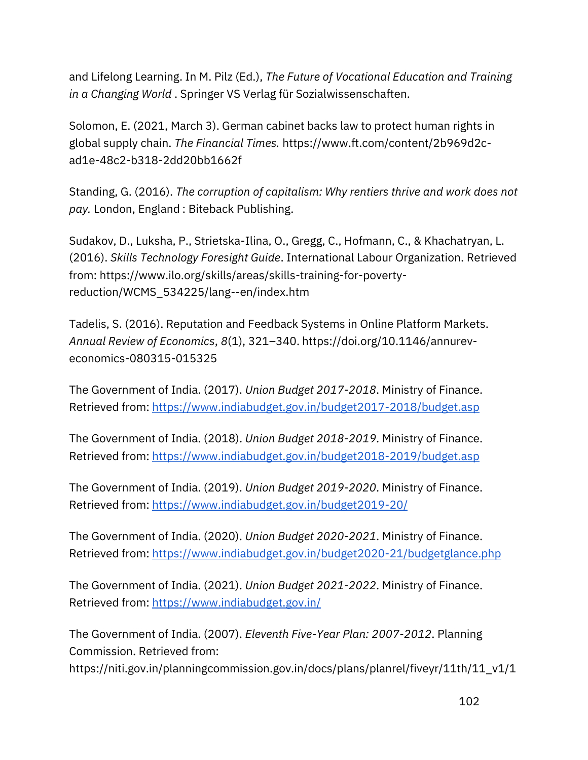[and Lifelong Learning. In M. Pilz \(Ed.\),](https://www.zotero.org/google-docs/?cFjZNe) *[The Future of Vocational Education and Training](https://www.zotero.org/google-docs/?cFjZNe)  [in a Changing World](https://www.zotero.org/google-docs/?cFjZNe)* [. Springer VS Verlag für Sozialwissenschaften.](https://www.zotero.org/google-docs/?cFjZNe) 

[Solomon, E. \(2021, March 3\). German cabinet backs law to protect human rights in](https://www.zotero.org/google-docs/?cFjZNe)  [global supply chain.](https://www.zotero.org/google-docs/?cFjZNe) *[The Financial Times.](https://www.zotero.org/google-docs/?cFjZNe)* [https://www.ft.com/content/2b969d2c](https://www.zotero.org/google-docs/?cFjZNe)[ad1e-48c2-b318-2dd20bb1662f](https://www.zotero.org/google-docs/?cFjZNe)

[Standing, G. \(2016\).](https://www.zotero.org/google-docs/?cFjZNe) *[The corruption of capitalism: Why rentiers thrive and work does not](https://www.zotero.org/google-docs/?cFjZNe)  [pay.](https://www.zotero.org/google-docs/?cFjZNe)* London, England [: Biteback Publishing.](https://www.zotero.org/google-docs/?cFjZNe) 

[Sudakov, D., Luksha, P., Strietska-Ilina, O., Gregg, C., Hofmann, C., & Khachatryan, L.](https://www.zotero.org/google-docs/?cFjZNe)  [\(2016\).](https://www.zotero.org/google-docs/?cFjZNe) *[Skills Technology Foresight Guide](https://www.zotero.org/google-docs/?cFjZNe)*[. International Labour Organization.](https://www.zotero.org/google-docs/?cFjZNe) Retrieved from: https://www.ilo.org/skills/areas/skills-training-for-povertyreduction/WCMS\_534225/lang--en/index.htm

[Tadelis, S. \(2016\). Reputation and Feedback Systems in Online Platform Markets.](https://www.zotero.org/google-docs/?cFjZNe)  *[Annual Review of Economics](https://www.zotero.org/google-docs/?cFjZNe)*[,](https://www.zotero.org/google-docs/?cFjZNe) *[8](https://www.zotero.org/google-docs/?cFjZNe)*[\(1\), 321](https://www.zotero.org/google-docs/?cFjZNe)–340. [https://doi.org/10.1146/annurev](https://doi.org/10.1146/annurev-economics-080315-015325)[economics-080315-015325](https://doi.org/10.1146/annurev-economics-080315-015325)

The Government of India. (2017). *Union Budget 2017-2018*. Ministry of Finance[.](https://www.indiabudget.gov.in/budget2017-2018/budget.asp) [Retrieved from:](https://www.indiabudget.gov.in/) <https://www.indiabudget.gov.in/budget2017-2018/budget.asp>

The Government of India. (2018). *Union Budget 2018-2019*. Ministry of Finance[.](https://www.indiabudget.gov.in/budget2018-2019/budget.asp) [Retrieved from:](https://www.indiabudget.gov.in/) <https://www.indiabudget.gov.in/budget2018-2019/budget.asp>

The Government of India. (2019). *Union Budget 2019-2020*. Ministry of Finance[.](https://www.indiabudget.gov.in/budget2019-20/) [Retrieved from:](https://www.indiabudget.gov.in/) <https://www.indiabudget.gov.in/budget2019-20/>

The Government of India. (2020). *Union Budget 2020-2021*. Ministry of Finance[.](https://www.indiabudget.gov.in/budget2020-21/budgetglance.php) [Retrieved from:](https://www.indiabudget.gov.in/) <https://www.indiabudget.gov.in/budget2020-21/budgetglance.php>

The Government of India. (2021). *Union Budget 2021-2022*. Ministry of Finance[.](https://www.indiabudget.gov.in/) [Retrieved from: https://www.indiabudget.gov.in/](https://www.indiabudget.gov.in/)

The [Government of India. \(2007\).](https://www.zotero.org/google-docs/?cFjZNe) *[Eleventh Five-Year Plan: 2007-2012](https://www.zotero.org/google-docs/?cFjZNe)*[. Planning](https://www.zotero.org/google-docs/?cFjZNe)  [Commission. Retrieved from:](https://www.zotero.org/google-docs/?cFjZNe) 

[https://niti.gov.in/planningcommission.gov.in/docs/plans/planrel/fiveyr/11th/11\\_v1/1](https://www.zotero.org/google-docs/?cFjZNe)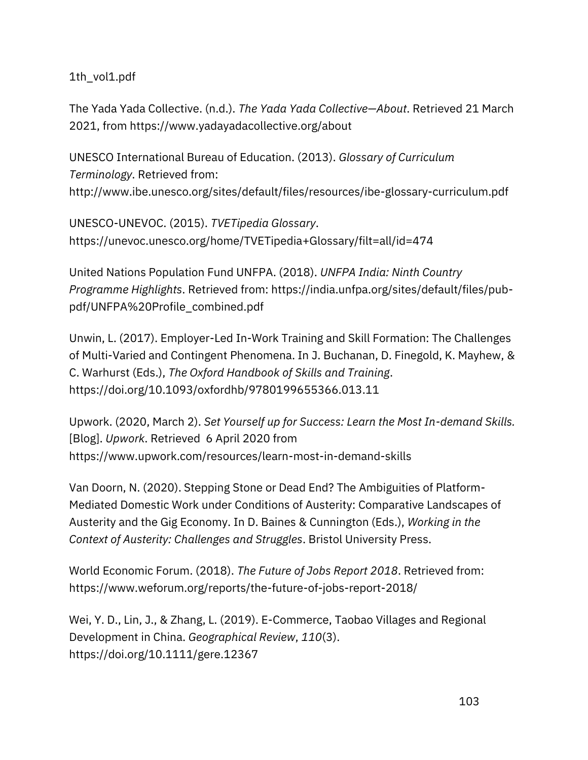[1th\\_vol1.pdf](https://www.zotero.org/google-docs/?cFjZNe)

[The Yada Yada Collective. \(n.d.\).](https://www.zotero.org/google-docs/?cFjZNe) *[The Yada Yada Collective](https://www.zotero.org/google-docs/?cFjZNe)—About*[. Retrieved 21 March](https://www.zotero.org/google-docs/?cFjZNe)  [2021, from https://www.yadayadacollective.org/about](https://www.zotero.org/google-docs/?cFjZNe)

[UNESCO International Bureau of Education. \(2013\).](https://www.zotero.org/google-docs/?cFjZNe) *[Glossary of Curriculum](https://www.zotero.org/google-docs/?cFjZNe)  [Terminology](https://www.zotero.org/google-docs/?cFjZNe)*. Retrieved from: http://www.ibe.unesco.org/sites/default/files/resources/ibe-glossary-curriculum.pdf

[UNESCO-UNEVOC. \(2015\).](https://www.zotero.org/google-docs/?cFjZNe) *[TVETipedia Glossary](https://www.zotero.org/google-docs/?cFjZNe)*[.](https://www.zotero.org/google-docs/?cFjZNe)  [https://unevoc.unesco.org/home/TVETipedia+Glossary/filt=all/id=474](https://www.zotero.org/google-docs/?cFjZNe)

[United Nations Population Fund UNFPA. \(2018\).](https://www.zotero.org/google-docs/?cFjZNe) *[UNFPA India: Ninth Country](https://www.zotero.org/google-docs/?cFjZNe)  [Programme Highlights](https://www.zotero.org/google-docs/?cFjZNe)*[. Retrieved from: https://india.unfpa.org/sites/default/files/pub](https://www.zotero.org/google-docs/?cFjZNe)[pdf/UNFPA%20Profile\\_combined.pdf](https://www.zotero.org/google-docs/?cFjZNe)

[Unwin, L. \(2017\). Employer-Led In-Work Training and Skill Formation: The Challenges](https://www.zotero.org/google-docs/?cFjZNe)  [of Multi-Varied and Contingent Phenomena. In J. Buchanan, D. Finegold, K. Mayhew, &](https://www.zotero.org/google-docs/?cFjZNe)  [C. Warhurst \(Eds.\),](https://www.zotero.org/google-docs/?cFjZNe) *[The Oxford Handbook of Skills and Training](https://www.zotero.org/google-docs/?cFjZNe)*[.](https://www.zotero.org/google-docs/?cFjZNe)  [https://doi.org/10.1093/oxfordhb/9780199655366.013.11](https://www.zotero.org/google-docs/?cFjZNe)

[Upwork. \(2020, March 2\).](https://www.zotero.org/google-docs/?cFjZNe) *[Set Yourself up for Success: Learn the Most In-demand Skills.](https://www.zotero.org/google-docs/?cFjZNe)*  [\[Blog\].](https://www.zotero.org/google-docs/?cFjZNe) *[Upwork](https://www.zotero.org/google-docs/?cFjZNe)*[. Retrieved 6 April 2020 from](https://www.zotero.org/google-docs/?cFjZNe)  [https://www.upwork.com/resources/learn-most-in-demand-skills](https://www.zotero.org/google-docs/?cFjZNe)

[Van Doorn, N. \(2020\). Stepping Stone or Dead End? The Ambiguities of Platform-](https://www.zotero.org/google-docs/?cFjZNe)[Mediated Domestic Work under Conditions of Austerity: Comparative Landscapes of](https://www.zotero.org/google-docs/?cFjZNe)  [Austerity and the Gig Economy. In D. Baines & Cunnington \(Eds.\),](https://www.zotero.org/google-docs/?cFjZNe) *[Working in the](https://www.zotero.org/google-docs/?cFjZNe)  [Context of Austerity: Challenges and Struggles](https://www.zotero.org/google-docs/?cFjZNe)*[. Br](https://www.zotero.org/google-docs/?cFjZNe)istol University Press.

[World Economic Forum. \(2018\).](https://www.zotero.org/google-docs/?cFjZNe) *[The Future of Jobs Report 2018](https://www.zotero.org/google-docs/?cFjZNe)*[. Retrieved from:](https://www.zotero.org/google-docs/?cFjZNe)  [https://www.weforum.org/reports/the-future-of-jobs-report-2018/](https://www.zotero.org/google-docs/?cFjZNe)

[Wei, Y. D., Lin, J., & Zhang, L. \(2019\). E-Commerce, Taobao Villages and Regional](https://www.zotero.org/google-docs/?cFjZNe)  [Development in China.](https://www.zotero.org/google-docs/?cFjZNe) *[Geographical Review](https://www.zotero.org/google-docs/?cFjZNe)*[,](https://www.zotero.org/google-docs/?cFjZNe) *[110](https://www.zotero.org/google-docs/?cFjZNe)*[\(3\).](https://www.zotero.org/google-docs/?cFjZNe)  [https://doi.org/10.1111/gere.12367](https://www.zotero.org/google-docs/?cFjZNe)